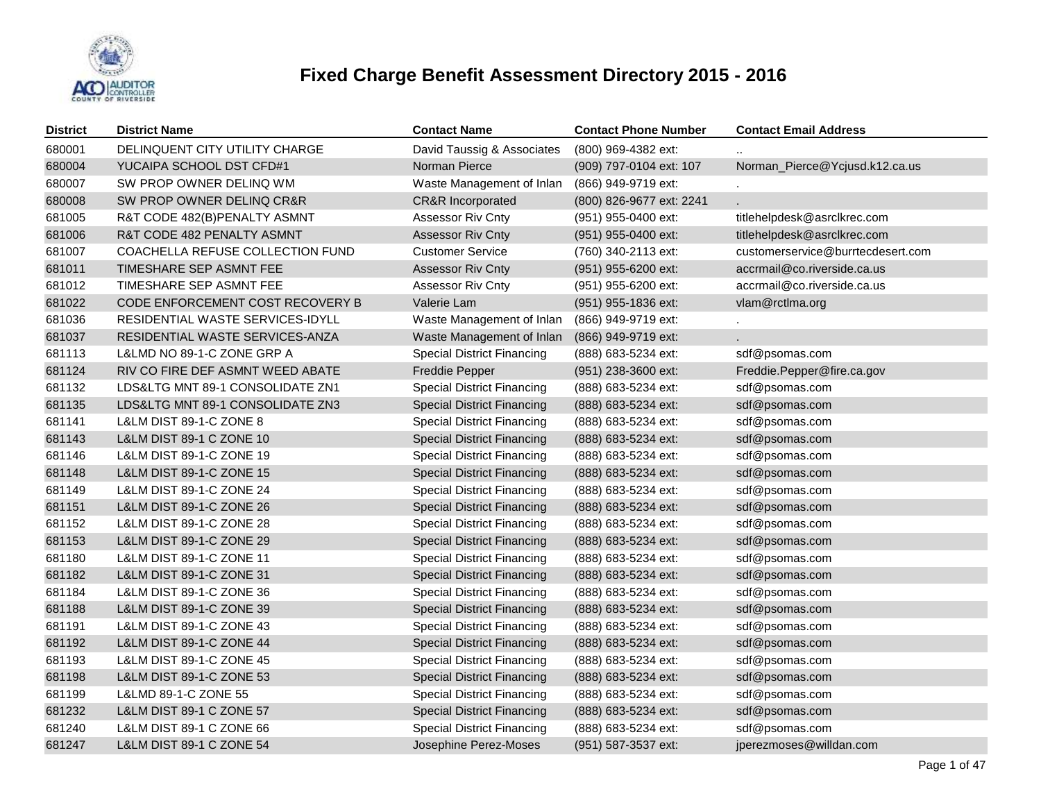

| <b>District</b> | <b>District Name</b>                | <b>Contact Name</b>               | <b>Contact Phone Number</b> | <b>Contact Email Address</b>      |
|-----------------|-------------------------------------|-----------------------------------|-----------------------------|-----------------------------------|
| 680001          | DELINQUENT CITY UTILITY CHARGE      | David Taussig & Associates        | (800) 969-4382 ext:         |                                   |
| 680004          | YUCAIPA SCHOOL DST CFD#1            | Norman Pierce                     | (909) 797-0104 ext: 107     | Norman_Pierce@Ycjusd.k12.ca.us    |
| 680007          | SW PROP OWNER DELINQ WM             | Waste Management of Inlan         | (866) 949-9719 ext:         |                                   |
| 680008          | SW PROP OWNER DELINQ CR&R           | <b>CR&amp;R Incorporated</b>      | (800) 826-9677 ext: 2241    | L.                                |
| 681005          | R&T CODE 482(B)PENALTY ASMNT        | Assessor Riv Cnty                 | (951) 955-0400 ext:         | titlehelpdesk@asrclkrec.com       |
| 681006          | R&T CODE 482 PENALTY ASMNT          | <b>Assessor Riv Cnty</b>          | (951) 955-0400 ext:         | titlehelpdesk@asrclkrec.com       |
| 681007          | COACHELLA REFUSE COLLECTION FUND    | <b>Customer Service</b>           | (760) 340-2113 ext:         | customerservice@burrtecdesert.com |
| 681011          | TIMESHARE SEP ASMNT FEE             | <b>Assessor Riv Cnty</b>          | (951) 955-6200 ext:         | accrmail@co.riverside.ca.us       |
| 681012          | TIMESHARE SEP ASMNT FEE             | Assessor Riv Cnty                 | (951) 955-6200 ext:         | accrmail@co.riverside.ca.us       |
| 681022          | CODE ENFORCEMENT COST RECOVERY B    | Valerie Lam                       | (951) 955-1836 ext:         | vlam@rctlma.org                   |
| 681036          | RESIDENTIAL WASTE SERVICES-IDYLL    | Waste Management of Inlan         | (866) 949-9719 ext:         |                                   |
| 681037          | RESIDENTIAL WASTE SERVICES-ANZA     | Waste Management of Inlan         | (866) 949-9719 ext:         |                                   |
| 681113          | L&LMD NO 89-1-C ZONE GRP A          | <b>Special District Financing</b> | (888) 683-5234 ext:         | sdf@psomas.com                    |
| 681124          | RIV CO FIRE DEF ASMNT WEED ABATE    | Freddie Pepper                    | (951) 238-3600 ext:         | Freddie.Pepper@fire.ca.gov        |
| 681132          | LDS&LTG MNT 89-1 CONSOLIDATE ZN1    | <b>Special District Financing</b> | (888) 683-5234 ext:         | sdf@psomas.com                    |
| 681135          | LDS&LTG MNT 89-1 CONSOLIDATE ZN3    | <b>Special District Financing</b> | (888) 683-5234 ext:         | sdf@psomas.com                    |
| 681141          | L&LM DIST 89-1-C ZONE 8             | <b>Special District Financing</b> | (888) 683-5234 ext:         | sdf@psomas.com                    |
| 681143          | L&LM DIST 89-1 C ZONE 10            | <b>Special District Financing</b> | (888) 683-5234 ext:         | sdf@psomas.com                    |
| 681146          | L&LM DIST 89-1-C ZONE 19            | <b>Special District Financing</b> | (888) 683-5234 ext:         | sdf@psomas.com                    |
| 681148          | L&LM DIST 89-1-C ZONE 15            | <b>Special District Financing</b> | (888) 683-5234 ext:         | sdf@psomas.com                    |
| 681149          | L&LM DIST 89-1-C ZONE 24            | <b>Special District Financing</b> | (888) 683-5234 ext:         | sdf@psomas.com                    |
| 681151          | L&LM DIST 89-1-C ZONE 26            | <b>Special District Financing</b> | (888) 683-5234 ext:         | sdf@psomas.com                    |
| 681152          | L&LM DIST 89-1-C ZONE 28            | <b>Special District Financing</b> | (888) 683-5234 ext:         | sdf@psomas.com                    |
| 681153          | L&LM DIST 89-1-C ZONE 29            | <b>Special District Financing</b> | (888) 683-5234 ext:         | sdf@psomas.com                    |
| 681180          | L&LM DIST 89-1-C ZONE 11            | <b>Special District Financing</b> | (888) 683-5234 ext:         | sdf@psomas.com                    |
| 681182          | L&LM DIST 89-1-C ZONE 31            | <b>Special District Financing</b> | (888) 683-5234 ext:         | sdf@psomas.com                    |
| 681184          | L&LM DIST 89-1-C ZONE 36            | <b>Special District Financing</b> | (888) 683-5234 ext:         | sdf@psomas.com                    |
| 681188          | L&LM DIST 89-1-C ZONE 39            | <b>Special District Financing</b> | (888) 683-5234 ext:         | sdf@psomas.com                    |
| 681191          | L&LM DIST 89-1-C ZONE 43            | <b>Special District Financing</b> | (888) 683-5234 ext:         | sdf@psomas.com                    |
| 681192          | L&LM DIST 89-1-C ZONE 44            | <b>Special District Financing</b> | (888) 683-5234 ext:         | sdf@psomas.com                    |
| 681193          | L&LM DIST 89-1-C ZONE 45            | <b>Special District Financing</b> | (888) 683-5234 ext:         | sdf@psomas.com                    |
| 681198          | L&LM DIST 89-1-C ZONE 53            | <b>Special District Financing</b> | (888) 683-5234 ext:         | sdf@psomas.com                    |
| 681199          | L&LMD 89-1-C ZONE 55                | <b>Special District Financing</b> | (888) 683-5234 ext:         | sdf@psomas.com                    |
| 681232          | <b>L&amp;LM DIST 89-1 C ZONE 57</b> | <b>Special District Financing</b> | (888) 683-5234 ext:         | sdf@psomas.com                    |
| 681240          | L&LM DIST 89-1 C ZONE 66            | <b>Special District Financing</b> | (888) 683-5234 ext:         | sdf@psomas.com                    |
| 681247          | L&LM DIST 89-1 C ZONE 54            | Josephine Perez-Moses             | (951) 587-3537 ext:         | jperezmoses@willdan.com           |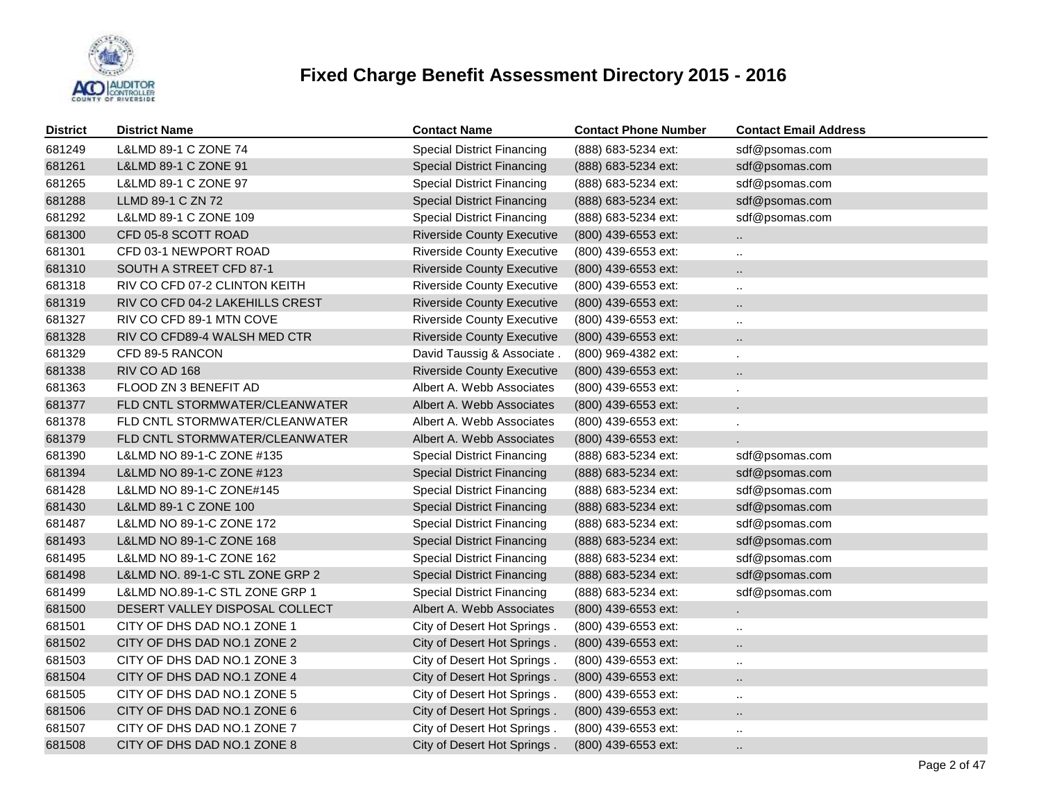

| <b>District</b> | <b>District Name</b>            | <b>Contact Name</b>               | <b>Contact Phone Number</b> | <b>Contact Email Address</b> |
|-----------------|---------------------------------|-----------------------------------|-----------------------------|------------------------------|
| 681249          | L&LMD 89-1 C ZONE 74            | <b>Special District Financing</b> | (888) 683-5234 ext:         | sdf@psomas.com               |
| 681261          | L&LMD 89-1 C ZONE 91            | <b>Special District Financing</b> | (888) 683-5234 ext:         | sdf@psomas.com               |
| 681265          | L&LMD 89-1 C ZONE 97            | <b>Special District Financing</b> | (888) 683-5234 ext:         | sdf@psomas.com               |
| 681288          | LLMD 89-1 C ZN 72               | <b>Special District Financing</b> | (888) 683-5234 ext:         | sdf@psomas.com               |
| 681292          | L&LMD 89-1 C ZONE 109           | <b>Special District Financing</b> | (888) 683-5234 ext:         | sdf@psomas.com               |
| 681300          | CFD 05-8 SCOTT ROAD             | <b>Riverside County Executive</b> | (800) 439-6553 ext:         | $\ddotsc$                    |
| 681301          | CFD 03-1 NEWPORT ROAD           | <b>Riverside County Executive</b> | (800) 439-6553 ext:         | $\ddotsc$                    |
| 681310          | SOUTH A STREET CFD 87-1         | <b>Riverside County Executive</b> | (800) 439-6553 ext:         | н.                           |
| 681318          | RIV CO CFD 07-2 CLINTON KEITH   | <b>Riverside County Executive</b> | (800) 439-6553 ext:         |                              |
| 681319          | RIV CO CFD 04-2 LAKEHILLS CREST | <b>Riverside County Executive</b> | (800) 439-6553 ext:         | $\ddot{\phantom{1}}$         |
| 681327          | RIV CO CFD 89-1 MTN COVE        | <b>Riverside County Executive</b> | (800) 439-6553 ext:         | $\ddotsc$                    |
| 681328          | RIV CO CFD89-4 WALSH MED CTR    | <b>Riverside County Executive</b> | (800) 439-6553 ext:         |                              |
| 681329          | CFD 89-5 RANCON                 | David Taussig & Associate.        | (800) 969-4382 ext:         |                              |
| 681338          | RIV CO AD 168                   | <b>Riverside County Executive</b> | (800) 439-6553 ext:         |                              |
| 681363          | FLOOD ZN 3 BENEFIT AD           | Albert A. Webb Associates         | (800) 439-6553 ext:         |                              |
| 681377          | FLD CNTL STORMWATER/CLEANWATER  | Albert A. Webb Associates         | (800) 439-6553 ext:         |                              |
| 681378          | FLD CNTL STORMWATER/CLEANWATER  | Albert A. Webb Associates         | (800) 439-6553 ext:         |                              |
| 681379          | FLD CNTL STORMWATER/CLEANWATER  | Albert A. Webb Associates         | (800) 439-6553 ext:         |                              |
| 681390          | L&LMD NO 89-1-C ZONE #135       | <b>Special District Financing</b> | (888) 683-5234 ext:         | sdf@psomas.com               |
| 681394          | L&LMD NO 89-1-C ZONE #123       | <b>Special District Financing</b> | (888) 683-5234 ext:         | sdf@psomas.com               |
| 681428          | L&LMD NO 89-1-C ZONE#145        | <b>Special District Financing</b> | (888) 683-5234 ext:         | sdf@psomas.com               |
| 681430          | L&LMD 89-1 C ZONE 100           | <b>Special District Financing</b> | (888) 683-5234 ext:         | sdf@psomas.com               |
| 681487          | L&LMD NO 89-1-C ZONE 172        | <b>Special District Financing</b> | (888) 683-5234 ext:         | sdf@psomas.com               |
| 681493          | L&LMD NO 89-1-C ZONE 168        | <b>Special District Financing</b> | (888) 683-5234 ext:         | sdf@psomas.com               |
| 681495          | L&LMD NO 89-1-C ZONE 162        | <b>Special District Financing</b> | (888) 683-5234 ext:         | sdf@psomas.com               |
| 681498          | L&LMD NO. 89-1-C STL ZONE GRP 2 | <b>Special District Financing</b> | (888) 683-5234 ext:         | sdf@psomas.com               |
| 681499          | L&LMD NO.89-1-C STL ZONE GRP 1  | <b>Special District Financing</b> | (888) 683-5234 ext:         | sdf@psomas.com               |
| 681500          | DESERT VALLEY DISPOSAL COLLECT  | Albert A. Webb Associates         | (800) 439-6553 ext:         |                              |
| 681501          | CITY OF DHS DAD NO.1 ZONE 1     | City of Desert Hot Springs.       | (800) 439-6553 ext:         | $\ddotsc$                    |
| 681502          | CITY OF DHS DAD NO.1 ZONE 2     | City of Desert Hot Springs.       | (800) 439-6553 ext:         | $\ddot{\phantom{a}}$         |
| 681503          | CITY OF DHS DAD NO.1 ZONE 3     | City of Desert Hot Springs.       | (800) 439-6553 ext:         | $\ddotsc$                    |
| 681504          | CITY OF DHS DAD NO.1 ZONE 4     | City of Desert Hot Springs.       | (800) 439-6553 ext:         | $\ddot{\phantom{a}}$         |
| 681505          | CITY OF DHS DAD NO.1 ZONE 5     | City of Desert Hot Springs.       | (800) 439-6553 ext:         | $\ddotsc$                    |
| 681506          | CITY OF DHS DAD NO.1 ZONE 6     | City of Desert Hot Springs.       | (800) 439-6553 ext:         |                              |
| 681507          | CITY OF DHS DAD NO.1 ZONE 7     | City of Desert Hot Springs.       | (800) 439-6553 ext:         |                              |
| 681508          | CITY OF DHS DAD NO.1 ZONE 8     | City of Desert Hot Springs.       | (800) 439-6553 ext:         |                              |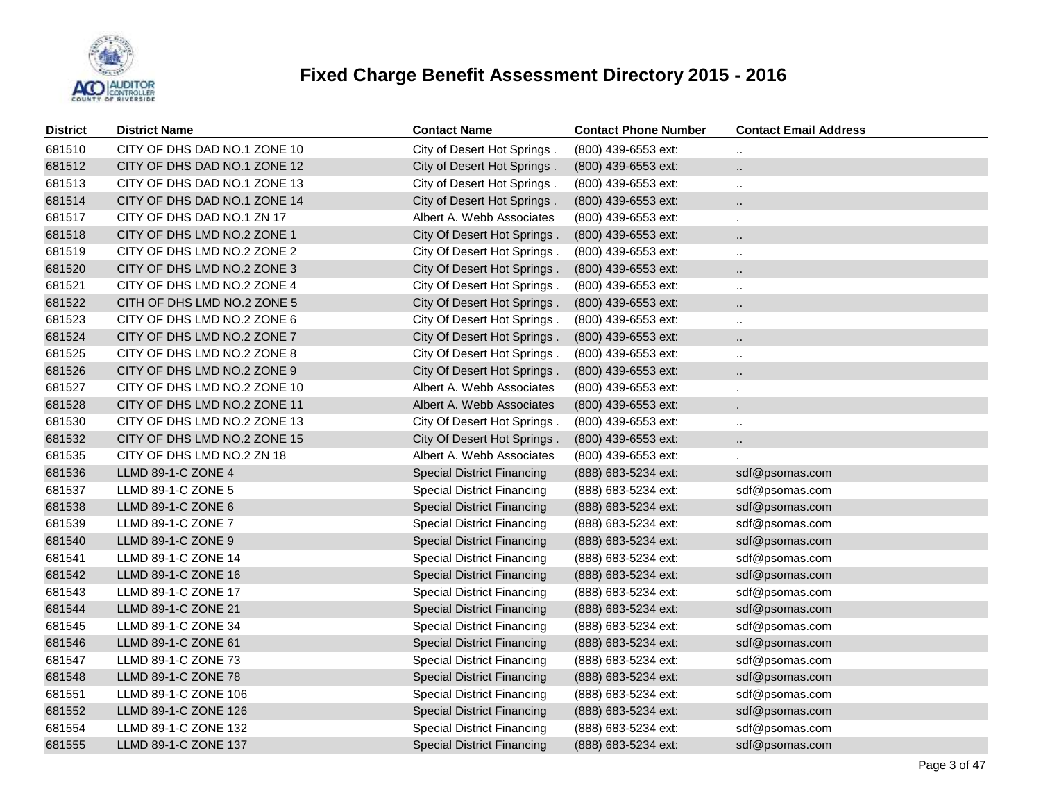

| <b>District</b> | <b>District Name</b>         | <b>Contact Name</b>               | <b>Contact Phone Number</b> | <b>Contact Email Address</b> |
|-----------------|------------------------------|-----------------------------------|-----------------------------|------------------------------|
| 681510          | CITY OF DHS DAD NO.1 ZONE 10 | City of Desert Hot Springs.       | (800) 439-6553 ext:         |                              |
| 681512          | CITY OF DHS DAD NO.1 ZONE 12 | City of Desert Hot Springs.       | (800) 439-6553 ext:         | $\ddotsc$                    |
| 681513          | CITY OF DHS DAD NO.1 ZONE 13 | City of Desert Hot Springs.       | (800) 439-6553 ext:         | $\ddotsc$                    |
| 681514          | CITY OF DHS DAD NO.1 ZONE 14 | City of Desert Hot Springs.       | (800) 439-6553 ext:         | $\ddot{\phantom{a}}$         |
| 681517          | CITY OF DHS DAD NO.1 ZN 17   | Albert A. Webb Associates         | (800) 439-6553 ext:         | ä,                           |
| 681518          | CITY OF DHS LMD NO.2 ZONE 1  | City Of Desert Hot Springs.       | (800) 439-6553 ext:         | $\ddot{\phantom{a}}$         |
| 681519          | CITY OF DHS LMD NO.2 ZONE 2  | City Of Desert Hot Springs.       | (800) 439-6553 ext:         | $\ddotsc$                    |
| 681520          | CITY OF DHS LMD NO.2 ZONE 3  | City Of Desert Hot Springs.       | (800) 439-6553 ext:         | $\ddot{\phantom{a}}$         |
| 681521          | CITY OF DHS LMD NO.2 ZONE 4  | City Of Desert Hot Springs.       | (800) 439-6553 ext:         | $\ddotsc$                    |
| 681522          | CITH OF DHS LMD NO.2 ZONE 5  | City Of Desert Hot Springs.       | (800) 439-6553 ext:         | $\ddotsc$                    |
| 681523          | CITY OF DHS LMD NO.2 ZONE 6  | City Of Desert Hot Springs.       | (800) 439-6553 ext:         | $\ddotsc$                    |
| 681524          | CITY OF DHS LMD NO.2 ZONE 7  | City Of Desert Hot Springs.       | (800) 439-6553 ext:         | $\ldots$                     |
| 681525          | CITY OF DHS LMD NO.2 ZONE 8  | City Of Desert Hot Springs.       | (800) 439-6553 ext:         | $\ddot{\phantom{a}}$         |
| 681526          | CITY OF DHS LMD NO.2 ZONE 9  | City Of Desert Hot Springs.       | (800) 439-6553 ext:         | $\cdot$ .                    |
| 681527          | CITY OF DHS LMD NO.2 ZONE 10 | Albert A. Webb Associates         | (800) 439-6553 ext:         |                              |
| 681528          | CITY OF DHS LMD NO.2 ZONE 11 | Albert A. Webb Associates         | (800) 439-6553 ext:         |                              |
| 681530          | CITY OF DHS LMD NO.2 ZONE 13 | City Of Desert Hot Springs.       | (800) 439-6553 ext:         | $\ddotsc$                    |
| 681532          | CITY OF DHS LMD NO.2 ZONE 15 | City Of Desert Hot Springs.       | (800) 439-6553 ext:         | $\cdot$ .                    |
| 681535          | CITY OF DHS LMD NO.2 ZN 18   | Albert A. Webb Associates         | (800) 439-6553 ext:         |                              |
| 681536          | LLMD 89-1-C ZONE 4           | <b>Special District Financing</b> | (888) 683-5234 ext:         | sdf@psomas.com               |
| 681537          | LLMD 89-1-C ZONE 5           | <b>Special District Financing</b> | (888) 683-5234 ext:         | sdf@psomas.com               |
| 681538          | LLMD 89-1-C ZONE 6           | <b>Special District Financing</b> | (888) 683-5234 ext:         | sdf@psomas.com               |
| 681539          | LLMD 89-1-C ZONE 7           | <b>Special District Financing</b> | (888) 683-5234 ext:         | sdf@psomas.com               |
| 681540          | LLMD 89-1-C ZONE 9           | <b>Special District Financing</b> | (888) 683-5234 ext:         | sdf@psomas.com               |
| 681541          | LLMD 89-1-C ZONE 14          | <b>Special District Financing</b> | (888) 683-5234 ext:         | sdf@psomas.com               |
| 681542          | LLMD 89-1-C ZONE 16          | <b>Special District Financing</b> | (888) 683-5234 ext:         | sdf@psomas.com               |
| 681543          | LLMD 89-1-C ZONE 17          | <b>Special District Financing</b> | (888) 683-5234 ext:         | sdf@psomas.com               |
| 681544          | LLMD 89-1-C ZONE 21          | <b>Special District Financing</b> | (888) 683-5234 ext:         | sdf@psomas.com               |
| 681545          | LLMD 89-1-C ZONE 34          | <b>Special District Financing</b> | (888) 683-5234 ext:         | sdf@psomas.com               |
| 681546          | LLMD 89-1-C ZONE 61          | <b>Special District Financing</b> | (888) 683-5234 ext:         | sdf@psomas.com               |
| 681547          | LLMD 89-1-C ZONE 73          | <b>Special District Financing</b> | (888) 683-5234 ext:         | sdf@psomas.com               |
| 681548          | LLMD 89-1-C ZONE 78          | <b>Special District Financing</b> | (888) 683-5234 ext:         | sdf@psomas.com               |
| 681551          | LLMD 89-1-C ZONE 106         | <b>Special District Financing</b> | (888) 683-5234 ext:         | sdf@psomas.com               |
| 681552          | LLMD 89-1-C ZONE 126         | <b>Special District Financing</b> | (888) 683-5234 ext:         | sdf@psomas.com               |
| 681554          | LLMD 89-1-C ZONE 132         | <b>Special District Financing</b> | (888) 683-5234 ext:         | sdf@psomas.com               |
| 681555          | LLMD 89-1-C ZONE 137         | <b>Special District Financing</b> | (888) 683-5234 ext:         | sdf@psomas.com               |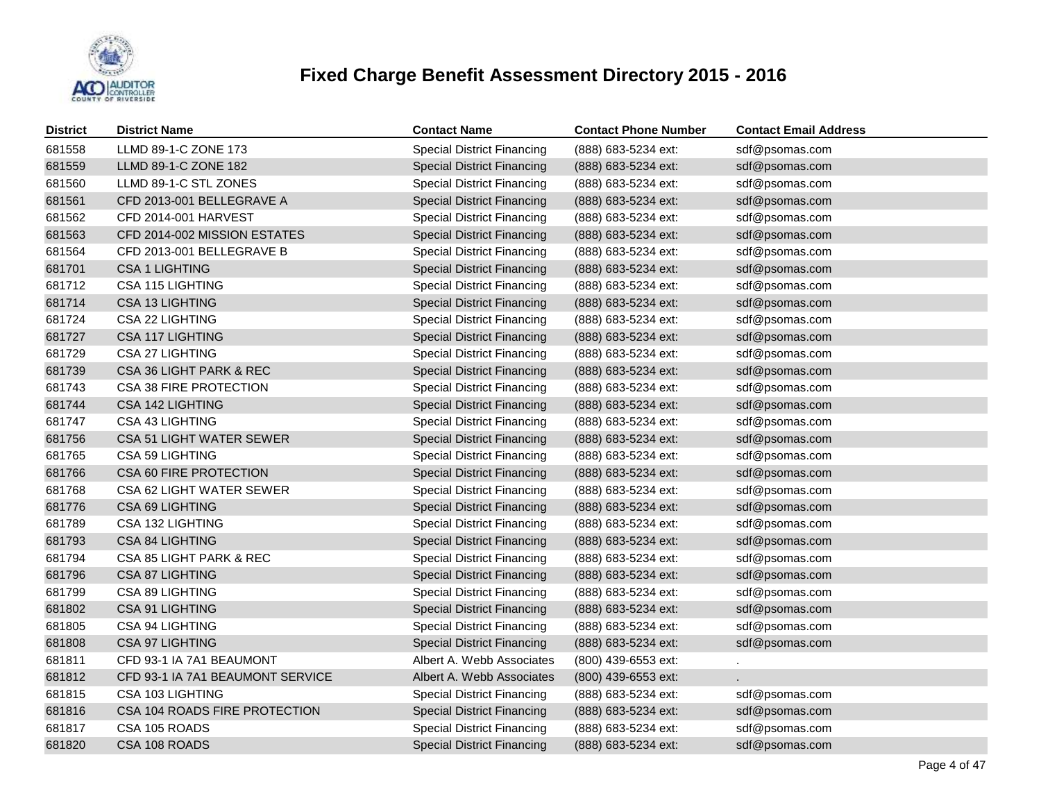

| <b>District</b> | <b>District Name</b>             | <b>Contact Name</b>               | <b>Contact Phone Number</b> | <b>Contact Email Address</b> |
|-----------------|----------------------------------|-----------------------------------|-----------------------------|------------------------------|
| 681558          | LLMD 89-1-C ZONE 173             | <b>Special District Financing</b> | (888) 683-5234 ext:         | sdf@psomas.com               |
| 681559          | LLMD 89-1-C ZONE 182             | <b>Special District Financing</b> | (888) 683-5234 ext:         | sdf@psomas.com               |
| 681560          | LLMD 89-1-C STL ZONES            | <b>Special District Financing</b> | (888) 683-5234 ext:         | sdf@psomas.com               |
| 681561          | CFD 2013-001 BELLEGRAVE A        | <b>Special District Financing</b> | (888) 683-5234 ext:         | sdf@psomas.com               |
| 681562          | CFD 2014-001 HARVEST             | <b>Special District Financing</b> | (888) 683-5234 ext:         | sdf@psomas.com               |
| 681563          | CFD 2014-002 MISSION ESTATES     | <b>Special District Financing</b> | (888) 683-5234 ext:         | sdf@psomas.com               |
| 681564          | CFD 2013-001 BELLEGRAVE B        | <b>Special District Financing</b> | (888) 683-5234 ext:         | sdf@psomas.com               |
| 681701          | <b>CSA 1 LIGHTING</b>            | <b>Special District Financing</b> | (888) 683-5234 ext:         | sdf@psomas.com               |
| 681712          | CSA 115 LIGHTING                 | <b>Special District Financing</b> | (888) 683-5234 ext:         | sdf@psomas.com               |
| 681714          | <b>CSA 13 LIGHTING</b>           | <b>Special District Financing</b> | (888) 683-5234 ext:         | sdf@psomas.com               |
| 681724          | CSA 22 LIGHTING                  | <b>Special District Financing</b> | (888) 683-5234 ext:         | sdf@psomas.com               |
| 681727          | CSA 117 LIGHTING                 | <b>Special District Financing</b> | (888) 683-5234 ext:         | sdf@psomas.com               |
| 681729          | <b>CSA 27 LIGHTING</b>           | <b>Special District Financing</b> | (888) 683-5234 ext:         | sdf@psomas.com               |
| 681739          | CSA 36 LIGHT PARK & REC          | <b>Special District Financing</b> | (888) 683-5234 ext:         | sdf@psomas.com               |
| 681743          | CSA 38 FIRE PROTECTION           | <b>Special District Financing</b> | (888) 683-5234 ext:         | sdf@psomas.com               |
| 681744          | CSA 142 LIGHTING                 | <b>Special District Financing</b> | (888) 683-5234 ext:         | sdf@psomas.com               |
| 681747          | CSA 43 LIGHTING                  | <b>Special District Financing</b> | (888) 683-5234 ext:         | sdf@psomas.com               |
| 681756          | CSA 51 LIGHT WATER SEWER         | <b>Special District Financing</b> | (888) 683-5234 ext:         | sdf@psomas.com               |
| 681765          | CSA 59 LIGHTING                  | <b>Special District Financing</b> | (888) 683-5234 ext:         | sdf@psomas.com               |
| 681766          | CSA 60 FIRE PROTECTION           | <b>Special District Financing</b> | (888) 683-5234 ext:         | sdf@psomas.com               |
| 681768          | CSA 62 LIGHT WATER SEWER         | <b>Special District Financing</b> | (888) 683-5234 ext:         | sdf@psomas.com               |
| 681776          | CSA 69 LIGHTING                  | <b>Special District Financing</b> | (888) 683-5234 ext:         | sdf@psomas.com               |
| 681789          | CSA 132 LIGHTING                 | <b>Special District Financing</b> | (888) 683-5234 ext:         | sdf@psomas.com               |
| 681793          | <b>CSA 84 LIGHTING</b>           | <b>Special District Financing</b> | (888) 683-5234 ext:         | sdf@psomas.com               |
| 681794          | CSA 85 LIGHT PARK & REC          | <b>Special District Financing</b> | (888) 683-5234 ext:         | sdf@psomas.com               |
| 681796          | CSA 87 LIGHTING                  | <b>Special District Financing</b> | (888) 683-5234 ext:         | sdf@psomas.com               |
| 681799          | CSA 89 LIGHTING                  | <b>Special District Financing</b> | (888) 683-5234 ext:         | sdf@psomas.com               |
| 681802          | <b>CSA 91 LIGHTING</b>           | <b>Special District Financing</b> | (888) 683-5234 ext:         | sdf@psomas.com               |
| 681805          | CSA 94 LIGHTING                  | <b>Special District Financing</b> | (888) 683-5234 ext:         | sdf@psomas.com               |
| 681808          | <b>CSA 97 LIGHTING</b>           | <b>Special District Financing</b> | (888) 683-5234 ext:         | sdf@psomas.com               |
| 681811          | CFD 93-1 IA 7A1 BEAUMONT         | Albert A. Webb Associates         | (800) 439-6553 ext:         | ¥.                           |
| 681812          | CFD 93-1 IA 7A1 BEAUMONT SERVICE | Albert A. Webb Associates         | (800) 439-6553 ext:         |                              |
| 681815          | CSA 103 LIGHTING                 | <b>Special District Financing</b> | (888) 683-5234 ext:         | sdf@psomas.com               |
| 681816          | CSA 104 ROADS FIRE PROTECTION    | <b>Special District Financing</b> | (888) 683-5234 ext:         | sdf@psomas.com               |
| 681817          | CSA 105 ROADS                    | <b>Special District Financing</b> | (888) 683-5234 ext:         | sdf@psomas.com               |
| 681820          | CSA 108 ROADS                    | <b>Special District Financing</b> | (888) 683-5234 ext:         | sdf@psomas.com               |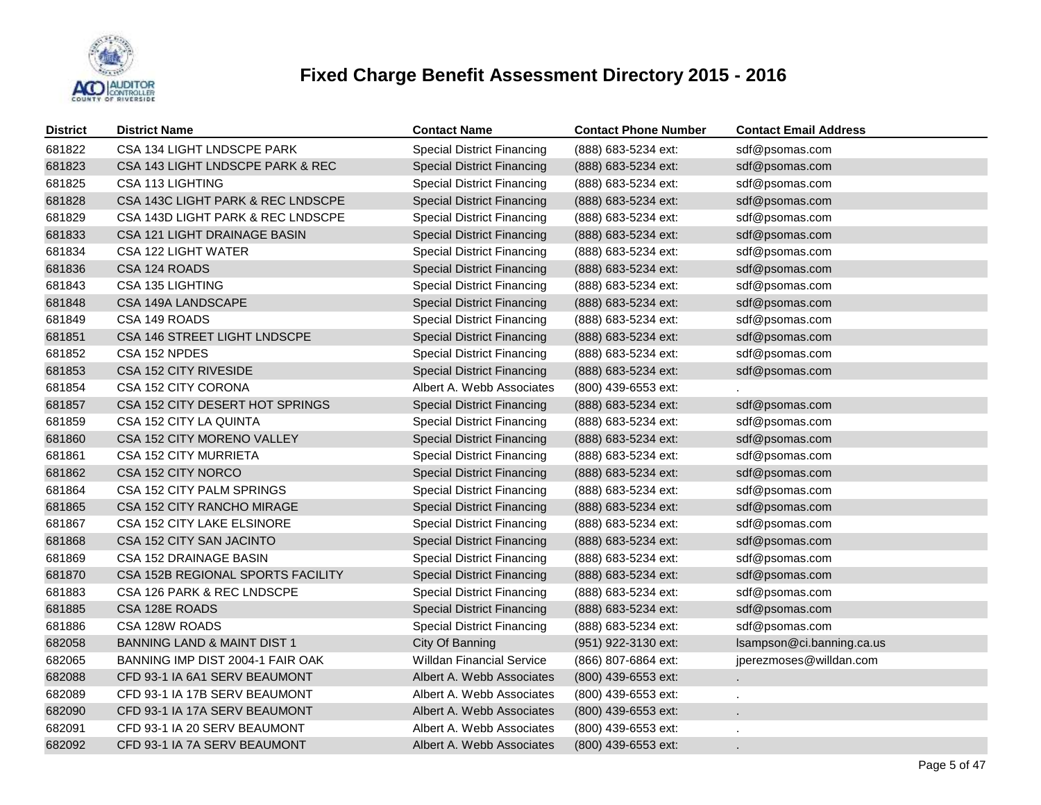

| <b>District</b> | <b>District Name</b>                   | <b>Contact Name</b>               | <b>Contact Phone Number</b> | <b>Contact Email Address</b> |
|-----------------|----------------------------------------|-----------------------------------|-----------------------------|------------------------------|
| 681822          | CSA 134 LIGHT LNDSCPE PARK             | <b>Special District Financing</b> | (888) 683-5234 ext:         | sdf@psomas.com               |
| 681823          | CSA 143 LIGHT LNDSCPE PARK & REC       | <b>Special District Financing</b> | (888) 683-5234 ext:         | sdf@psomas.com               |
| 681825          | CSA 113 LIGHTING                       | <b>Special District Financing</b> | (888) 683-5234 ext:         | sdf@psomas.com               |
| 681828          | CSA 143C LIGHT PARK & REC LNDSCPE      | <b>Special District Financing</b> | (888) 683-5234 ext:         | sdf@psomas.com               |
| 681829          | CSA 143D LIGHT PARK & REC LNDSCPE      | <b>Special District Financing</b> | (888) 683-5234 ext:         | sdf@psomas.com               |
| 681833          | CSA 121 LIGHT DRAINAGE BASIN           | <b>Special District Financing</b> | (888) 683-5234 ext:         | sdf@psomas.com               |
| 681834          | CSA 122 LIGHT WATER                    | <b>Special District Financing</b> | (888) 683-5234 ext:         | sdf@psomas.com               |
| 681836          | CSA 124 ROADS                          | <b>Special District Financing</b> | (888) 683-5234 ext:         | sdf@psomas.com               |
| 681843          | CSA 135 LIGHTING                       | <b>Special District Financing</b> | (888) 683-5234 ext:         | sdf@psomas.com               |
| 681848          | CSA 149A LANDSCAPE                     | <b>Special District Financing</b> | (888) 683-5234 ext:         | sdf@psomas.com               |
| 681849          | CSA 149 ROADS                          | <b>Special District Financing</b> | (888) 683-5234 ext:         | sdf@psomas.com               |
| 681851          | CSA 146 STREET LIGHT LNDSCPE           | <b>Special District Financing</b> | (888) 683-5234 ext:         | sdf@psomas.com               |
| 681852          | CSA 152 NPDES                          | <b>Special District Financing</b> | (888) 683-5234 ext:         | sdf@psomas.com               |
| 681853          | CSA 152 CITY RIVESIDE                  | <b>Special District Financing</b> | (888) 683-5234 ext:         | sdf@psomas.com               |
| 681854          | CSA 152 CITY CORONA                    | Albert A. Webb Associates         | (800) 439-6553 ext:         |                              |
| 681857          | CSA 152 CITY DESERT HOT SPRINGS        | <b>Special District Financing</b> | (888) 683-5234 ext:         | sdf@psomas.com               |
| 681859          | CSA 152 CITY LA QUINTA                 | <b>Special District Financing</b> | (888) 683-5234 ext:         | sdf@psomas.com               |
| 681860          | CSA 152 CITY MORENO VALLEY             | <b>Special District Financing</b> | (888) 683-5234 ext:         | sdf@psomas.com               |
| 681861          | <b>CSA 152 CITY MURRIETA</b>           | <b>Special District Financing</b> | (888) 683-5234 ext:         | sdf@psomas.com               |
| 681862          | CSA 152 CITY NORCO                     | <b>Special District Financing</b> | (888) 683-5234 ext:         | sdf@psomas.com               |
| 681864          | CSA 152 CITY PALM SPRINGS              | <b>Special District Financing</b> | (888) 683-5234 ext:         | sdf@psomas.com               |
| 681865          | CSA 152 CITY RANCHO MIRAGE             | <b>Special District Financing</b> | (888) 683-5234 ext:         | sdf@psomas.com               |
| 681867          | CSA 152 CITY LAKE ELSINORE             | <b>Special District Financing</b> | (888) 683-5234 ext:         | sdf@psomas.com               |
| 681868          | CSA 152 CITY SAN JACINTO               | <b>Special District Financing</b> | (888) 683-5234 ext:         | sdf@psomas.com               |
| 681869          | CSA 152 DRAINAGE BASIN                 | <b>Special District Financing</b> | (888) 683-5234 ext:         | sdf@psomas.com               |
| 681870          | CSA 152B REGIONAL SPORTS FACILITY      | <b>Special District Financing</b> | (888) 683-5234 ext:         | sdf@psomas.com               |
| 681883          | CSA 126 PARK & REC LNDSCPE             | <b>Special District Financing</b> | (888) 683-5234 ext:         | sdf@psomas.com               |
| 681885          | CSA 128E ROADS                         | <b>Special District Financing</b> | (888) 683-5234 ext:         | sdf@psomas.com               |
| 681886          | CSA 128W ROADS                         | <b>Special District Financing</b> | (888) 683-5234 ext:         | sdf@psomas.com               |
| 682058          | <b>BANNING LAND &amp; MAINT DIST 1</b> | City Of Banning                   | (951) 922-3130 ext:         | Isampson@ci.banning.ca.us    |
| 682065          | BANNING IMP DIST 2004-1 FAIR OAK       | <b>Willdan Financial Service</b>  | (866) 807-6864 ext:         | jperezmoses@willdan.com      |
| 682088          | CFD 93-1 IA 6A1 SERV BEAUMONT          | Albert A. Webb Associates         | (800) 439-6553 ext:         |                              |
| 682089          | CFD 93-1 IA 17B SERV BEAUMONT          | Albert A. Webb Associates         | (800) 439-6553 ext:         |                              |
| 682090          | CFD 93-1 IA 17A SERV BEAUMONT          | Albert A. Webb Associates         | (800) 439-6553 ext:         |                              |
| 682091          | CFD 93-1 IA 20 SERV BEAUMONT           | Albert A. Webb Associates         | (800) 439-6553 ext:         |                              |
| 682092          | CFD 93-1 IA 7A SERV BEAUMONT           | Albert A. Webb Associates         | (800) 439-6553 ext:         |                              |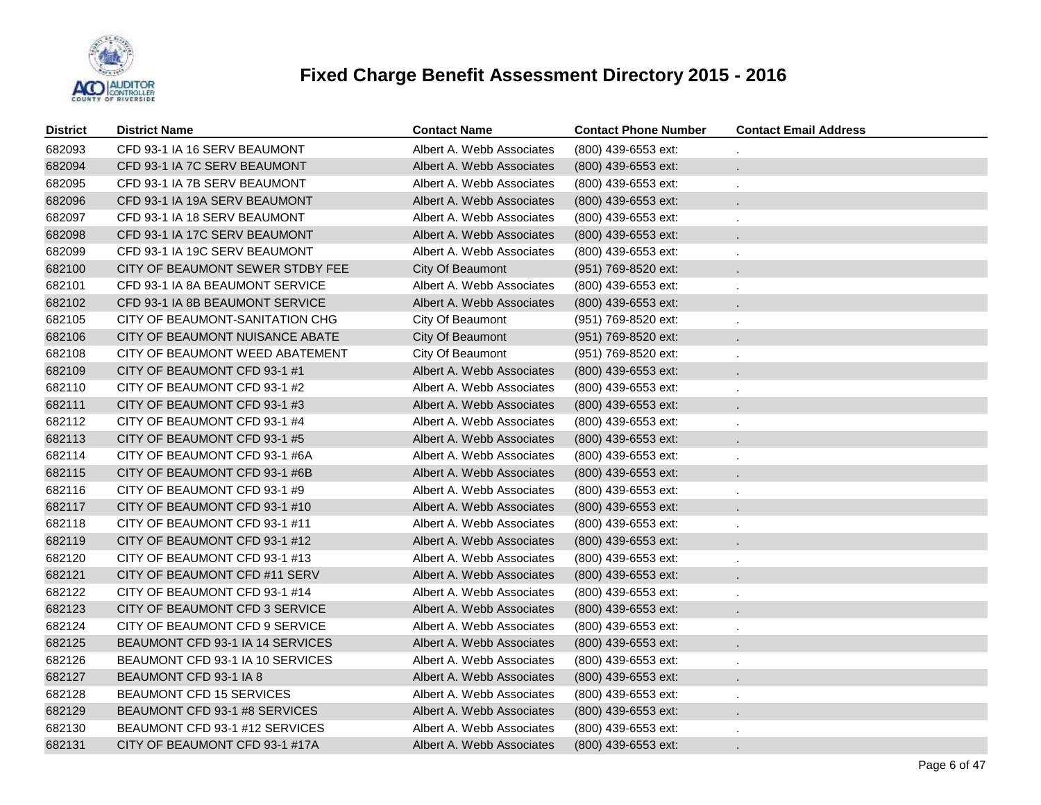

| <b>District</b> | <b>District Name</b>             | <b>Contact Name</b>       | <b>Contact Phone Number</b> | <b>Contact Email Address</b> |
|-----------------|----------------------------------|---------------------------|-----------------------------|------------------------------|
| 682093          | CFD 93-1 IA 16 SERV BEAUMONT     | Albert A. Webb Associates | (800) 439-6553 ext:         |                              |
| 682094          | CFD 93-1 IA 7C SERV BEAUMONT     | Albert A. Webb Associates | (800) 439-6553 ext:         | $\mathbf{r}$                 |
| 682095          | CFD 93-1 IA 7B SERV BEAUMONT     | Albert A. Webb Associates | (800) 439-6553 ext:         |                              |
| 682096          | CFD 93-1 IA 19A SERV BEAUMONT    | Albert A. Webb Associates | (800) 439-6553 ext:         |                              |
| 682097          | CFD 93-1 IA 18 SERV BEAUMONT     | Albert A. Webb Associates | (800) 439-6553 ext:         |                              |
| 682098          | CFD 93-1 IA 17C SERV BEAUMONT    | Albert A. Webb Associates | (800) 439-6553 ext:         |                              |
| 682099          | CFD 93-1 IA 19C SERV BEAUMONT    | Albert A. Webb Associates | (800) 439-6553 ext:         |                              |
| 682100          | CITY OF BEAUMONT SEWER STDBY FEE | City Of Beaumont          | (951) 769-8520 ext:         |                              |
| 682101          | CFD 93-1 IA 8A BEAUMONT SERVICE  | Albert A. Webb Associates | (800) 439-6553 ext:         |                              |
| 682102          | CFD 93-1 IA 8B BEAUMONT SERVICE  | Albert A. Webb Associates | (800) 439-6553 ext:         |                              |
| 682105          | CITY OF BEAUMONT-SANITATION CHG  | City Of Beaumont          | (951) 769-8520 ext:         |                              |
| 682106          | CITY OF BEAUMONT NUISANCE ABATE  | City Of Beaumont          | (951) 769-8520 ext:         |                              |
| 682108          | CITY OF BEAUMONT WEED ABATEMENT  | City Of Beaumont          | (951) 769-8520 ext:         |                              |
| 682109          | CITY OF BEAUMONT CFD 93-1 #1     | Albert A. Webb Associates | (800) 439-6553 ext:         |                              |
| 682110          | CITY OF BEAUMONT CFD 93-1 #2     | Albert A. Webb Associates | (800) 439-6553 ext:         |                              |
| 682111          | CITY OF BEAUMONT CFD 93-1 #3     | Albert A. Webb Associates | (800) 439-6553 ext:         |                              |
| 682112          | CITY OF BEAUMONT CFD 93-1 #4     | Albert A. Webb Associates | (800) 439-6553 ext:         |                              |
| 682113          | CITY OF BEAUMONT CFD 93-1 #5     | Albert A. Webb Associates | (800) 439-6553 ext:         |                              |
| 682114          | CITY OF BEAUMONT CFD 93-1 #6A    | Albert A. Webb Associates | (800) 439-6553 ext:         |                              |
| 682115          | CITY OF BEAUMONT CFD 93-1 #6B    | Albert A. Webb Associates | (800) 439-6553 ext:         |                              |
| 682116          | CITY OF BEAUMONT CFD 93-1 #9     | Albert A. Webb Associates | (800) 439-6553 ext:         |                              |
| 682117          | CITY OF BEAUMONT CFD 93-1 #10    | Albert A. Webb Associates | (800) 439-6553 ext:         |                              |
| 682118          | CITY OF BEAUMONT CFD 93-1 #11    | Albert A. Webb Associates | (800) 439-6553 ext:         |                              |
| 682119          | CITY OF BEAUMONT CFD 93-1 #12    | Albert A. Webb Associates | (800) 439-6553 ext:         |                              |
| 682120          | CITY OF BEAUMONT CFD 93-1 #13    | Albert A. Webb Associates | (800) 439-6553 ext:         |                              |
| 682121          | CITY OF BEAUMONT CFD #11 SERV    | Albert A. Webb Associates | (800) 439-6553 ext:         |                              |
| 682122          | CITY OF BEAUMONT CFD 93-1 #14    | Albert A. Webb Associates | (800) 439-6553 ext:         |                              |
| 682123          | CITY OF BEAUMONT CFD 3 SERVICE   | Albert A. Webb Associates | (800) 439-6553 ext:         |                              |
| 682124          | CITY OF BEAUMONT CFD 9 SERVICE   | Albert A. Webb Associates | (800) 439-6553 ext:         |                              |
| 682125          | BEAUMONT CFD 93-1 IA 14 SERVICES | Albert A. Webb Associates | (800) 439-6553 ext:         |                              |
| 682126          | BEAUMONT CFD 93-1 IA 10 SERVICES | Albert A. Webb Associates | (800) 439-6553 ext:         |                              |
| 682127          | BEAUMONT CFD 93-1 IA 8           | Albert A. Webb Associates | (800) 439-6553 ext:         |                              |
| 682128          | BEAUMONT CFD 15 SERVICES         | Albert A. Webb Associates | (800) 439-6553 ext:         |                              |
| 682129          | BEAUMONT CFD 93-1 #8 SERVICES    | Albert A. Webb Associates | (800) 439-6553 ext:         |                              |
| 682130          | BEAUMONT CFD 93-1 #12 SERVICES   | Albert A. Webb Associates | (800) 439-6553 ext:         |                              |
| 682131          | CITY OF BEAUMONT CFD 93-1 #17A   | Albert A. Webb Associates | (800) 439-6553 ext:         |                              |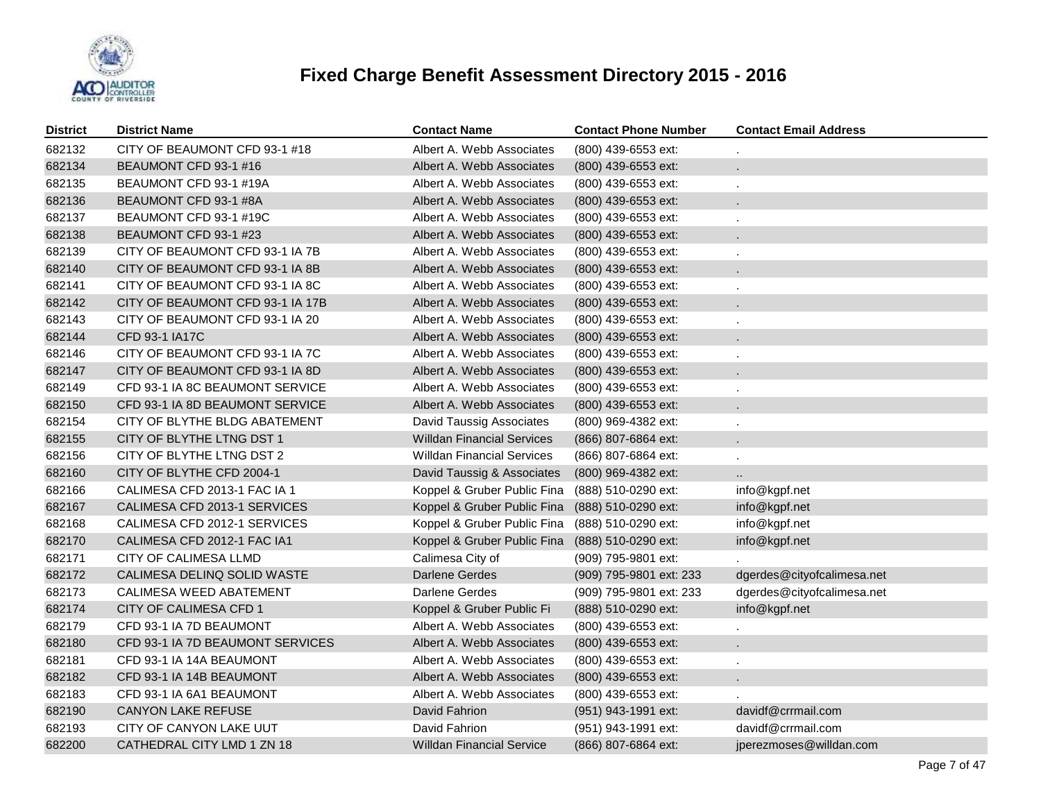

| <b>District</b> | <b>District Name</b>             | <b>Contact Name</b>               | <b>Contact Phone Number</b> | <b>Contact Email Address</b> |
|-----------------|----------------------------------|-----------------------------------|-----------------------------|------------------------------|
| 682132          | CITY OF BEAUMONT CFD 93-1 #18    | Albert A. Webb Associates         | (800) 439-6553 ext:         |                              |
| 682134          | BEAUMONT CFD 93-1 #16            | Albert A. Webb Associates         | (800) 439-6553 ext:         |                              |
| 682135          | BEAUMONT CFD 93-1 #19A           | Albert A. Webb Associates         | (800) 439-6553 ext:         |                              |
| 682136          | BEAUMONT CFD 93-1 #8A            | Albert A. Webb Associates         | (800) 439-6553 ext:         |                              |
| 682137          | BEAUMONT CFD 93-1 #19C           | Albert A. Webb Associates         | (800) 439-6553 ext:         |                              |
| 682138          | BEAUMONT CFD 93-1 #23            | Albert A. Webb Associates         | $(800)$ 439-6553 ext:       | $\mathbf{r}$                 |
| 682139          | CITY OF BEAUMONT CFD 93-1 IA 7B  | Albert A. Webb Associates         | (800) 439-6553 ext:         | ä,                           |
| 682140          | CITY OF BEAUMONT CFD 93-1 IA 8B  | Albert A. Webb Associates         | (800) 439-6553 ext:         | $\mathbf{r}$                 |
| 682141          | CITY OF BEAUMONT CFD 93-1 IA 8C  | Albert A. Webb Associates         | (800) 439-6553 ext:         | ä,                           |
| 682142          | CITY OF BEAUMONT CFD 93-1 IA 17B | Albert A. Webb Associates         | (800) 439-6553 ext:         | $\mathbf{r}$                 |
| 682143          | CITY OF BEAUMONT CFD 93-1 IA 20  | Albert A. Webb Associates         | (800) 439-6553 ext:         | ä,                           |
| 682144          | CFD 93-1 IA17C                   | Albert A. Webb Associates         | $(800)$ 439-6553 ext:       | $\blacksquare$               |
| 682146          | CITY OF BEAUMONT CFD 93-1 IA 7C  | Albert A. Webb Associates         | (800) 439-6553 ext:         | ÷,                           |
| 682147          | CITY OF BEAUMONT CFD 93-1 IA 8D  | Albert A. Webb Associates         | (800) 439-6553 ext:         |                              |
| 682149          | CFD 93-1 IA 8C BEAUMONT SERVICE  | Albert A. Webb Associates         | (800) 439-6553 ext:         |                              |
| 682150          | CFD 93-1 IA 8D BEAUMONT SERVICE  | Albert A. Webb Associates         | (800) 439-6553 ext:         |                              |
| 682154          | CITY OF BLYTHE BLDG ABATEMENT    | David Taussig Associates          | (800) 969-4382 ext:         |                              |
| 682155          | CITY OF BLYTHE LTNG DST 1        | <b>Willdan Financial Services</b> | (866) 807-6864 ext:         |                              |
| 682156          | CITY OF BLYTHE LTNG DST 2        | <b>Willdan Financial Services</b> | (866) 807-6864 ext:         |                              |
| 682160          | CITY OF BLYTHE CFD 2004-1        | David Taussig & Associates        | (800) 969-4382 ext:         |                              |
| 682166          | CALIMESA CFD 2013-1 FAC IA 1     | Koppel & Gruber Public Fina       | (888) 510-0290 ext:         | info@kgpf.net                |
| 682167          | CALIMESA CFD 2013-1 SERVICES     | Koppel & Gruber Public Fina       | (888) 510-0290 ext:         | info@kgpf.net                |
| 682168          | CALIMESA CFD 2012-1 SERVICES     | Koppel & Gruber Public Fina       | (888) 510-0290 ext:         | info@kgpf.net                |
| 682170          | CALIMESA CFD 2012-1 FAC IA1      | Koppel & Gruber Public Fina       | (888) 510-0290 ext:         | info@kgpf.net                |
| 682171          | CITY OF CALIMESA LLMD            | Calimesa City of                  | (909) 795-9801 ext:         |                              |
| 682172          | CALIMESA DELINQ SOLID WASTE      | Darlene Gerdes                    | (909) 795-9801 ext: 233     | dgerdes@cityofcalimesa.net   |
| 682173          | CALIMESA WEED ABATEMENT          | Darlene Gerdes                    | (909) 795-9801 ext: 233     | dgerdes@cityofcalimesa.net   |
| 682174          | CITY OF CALIMESA CFD 1           | Koppel & Gruber Public Fi         | (888) 510-0290 ext:         | info@kgpf.net                |
| 682179          | CFD 93-1 IA 7D BEAUMONT          | Albert A. Webb Associates         | (800) 439-6553 ext:         |                              |
| 682180          | CFD 93-1 IA 7D BEAUMONT SERVICES | Albert A. Webb Associates         | (800) 439-6553 ext:         |                              |
| 682181          | CFD 93-1 IA 14A BEAUMONT         | Albert A. Webb Associates         | (800) 439-6553 ext:         |                              |
| 682182          | CFD 93-1 IA 14B BEAUMONT         | Albert A. Webb Associates         | (800) 439-6553 ext:         |                              |
| 682183          | CFD 93-1 IA 6A1 BEAUMONT         | Albert A. Webb Associates         | (800) 439-6553 ext:         |                              |
| 682190          | <b>CANYON LAKE REFUSE</b>        | David Fahrion                     | (951) 943-1991 ext:         | davidf@crrmail.com           |
| 682193          | CITY OF CANYON LAKE UUT          | David Fahrion                     | (951) 943-1991 ext:         | davidf@crrmail.com           |
| 682200          | CATHEDRAL CITY LMD 1 ZN 18       | <b>Willdan Financial Service</b>  | (866) 807-6864 ext:         | jperezmoses@willdan.com      |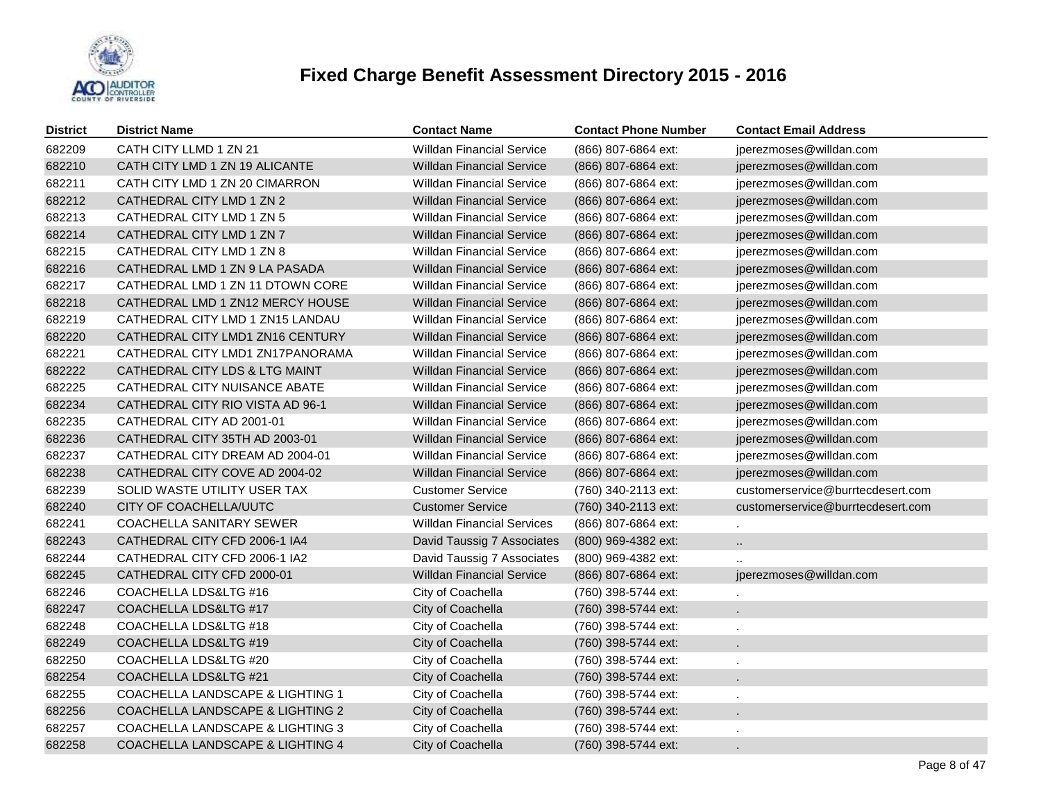

| <b>District</b> | <b>District Name</b>             | <b>Contact Name</b>               | <b>Contact Phone Number</b> | <b>Contact Email Address</b>      |
|-----------------|----------------------------------|-----------------------------------|-----------------------------|-----------------------------------|
| 682209          | CATH CITY LLMD 1 ZN 21           | <b>Willdan Financial Service</b>  | (866) 807-6864 ext:         | jperezmoses@willdan.com           |
| 682210          | CATH CITY LMD 1 ZN 19 ALICANTE   | <b>Willdan Financial Service</b>  | (866) 807-6864 ext:         | jperezmoses@willdan.com           |
| 682211          | CATH CITY LMD 1 ZN 20 CIMARRON   | <b>Willdan Financial Service</b>  | (866) 807-6864 ext:         | jperezmoses@willdan.com           |
| 682212          | CATHEDRAL CITY LMD 1 ZN 2        | <b>Willdan Financial Service</b>  | (866) 807-6864 ext:         | jperezmoses@willdan.com           |
| 682213          | CATHEDRAL CITY LMD 1 ZN 5        | <b>Willdan Financial Service</b>  | (866) 807-6864 ext:         | jperezmoses@willdan.com           |
| 682214          | CATHEDRAL CITY LMD 1 ZN 7        | <b>Willdan Financial Service</b>  | (866) 807-6864 ext:         | jperezmoses@willdan.com           |
| 682215          | CATHEDRAL CITY LMD 1 ZN 8        | <b>Willdan Financial Service</b>  | (866) 807-6864 ext:         | jperezmoses@willdan.com           |
| 682216          | CATHEDRAL LMD 1 ZN 9 LA PASADA   | <b>Willdan Financial Service</b>  | (866) 807-6864 ext:         | jperezmoses@willdan.com           |
| 682217          | CATHEDRAL LMD 1 ZN 11 DTOWN CORE | <b>Willdan Financial Service</b>  | (866) 807-6864 ext:         | jperezmoses@willdan.com           |
| 682218          | CATHEDRAL LMD 1 ZN12 MERCY HOUSE | <b>Willdan Financial Service</b>  | (866) 807-6864 ext:         | jperezmoses@willdan.com           |
| 682219          | CATHEDRAL CITY LMD 1 ZN15 LANDAU | <b>Willdan Financial Service</b>  | (866) 807-6864 ext:         | jperezmoses@willdan.com           |
| 682220          | CATHEDRAL CITY LMD1 ZN16 CENTURY | <b>Willdan Financial Service</b>  | (866) 807-6864 ext:         | jperezmoses@willdan.com           |
| 682221          | CATHEDRAL CITY LMD1 ZN17PANORAMA | <b>Willdan Financial Service</b>  | (866) 807-6864 ext:         | jperezmoses@willdan.com           |
| 682222          | CATHEDRAL CITY LDS & LTG MAINT   | <b>Willdan Financial Service</b>  | (866) 807-6864 ext:         | jperezmoses@willdan.com           |
| 682225          | CATHEDRAL CITY NUISANCE ABATE    | <b>Willdan Financial Service</b>  | (866) 807-6864 ext:         | jperezmoses@willdan.com           |
| 682234          | CATHEDRAL CITY RIO VISTA AD 96-1 | <b>Willdan Financial Service</b>  | (866) 807-6864 ext:         | jperezmoses@willdan.com           |
| 682235          | CATHEDRAL CITY AD 2001-01        | <b>Willdan Financial Service</b>  | (866) 807-6864 ext:         | jperezmoses@willdan.com           |
| 682236          | CATHEDRAL CITY 35TH AD 2003-01   | <b>Willdan Financial Service</b>  | (866) 807-6864 ext:         | jperezmoses@willdan.com           |
| 682237          | CATHEDRAL CITY DREAM AD 2004-01  | <b>Willdan Financial Service</b>  | (866) 807-6864 ext:         | jperezmoses@willdan.com           |
| 682238          | CATHEDRAL CITY COVE AD 2004-02   | <b>Willdan Financial Service</b>  | (866) 807-6864 ext:         | jperezmoses@willdan.com           |
| 682239          | SOLID WASTE UTILITY USER TAX     | <b>Customer Service</b>           | (760) 340-2113 ext:         | customerservice@burrtecdesert.com |
| 682240          | CITY OF COACHELLA/UUTC           | <b>Customer Service</b>           | (760) 340-2113 ext:         | customerservice@burrtecdesert.com |
| 682241          | COACHELLA SANITARY SEWER         | <b>Willdan Financial Services</b> | (866) 807-6864 ext:         | ×.                                |
| 682243          | CATHEDRAL CITY CFD 2006-1 IA4    | David Taussig 7 Associates        | (800) 969-4382 ext:         | $\ddotsc$                         |
| 682244          | CATHEDRAL CITY CFD 2006-1 IA2    | David Taussig 7 Associates        | (800) 969-4382 ext:         | $\ddot{\phantom{a}}$              |
| 682245          | CATHEDRAL CITY CFD 2000-01       | <b>Willdan Financial Service</b>  | (866) 807-6864 ext:         | jperezmoses@willdan.com           |
| 682246          | COACHELLA LDS&LTG #16            | City of Coachella                 | (760) 398-5744 ext:         | $\mathbf{r}$                      |
| 682247          | COACHELLA LDS&LTG #17            | City of Coachella                 | (760) 398-5744 ext:         |                                   |
| 682248          | COACHELLA LDS&LTG #18            | City of Coachella                 | (760) 398-5744 ext:         |                                   |
| 682249          | COACHELLA LDS&LTG #19            | City of Coachella                 | (760) 398-5744 ext:         |                                   |
| 682250          | COACHELLA LDS&LTG #20            | City of Coachella                 | (760) 398-5744 ext:         |                                   |
| 682254          | COACHELLA LDS&LTG #21            | City of Coachella                 | (760) 398-5744 ext:         |                                   |
| 682255          | COACHELLA LANDSCAPE & LIGHTING 1 | City of Coachella                 | (760) 398-5744 ext:         |                                   |
| 682256          | COACHELLA LANDSCAPE & LIGHTING 2 | City of Coachella                 | (760) 398-5744 ext:         |                                   |
| 682257          | COACHELLA LANDSCAPE & LIGHTING 3 | City of Coachella                 | (760) 398-5744 ext:         |                                   |
| 682258          | COACHELLA LANDSCAPE & LIGHTING 4 | City of Coachella                 | (760) 398-5744 ext:         |                                   |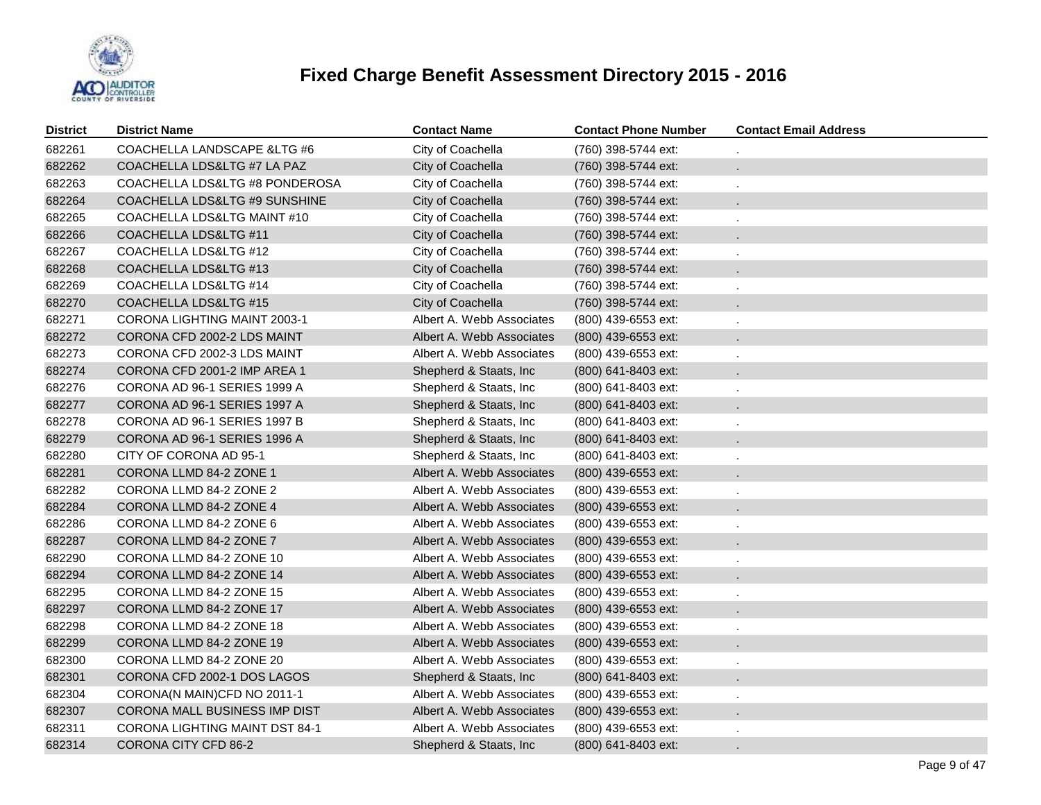

| <b>District</b> | <b>District Name</b>           | <b>Contact Name</b>       | <b>Contact Phone Number</b> | <b>Contact Email Address</b> |
|-----------------|--------------------------------|---------------------------|-----------------------------|------------------------------|
| 682261          | COACHELLA LANDSCAPE & LTG #6   | City of Coachella         | (760) 398-5744 ext:         |                              |
| 682262          | COACHELLA LDS&LTG #7 LA PAZ    | City of Coachella         | (760) 398-5744 ext:         | $\ddot{\phantom{0}}$         |
| 682263          | COACHELLA LDS&LTG #8 PONDEROSA | City of Coachella         | (760) 398-5744 ext:         |                              |
| 682264          | COACHELLA LDS&LTG #9 SUNSHINE  | City of Coachella         | (760) 398-5744 ext:         |                              |
| 682265          | COACHELLA LDS&LTG MAINT #10    | City of Coachella         | (760) 398-5744 ext:         |                              |
| 682266          | COACHELLA LDS&LTG #11          | City of Coachella         | (760) 398-5744 ext:         |                              |
| 682267          | COACHELLA LDS&LTG #12          | City of Coachella         | (760) 398-5744 ext:         |                              |
| 682268          | COACHELLA LDS&LTG #13          | City of Coachella         | (760) 398-5744 ext:         |                              |
| 682269          | COACHELLA LDS&LTG #14          | City of Coachella         | (760) 398-5744 ext:         |                              |
| 682270          | COACHELLA LDS&LTG #15          | City of Coachella         | (760) 398-5744 ext:         |                              |
| 682271          | CORONA LIGHTING MAINT 2003-1   | Albert A. Webb Associates | (800) 439-6553 ext:         |                              |
| 682272          | CORONA CFD 2002-2 LDS MAINT    | Albert A. Webb Associates | (800) 439-6553 ext:         |                              |
| 682273          | CORONA CFD 2002-3 LDS MAINT    | Albert A. Webb Associates | (800) 439-6553 ext:         |                              |
| 682274          | CORONA CFD 2001-2 IMP AREA 1   | Shepherd & Staats, Inc.   | $(800)$ 641-8403 ext:       |                              |
| 682276          | CORONA AD 96-1 SERIES 1999 A   | Shepherd & Staats, Inc.   | (800) 641-8403 ext:         |                              |
| 682277          | CORONA AD 96-1 SERIES 1997 A   | Shepherd & Staats, Inc.   | (800) 641-8403 ext:         |                              |
| 682278          | CORONA AD 96-1 SERIES 1997 B   | Shepherd & Staats, Inc.   | (800) 641-8403 ext:         | $\blacksquare$               |
| 682279          | CORONA AD 96-1 SERIES 1996 A   | Shepherd & Staats, Inc.   | (800) 641-8403 ext:         |                              |
| 682280          | CITY OF CORONA AD 95-1         | Shepherd & Staats, Inc.   | (800) 641-8403 ext:         |                              |
| 682281          | CORONA LLMD 84-2 ZONE 1        | Albert A. Webb Associates | (800) 439-6553 ext:         |                              |
| 682282          | CORONA LLMD 84-2 ZONE 2        | Albert A. Webb Associates | (800) 439-6553 ext:         |                              |
| 682284          | CORONA LLMD 84-2 ZONE 4        | Albert A. Webb Associates | $(800)$ 439-6553 ext:       |                              |
| 682286          | CORONA LLMD 84-2 ZONE 6        | Albert A. Webb Associates | (800) 439-6553 ext:         |                              |
| 682287          | CORONA LLMD 84-2 ZONE 7        | Albert A. Webb Associates | (800) 439-6553 ext:         |                              |
| 682290          | CORONA LLMD 84-2 ZONE 10       | Albert A. Webb Associates | (800) 439-6553 ext:         |                              |
| 682294          | CORONA LLMD 84-2 ZONE 14       | Albert A. Webb Associates | $(800)$ 439-6553 ext:       |                              |
| 682295          | CORONA LLMD 84-2 ZONE 15       | Albert A. Webb Associates | (800) 439-6553 ext:         |                              |
| 682297          | CORONA LLMD 84-2 ZONE 17       | Albert A. Webb Associates | (800) 439-6553 ext:         |                              |
| 682298          | CORONA LLMD 84-2 ZONE 18       | Albert A. Webb Associates | (800) 439-6553 ext:         | ×.                           |
| 682299          | CORONA LLMD 84-2 ZONE 19       | Albert A. Webb Associates | (800) 439-6553 ext:         |                              |
| 682300          | CORONA LLMD 84-2 ZONE 20       | Albert A. Webb Associates | (800) 439-6553 ext:         | $\blacksquare$               |
| 682301          | CORONA CFD 2002-1 DOS LAGOS    | Shepherd & Staats, Inc.   | $(800)$ 641-8403 ext:       | ÷.                           |
| 682304          | CORONA(N MAIN)CFD NO 2011-1    | Albert A. Webb Associates | $(800)$ 439-6553 ext:       | $\blacksquare$               |
| 682307          | CORONA MALL BUSINESS IMP DIST  | Albert A. Webb Associates | (800) 439-6553 ext:         | ×.                           |
| 682311          | CORONA LIGHTING MAINT DST 84-1 | Albert A. Webb Associates | (800) 439-6553 ext:         | ×.                           |
| 682314          | <b>CORONA CITY CFD 86-2</b>    | Shepherd & Staats, Inc.   | (800) 641-8403 ext:         |                              |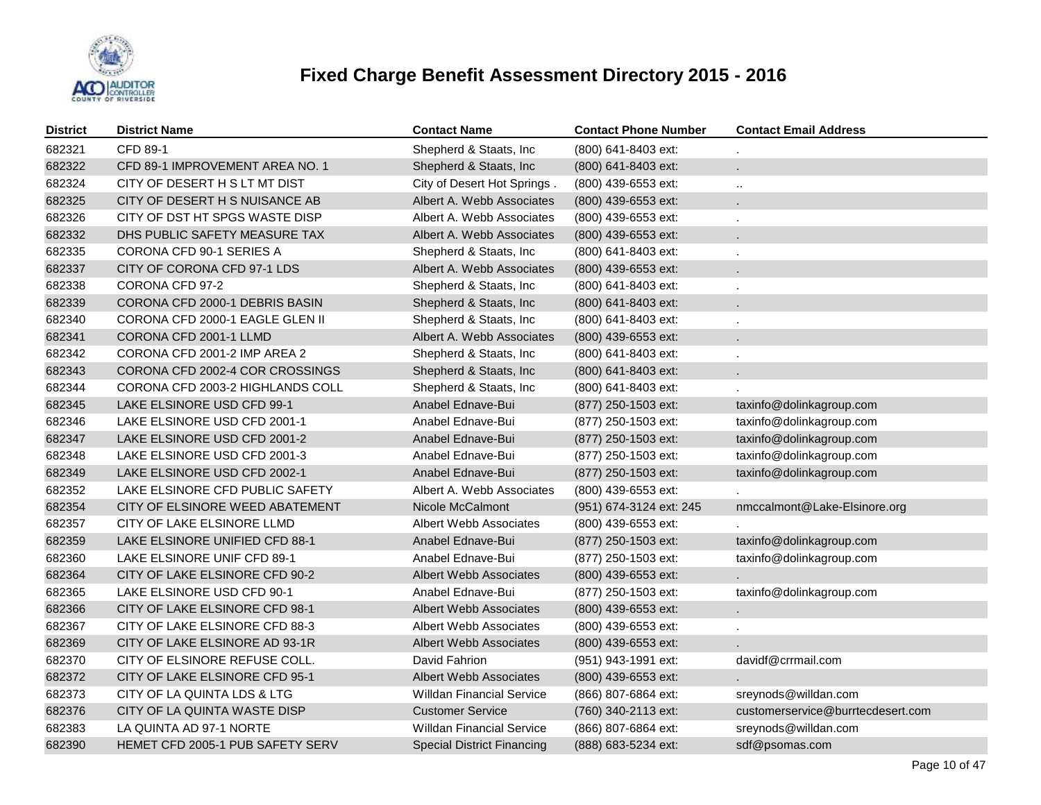

| <b>District</b> | <b>District Name</b>                    | <b>Contact Name</b>               | <b>Contact Phone Number</b> | <b>Contact Email Address</b>      |
|-----------------|-----------------------------------------|-----------------------------------|-----------------------------|-----------------------------------|
| 682321          | CFD 89-1                                | Shepherd & Staats, Inc            | (800) 641-8403 ext:         |                                   |
| 682322          | CFD 89-1 IMPROVEMENT AREA NO. 1         | Shepherd & Staats, Inc.           | (800) 641-8403 ext:         |                                   |
| 682324          | CITY OF DESERT H S LT MT DIST           | City of Desert Hot Springs.       | (800) 439-6553 ext:         | $\ddot{\phantom{a}}$              |
| 682325          | CITY OF DESERT H S NUISANCE AB          | Albert A. Webb Associates         | (800) 439-6553 ext:         | ÷.                                |
| 682326          | CITY OF DST HT SPGS WASTE DISP          | Albert A. Webb Associates         | (800) 439-6553 ext:         |                                   |
| 682332          | DHS PUBLIC SAFETY MEASURE TAX           | Albert A. Webb Associates         | $(800)$ 439-6553 ext:       | ÷.                                |
| 682335          | CORONA CFD 90-1 SERIES A                | Shepherd & Staats, Inc            | (800) 641-8403 ext:         |                                   |
| 682337          | CITY OF CORONA CFD 97-1 LDS             | Albert A. Webb Associates         | $(800)$ 439-6553 ext:       | $\mathbf{r}$                      |
| 682338          | CORONA CFD 97-2                         | Shepherd & Staats, Inc.           | (800) 641-8403 ext:         |                                   |
| 682339          | CORONA CFD 2000-1 DEBRIS BASIN          | Shepherd & Staats, Inc.           | (800) 641-8403 ext:         | $\mathbf{r}$                      |
| 682340          | CORONA CFD 2000-1 EAGLE GLEN II         | Shepherd & Staats, Inc            | (800) 641-8403 ext:         | ä.                                |
| 682341          | CORONA CFD 2001-1 LLMD                  | Albert A. Webb Associates         | (800) 439-6553 ext:         | ÷.                                |
| 682342          | CORONA CFD 2001-2 IMP AREA 2            | Shepherd & Staats, Inc            | (800) 641-8403 ext:         |                                   |
| 682343          | CORONA CFD 2002-4 COR CROSSINGS         | Shepherd & Staats, Inc.           | (800) 641-8403 ext:         | ¥.                                |
| 682344          | CORONA CFD 2003-2 HIGHLANDS COLL        | Shepherd & Staats, Inc.           | (800) 641-8403 ext:         |                                   |
| 682345          | LAKE ELSINORE USD CFD 99-1              | Anabel Ednave-Bui                 | (877) 250-1503 ext:         | taxinfo@dolinkagroup.com          |
| 682346          | LAKE ELSINORE USD CFD 2001-1            | Anabel Ednave-Bui                 | (877) 250-1503 ext:         | taxinfo@dolinkagroup.com          |
| 682347          | LAKE ELSINORE USD CFD 2001-2            | Anabel Ednave-Bui                 | (877) 250-1503 ext:         | taxinfo@dolinkagroup.com          |
| 682348          | LAKE ELSINORE USD CFD 2001-3            | Anabel Ednave-Bui                 | (877) 250-1503 ext:         | taxinfo@dolinkagroup.com          |
| 682349          | LAKE ELSINORE USD CFD 2002-1            | Anabel Ednave-Bui                 | (877) 250-1503 ext:         | taxinfo@dolinkagroup.com          |
| 682352          | LAKE ELSINORE CFD PUBLIC SAFETY         | Albert A. Webb Associates         | (800) 439-6553 ext:         |                                   |
| 682354          | CITY OF ELSINORE WEED ABATEMENT         | Nicole McCalmont                  | (951) 674-3124 ext: 245     | nmccalmont@Lake-Elsinore.org      |
| 682357          | CITY OF LAKE ELSINORE LLMD              | Albert Webb Associates            | (800) 439-6553 ext:         |                                   |
| 682359          | LAKE ELSINORE UNIFIED CFD 88-1          | Anabel Ednave-Bui                 | (877) 250-1503 ext:         | taxinfo@dolinkagroup.com          |
| 682360          | LAKE ELSINORE UNIF CFD 89-1             | Anabel Ednave-Bui                 | (877) 250-1503 ext:         | taxinfo@dolinkagroup.com          |
| 682364          | CITY OF LAKE ELSINORE CFD 90-2          | <b>Albert Webb Associates</b>     | (800) 439-6553 ext:         |                                   |
| 682365          | LAKE ELSINORE USD CFD 90-1              | Anabel Ednave-Bui                 | (877) 250-1503 ext:         | taxinfo@dolinkagroup.com          |
| 682366          | CITY OF LAKE ELSINORE CFD 98-1          | <b>Albert Webb Associates</b>     | (800) 439-6553 ext:         | ¥.                                |
| 682367          | CITY OF LAKE ELSINORE CFD 88-3          | Albert Webb Associates            | (800) 439-6553 ext:         | ä,                                |
| 682369          | CITY OF LAKE ELSINORE AD 93-1R          | Albert Webb Associates            | (800) 439-6553 ext:         |                                   |
| 682370          | CITY OF ELSINORE REFUSE COLL.           | David Fahrion                     | (951) 943-1991 ext:         | davidf@crrmail.com                |
| 682372          | CITY OF LAKE ELSINORE CFD 95-1          | Albert Webb Associates            | (800) 439-6553 ext:         |                                   |
| 682373          | CITY OF LA QUINTA LDS & LTG             | <b>Willdan Financial Service</b>  | (866) 807-6864 ext:         | sreynods@willdan.com              |
| 682376          | CITY OF LA QUINTA WASTE DISP            | <b>Customer Service</b>           | (760) 340-2113 ext:         | customerservice@burrtecdesert.com |
| 682383          | LA QUINTA AD 97-1 NORTE                 | <b>Willdan Financial Service</b>  | (866) 807-6864 ext:         | sreynods@willdan.com              |
| 682390          | <b>HEMET CFD 2005-1 PUB SAFETY SERV</b> | <b>Special District Financing</b> | (888) 683-5234 ext:         | sdf@psomas.com                    |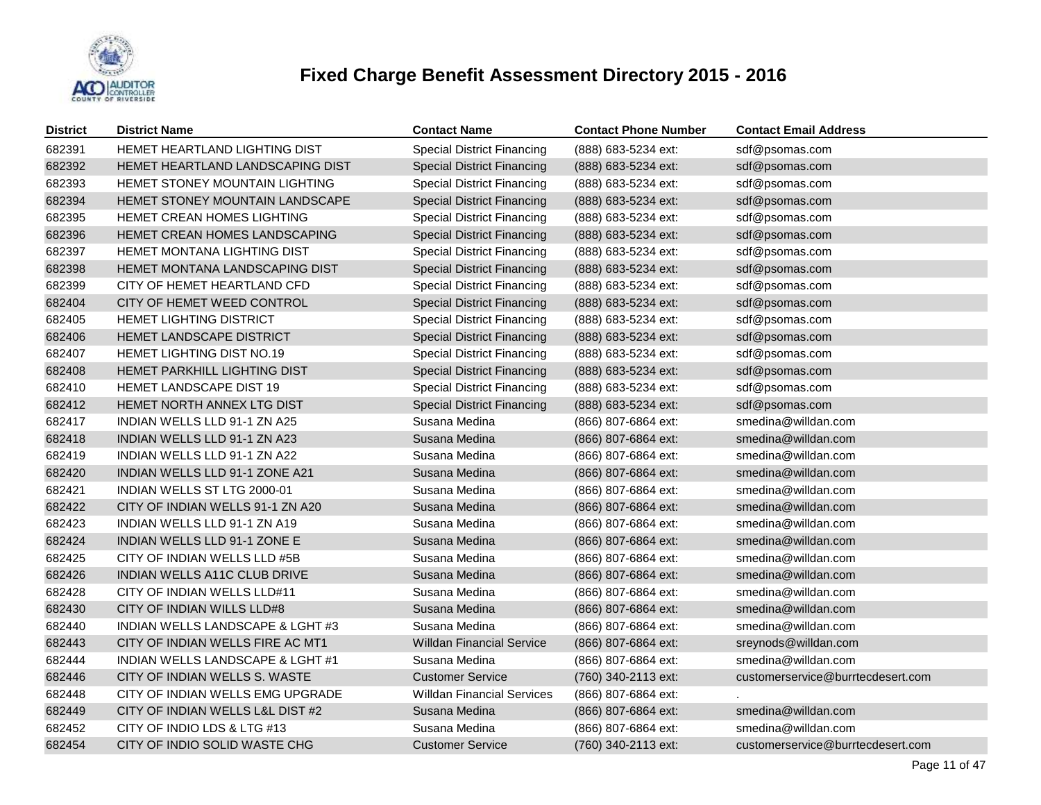

| <b>District</b> | <b>District Name</b>                  | <b>Contact Name</b>               | <b>Contact Phone Number</b> | <b>Contact Email Address</b>      |
|-----------------|---------------------------------------|-----------------------------------|-----------------------------|-----------------------------------|
| 682391          | <b>HEMET HEARTLAND LIGHTING DIST</b>  | <b>Special District Financing</b> | (888) 683-5234 ext:         | sdf@psomas.com                    |
| 682392          | HEMET HEARTLAND LANDSCAPING DIST      | <b>Special District Financing</b> | (888) 683-5234 ext:         | sdf@psomas.com                    |
| 682393          | <b>HEMET STONEY MOUNTAIN LIGHTING</b> | <b>Special District Financing</b> | (888) 683-5234 ext:         | sdf@psomas.com                    |
| 682394          | HEMET STONEY MOUNTAIN LANDSCAPE       | <b>Special District Financing</b> | (888) 683-5234 ext:         | sdf@psomas.com                    |
| 682395          | HEMET CREAN HOMES LIGHTING            | <b>Special District Financing</b> | (888) 683-5234 ext:         | sdf@psomas.com                    |
| 682396          | HEMET CREAN HOMES LANDSCAPING         | <b>Special District Financing</b> | (888) 683-5234 ext:         | sdf@psomas.com                    |
| 682397          | HEMET MONTANA LIGHTING DIST           | <b>Special District Financing</b> | (888) 683-5234 ext:         | sdf@psomas.com                    |
| 682398          | HEMET MONTANA LANDSCAPING DIST        | <b>Special District Financing</b> | (888) 683-5234 ext:         | sdf@psomas.com                    |
| 682399          | CITY OF HEMET HEARTLAND CFD           | <b>Special District Financing</b> | (888) 683-5234 ext:         | sdf@psomas.com                    |
| 682404          | CITY OF HEMET WEED CONTROL            | <b>Special District Financing</b> | (888) 683-5234 ext:         | sdf@psomas.com                    |
| 682405          | HEMET LIGHTING DISTRICT               | <b>Special District Financing</b> | (888) 683-5234 ext:         | sdf@psomas.com                    |
| 682406          | HEMET LANDSCAPE DISTRICT              | <b>Special District Financing</b> | (888) 683-5234 ext:         | sdf@psomas.com                    |
| 682407          | HEMET LIGHTING DIST NO.19             | <b>Special District Financing</b> | (888) 683-5234 ext:         | sdf@psomas.com                    |
| 682408          | HEMET PARKHILL LIGHTING DIST          | <b>Special District Financing</b> | (888) 683-5234 ext:         | sdf@psomas.com                    |
| 682410          | HEMET LANDSCAPE DIST 19               | <b>Special District Financing</b> | (888) 683-5234 ext:         | sdf@psomas.com                    |
| 682412          | HEMET NORTH ANNEX LTG DIST            | <b>Special District Financing</b> | (888) 683-5234 ext:         | sdf@psomas.com                    |
| 682417          | INDIAN WELLS LLD 91-1 ZN A25          | Susana Medina                     | (866) 807-6864 ext:         | smedina@willdan.com               |
| 682418          | INDIAN WELLS LLD 91-1 ZN A23          | Susana Medina                     | (866) 807-6864 ext:         | smedina@willdan.com               |
| 682419          | INDIAN WELLS LLD 91-1 ZN A22          | Susana Medina                     | (866) 807-6864 ext:         | smedina@willdan.com               |
| 682420          | INDIAN WELLS LLD 91-1 ZONE A21        | Susana Medina                     | (866) 807-6864 ext:         | smedina@willdan.com               |
| 682421          | INDIAN WELLS ST LTG 2000-01           | Susana Medina                     | (866) 807-6864 ext:         | smedina@willdan.com               |
| 682422          | CITY OF INDIAN WELLS 91-1 ZN A20      | Susana Medina                     | (866) 807-6864 ext:         | smedina@willdan.com               |
| 682423          | INDIAN WELLS LLD 91-1 ZN A19          | Susana Medina                     | (866) 807-6864 ext:         | smedina@willdan.com               |
| 682424          | INDIAN WELLS LLD 91-1 ZONE E          | Susana Medina                     | (866) 807-6864 ext:         | smedina@willdan.com               |
| 682425          | CITY OF INDIAN WELLS LLD #5B          | Susana Medina                     | (866) 807-6864 ext:         | smedina@willdan.com               |
| 682426          | INDIAN WELLS A11C CLUB DRIVE          | Susana Medina                     | (866) 807-6864 ext:         | smedina@willdan.com               |
| 682428          | CITY OF INDIAN WELLS LLD#11           | Susana Medina                     | (866) 807-6864 ext:         | smedina@willdan.com               |
| 682430          | CITY OF INDIAN WILLS LLD#8            | Susana Medina                     | (866) 807-6864 ext:         | smedina@willdan.com               |
| 682440          | INDIAN WELLS LANDSCAPE & LGHT #3      | Susana Medina                     | (866) 807-6864 ext:         | smedina@willdan.com               |
| 682443          | CITY OF INDIAN WELLS FIRE AC MT1      | <b>Willdan Financial Service</b>  | (866) 807-6864 ext:         | sreynods@willdan.com              |
| 682444          | INDIAN WELLS LANDSCAPE & LGHT #1      | Susana Medina                     | (866) 807-6864 ext:         | smedina@willdan.com               |
| 682446          | CITY OF INDIAN WELLS S. WASTE         | <b>Customer Service</b>           | (760) 340-2113 ext:         | customerservice@burrtecdesert.com |
| 682448          | CITY OF INDIAN WELLS EMG UPGRADE      | <b>Willdan Financial Services</b> | (866) 807-6864 ext:         |                                   |
| 682449          | CITY OF INDIAN WELLS L&L DIST #2      | Susana Medina                     | (866) 807-6864 ext:         | smedina@willdan.com               |
| 682452          | CITY OF INDIO LDS & LTG #13           | Susana Medina                     | (866) 807-6864 ext:         | smedina@willdan.com               |
| 682454          | CITY OF INDIO SOLID WASTE CHG         | <b>Customer Service</b>           | (760) 340-2113 ext:         | customerservice@burrtecdesert.com |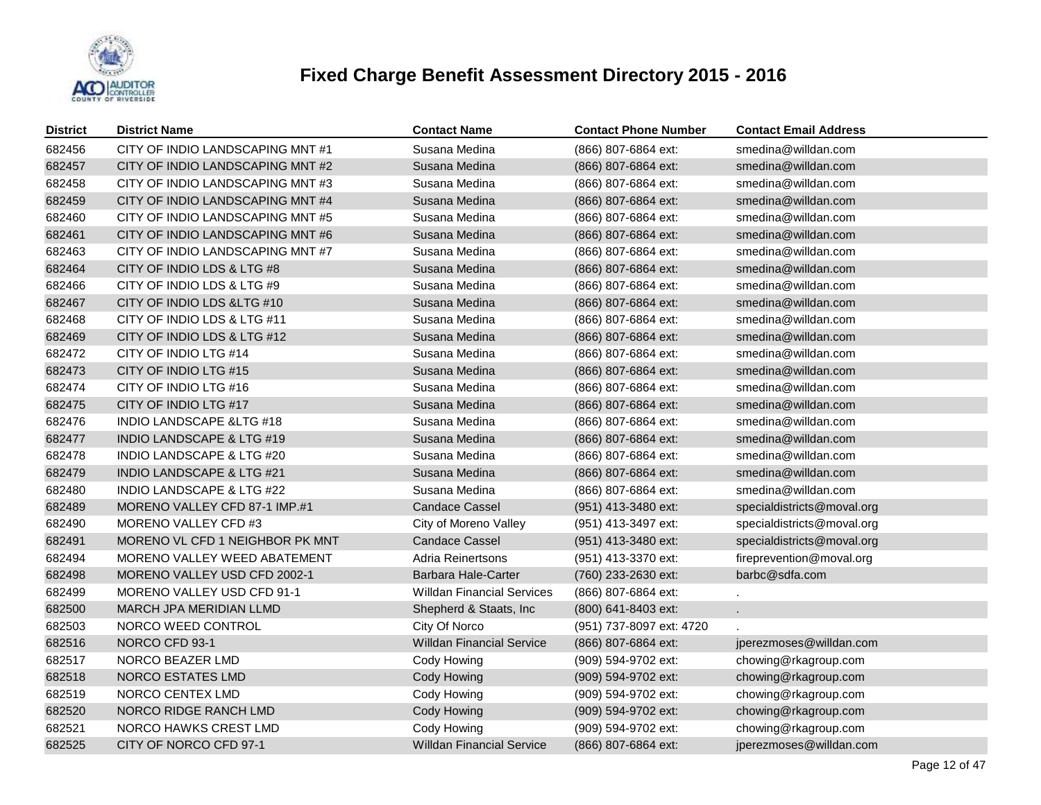

| <b>District</b> | <b>District Name</b>                 | <b>Contact Name</b>               | <b>Contact Phone Number</b> | <b>Contact Email Address</b> |
|-----------------|--------------------------------------|-----------------------------------|-----------------------------|------------------------------|
| 682456          | CITY OF INDIO LANDSCAPING MNT#1      | Susana Medina                     | (866) 807-6864 ext:         | smedina@willdan.com          |
| 682457          | CITY OF INDIO LANDSCAPING MNT#2      | Susana Medina                     | (866) 807-6864 ext:         | smedina@willdan.com          |
| 682458          | CITY OF INDIO LANDSCAPING MNT#3      | Susana Medina                     | (866) 807-6864 ext:         | smedina@willdan.com          |
| 682459          | CITY OF INDIO LANDSCAPING MNT #4     | Susana Medina                     | (866) 807-6864 ext:         | smedina@willdan.com          |
| 682460          | CITY OF INDIO LANDSCAPING MNT#5      | Susana Medina                     | (866) 807-6864 ext:         | smedina@willdan.com          |
| 682461          | CITY OF INDIO LANDSCAPING MNT#6      | Susana Medina                     | (866) 807-6864 ext:         | smedina@willdan.com          |
| 682463          | CITY OF INDIO LANDSCAPING MNT#7      | Susana Medina                     | (866) 807-6864 ext:         | smedina@willdan.com          |
| 682464          | CITY OF INDIO LDS & LTG #8           | Susana Medina                     | (866) 807-6864 ext:         | smedina@willdan.com          |
| 682466          | CITY OF INDIO LDS & LTG #9           | Susana Medina                     | (866) 807-6864 ext:         | smedina@willdan.com          |
| 682467          | CITY OF INDIO LDS & LTG #10          | Susana Medina                     | (866) 807-6864 ext:         | smedina@willdan.com          |
| 682468          | CITY OF INDIO LDS & LTG #11          | Susana Medina                     | (866) 807-6864 ext:         | smedina@willdan.com          |
| 682469          | CITY OF INDIO LDS & LTG #12          | Susana Medina                     | (866) 807-6864 ext:         | smedina@willdan.com          |
| 682472          | CITY OF INDIO LTG #14                | Susana Medina                     | (866) 807-6864 ext:         | smedina@willdan.com          |
| 682473          | CITY OF INDIO LTG #15                | Susana Medina                     | (866) 807-6864 ext:         | smedina@willdan.com          |
| 682474          | CITY OF INDIO LTG #16                | Susana Medina                     | (866) 807-6864 ext:         | smedina@willdan.com          |
| 682475          | CITY OF INDIO LTG #17                | Susana Medina                     | (866) 807-6864 ext:         | smedina@willdan.com          |
| 682476          | <b>INDIO LANDSCAPE &amp;LTG #18</b>  | Susana Medina                     | (866) 807-6864 ext:         | smedina@willdan.com          |
| 682477          | <b>INDIO LANDSCAPE &amp; LTG #19</b> | Susana Medina                     | (866) 807-6864 ext:         | smedina@willdan.com          |
| 682478          | <b>INDIO LANDSCAPE &amp; LTG #20</b> | Susana Medina                     | (866) 807-6864 ext:         | smedina@willdan.com          |
| 682479          | <b>INDIO LANDSCAPE &amp; LTG #21</b> | Susana Medina                     | (866) 807-6864 ext:         | smedina@willdan.com          |
| 682480          | INDIO LANDSCAPE & LTG #22            | Susana Medina                     | (866) 807-6864 ext:         | smedina@willdan.com          |
| 682489          | MORENO VALLEY CFD 87-1 IMP.#1        | <b>Candace Cassel</b>             | (951) 413-3480 ext:         | specialdistricts@moval.org   |
| 682490          | MORENO VALLEY CFD #3                 | City of Moreno Valley             | (951) 413-3497 ext:         | specialdistricts@moval.org   |
| 682491          | MORENO VL CFD 1 NEIGHBOR PK MNT      | Candace Cassel                    | (951) 413-3480 ext:         | specialdistricts@moval.org   |
| 682494          | MORENO VALLEY WEED ABATEMENT         | Adria Reinertsons                 | (951) 413-3370 ext:         | fireprevention@moval.org     |
| 682498          | MORENO VALLEY USD CFD 2002-1         | Barbara Hale-Carter               | (760) 233-2630 ext:         | barbc@sdfa.com               |
| 682499          | <b>MORENO VALLEY USD CFD 91-1</b>    | <b>Willdan Financial Services</b> | (866) 807-6864 ext:         |                              |
| 682500          | <b>MARCH JPA MERIDIAN LLMD</b>       | Shepherd & Staats, Inc            | (800) 641-8403 ext:         | ä,                           |
| 682503          | NORCO WEED CONTROL                   | City Of Norco                     | (951) 737-8097 ext: 4720    |                              |
| 682516          | NORCO CFD 93-1                       | <b>Willdan Financial Service</b>  | (866) 807-6864 ext:         | jperezmoses@willdan.com      |
| 682517          | NORCO BEAZER LMD                     | Cody Howing                       | (909) 594-9702 ext:         | chowing@rkagroup.com         |
| 682518          | NORCO ESTATES LMD                    | Cody Howing                       | (909) 594-9702 ext:         | chowing@rkagroup.com         |
| 682519          | NORCO CENTEX LMD                     | Cody Howing                       | (909) 594-9702 ext:         | chowing@rkagroup.com         |
| 682520          | NORCO RIDGE RANCH LMD                | Cody Howing                       | (909) 594-9702 ext:         | chowing@rkagroup.com         |
| 682521          | NORCO HAWKS CREST LMD                | Cody Howing                       | (909) 594-9702 ext:         | chowing@rkagroup.com         |
| 682525          | CITY OF NORCO CFD 97-1               | <b>Willdan Financial Service</b>  | (866) 807-6864 ext:         | jperezmoses@willdan.com      |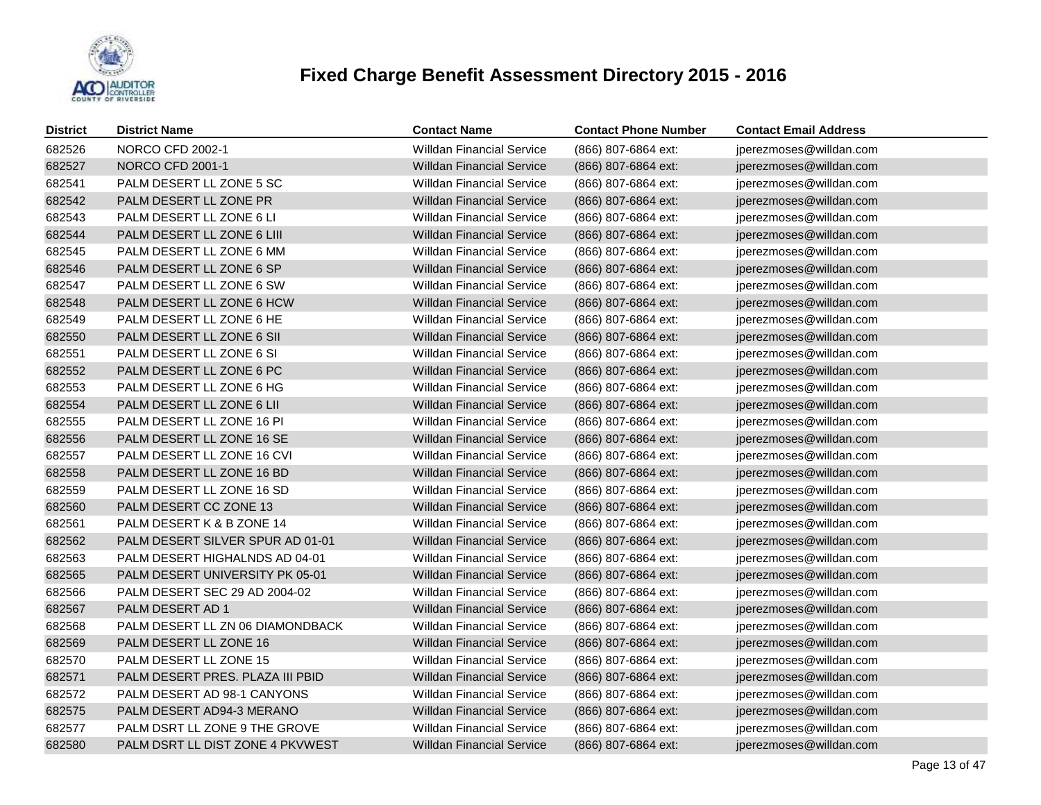

| <b>District</b> | <b>District Name</b>             | <b>Contact Name</b>              | <b>Contact Phone Number</b> | <b>Contact Email Address</b> |
|-----------------|----------------------------------|----------------------------------|-----------------------------|------------------------------|
| 682526          | NORCO CFD 2002-1                 | <b>Willdan Financial Service</b> | (866) 807-6864 ext:         | jperezmoses@willdan.com      |
| 682527          | <b>NORCO CFD 2001-1</b>          | <b>Willdan Financial Service</b> | (866) 807-6864 ext:         | jperezmoses@willdan.com      |
| 682541          | PALM DESERT LL ZONE 5 SC         | <b>Willdan Financial Service</b> | (866) 807-6864 ext:         | jperezmoses@willdan.com      |
| 682542          | PALM DESERT LL ZONE PR           | <b>Willdan Financial Service</b> | (866) 807-6864 ext:         | jperezmoses@willdan.com      |
| 682543          | PALM DESERT LL ZONE 6 LI         | <b>Willdan Financial Service</b> | (866) 807-6864 ext:         | jperezmoses@willdan.com      |
| 682544          | PALM DESERT LL ZONE 6 LIII       | <b>Willdan Financial Service</b> | (866) 807-6864 ext:         | jperezmoses@willdan.com      |
| 682545          | PALM DESERT LL ZONE 6 MM         | <b>Willdan Financial Service</b> | (866) 807-6864 ext:         | jperezmoses@willdan.com      |
| 682546          | PALM DESERT LL ZONE 6 SP         | <b>Willdan Financial Service</b> | (866) 807-6864 ext:         | jperezmoses@willdan.com      |
| 682547          | PALM DESERT LL ZONE 6 SW         | <b>Willdan Financial Service</b> | (866) 807-6864 ext:         | jperezmoses@willdan.com      |
| 682548          | PALM DESERT LL ZONE 6 HCW        | <b>Willdan Financial Service</b> | (866) 807-6864 ext:         | jperezmoses@willdan.com      |
| 682549          | PALM DESERT LL ZONE 6 HE         | <b>Willdan Financial Service</b> | (866) 807-6864 ext:         | jperezmoses@willdan.com      |
| 682550          | PALM DESERT LL ZONE 6 SII        | <b>Willdan Financial Service</b> | (866) 807-6864 ext:         | jperezmoses@willdan.com      |
| 682551          | PALM DESERT LL ZONE 6 SI         | <b>Willdan Financial Service</b> | (866) 807-6864 ext:         | jperezmoses@willdan.com      |
| 682552          | PALM DESERT LL ZONE 6 PC         | <b>Willdan Financial Service</b> | (866) 807-6864 ext:         | jperezmoses@willdan.com      |
| 682553          | PALM DESERT LL ZONE 6 HG         | <b>Willdan Financial Service</b> | (866) 807-6864 ext:         | jperezmoses@willdan.com      |
| 682554          | PALM DESERT LL ZONE 6 LII        | <b>Willdan Financial Service</b> | (866) 807-6864 ext:         | jperezmoses@willdan.com      |
| 682555          | PALM DESERT LL ZONE 16 PI        | <b>Willdan Financial Service</b> | (866) 807-6864 ext:         | jperezmoses@willdan.com      |
| 682556          | PALM DESERT LL ZONE 16 SE        | <b>Willdan Financial Service</b> | (866) 807-6864 ext:         | jperezmoses@willdan.com      |
| 682557          | PALM DESERT LL ZONE 16 CVI       | <b>Willdan Financial Service</b> | (866) 807-6864 ext:         | jperezmoses@willdan.com      |
| 682558          | PALM DESERT LL ZONE 16 BD        | <b>Willdan Financial Service</b> | (866) 807-6864 ext:         | jperezmoses@willdan.com      |
| 682559          | PALM DESERT LL ZONE 16 SD        | <b>Willdan Financial Service</b> | (866) 807-6864 ext:         | jperezmoses@willdan.com      |
| 682560          | PALM DESERT CC ZONE 13           | <b>Willdan Financial Service</b> | (866) 807-6864 ext:         | jperezmoses@willdan.com      |
| 682561          | PALM DESERT K & B ZONE 14        | <b>Willdan Financial Service</b> | (866) 807-6864 ext:         | jperezmoses@willdan.com      |
| 682562          | PALM DESERT SILVER SPUR AD 01-01 | <b>Willdan Financial Service</b> | (866) 807-6864 ext:         | jperezmoses@willdan.com      |
| 682563          | PALM DESERT HIGHALNDS AD 04-01   | <b>Willdan Financial Service</b> | (866) 807-6864 ext:         | jperezmoses@willdan.com      |
| 682565          | PALM DESERT UNIVERSITY PK 05-01  | <b>Willdan Financial Service</b> | (866) 807-6864 ext:         | jperezmoses@willdan.com      |
| 682566          | PALM DESERT SEC 29 AD 2004-02    | <b>Willdan Financial Service</b> | (866) 807-6864 ext:         | jperezmoses@willdan.com      |
| 682567          | PALM DESERT AD 1                 | <b>Willdan Financial Service</b> | (866) 807-6864 ext:         | jperezmoses@willdan.com      |
| 682568          | PALM DESERT LL ZN 06 DIAMONDBACK | <b>Willdan Financial Service</b> | (866) 807-6864 ext:         | jperezmoses@willdan.com      |
| 682569          | PALM DESERT LL ZONE 16           | <b>Willdan Financial Service</b> | (866) 807-6864 ext:         | jperezmoses@willdan.com      |
| 682570          | PALM DESERT LL ZONE 15           | <b>Willdan Financial Service</b> | (866) 807-6864 ext:         | jperezmoses@willdan.com      |
| 682571          | PALM DESERT PRES. PLAZA III PBID | <b>Willdan Financial Service</b> | (866) 807-6864 ext:         | jperezmoses@willdan.com      |
| 682572          | PALM DESERT AD 98-1 CANYONS      | <b>Willdan Financial Service</b> | (866) 807-6864 ext:         | jperezmoses@willdan.com      |
| 682575          | PALM DESERT AD94-3 MERANO        | <b>Willdan Financial Service</b> | (866) 807-6864 ext:         | jperezmoses@willdan.com      |
| 682577          | PALM DSRT LL ZONE 9 THE GROVE    | <b>Willdan Financial Service</b> | (866) 807-6864 ext:         | jperezmoses@willdan.com      |
| 682580          | PALM DSRT LL DIST ZONE 4 PKVWEST | <b>Willdan Financial Service</b> | (866) 807-6864 ext:         | jperezmoses@willdan.com      |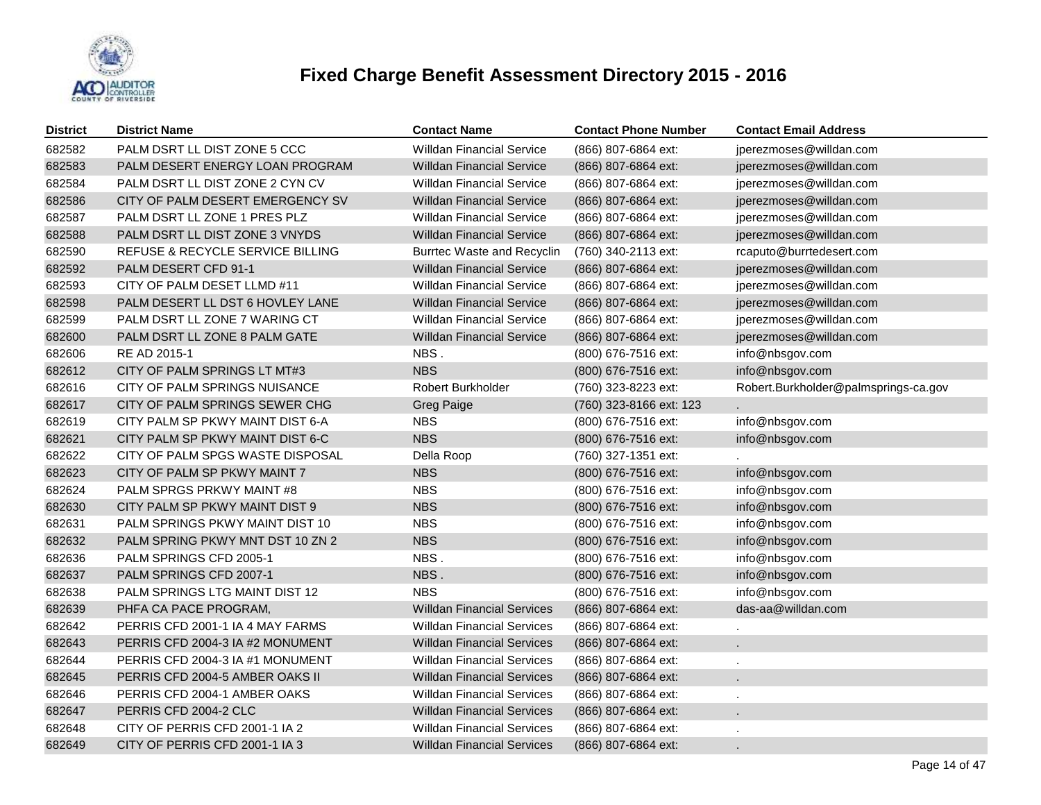

| <b>District</b> | <b>District Name</b>             | <b>Contact Name</b>               | <b>Contact Phone Number</b> | <b>Contact Email Address</b>         |
|-----------------|----------------------------------|-----------------------------------|-----------------------------|--------------------------------------|
| 682582          | PALM DSRT LL DIST ZONE 5 CCC     | <b>Willdan Financial Service</b>  | (866) 807-6864 ext:         | jperezmoses@willdan.com              |
| 682583          | PALM DESERT ENERGY LOAN PROGRAM  | Willdan Financial Service         | (866) 807-6864 ext:         | jperezmoses@willdan.com              |
| 682584          | PALM DSRT LL DIST ZONE 2 CYN CV  | <b>Willdan Financial Service</b>  | (866) 807-6864 ext:         | jperezmoses@willdan.com              |
| 682586          | CITY OF PALM DESERT EMERGENCY SV | Willdan Financial Service         | (866) 807-6864 ext:         | jperezmoses@willdan.com              |
| 682587          | PALM DSRT LL ZONE 1 PRES PLZ     | <b>Willdan Financial Service</b>  | (866) 807-6864 ext:         | jperezmoses@willdan.com              |
| 682588          | PALM DSRT LL DIST ZONE 3 VNYDS   | Willdan Financial Service         | (866) 807-6864 ext:         | jperezmoses@willdan.com              |
| 682590          | REFUSE & RECYCLE SERVICE BILLING | <b>Burrtec Waste and Recyclin</b> | (760) 340-2113 ext:         | rcaputo@burrtedesert.com             |
| 682592          | PALM DESERT CFD 91-1             | Willdan Financial Service         | (866) 807-6864 ext:         | jperezmoses@willdan.com              |
| 682593          | CITY OF PALM DESET LLMD #11      | <b>Willdan Financial Service</b>  | (866) 807-6864 ext:         | jperezmoses@willdan.com              |
| 682598          | PALM DESERT LL DST 6 HOVLEY LANE | Willdan Financial Service         | (866) 807-6864 ext:         | jperezmoses@willdan.com              |
| 682599          | PALM DSRT LL ZONE 7 WARING CT    | <b>Willdan Financial Service</b>  | (866) 807-6864 ext:         | jperezmoses@willdan.com              |
| 682600          | PALM DSRT LL ZONE 8 PALM GATE    | Willdan Financial Service         | (866) 807-6864 ext:         | jperezmoses@willdan.com              |
| 682606          | RE AD 2015-1                     | NBS.                              | (800) 676-7516 ext:         | info@nbsgov.com                      |
| 682612          | CITY OF PALM SPRINGS LT MT#3     | <b>NBS</b>                        | (800) 676-7516 ext:         | info@nbsgov.com                      |
| 682616          | CITY OF PALM SPRINGS NUISANCE    | Robert Burkholder                 | (760) 323-8223 ext:         | Robert.Burkholder@palmsprings-ca.gov |
| 682617          | CITY OF PALM SPRINGS SEWER CHG   | <b>Greg Paige</b>                 | (760) 323-8166 ext: 123     |                                      |
| 682619          | CITY PALM SP PKWY MAINT DIST 6-A | <b>NBS</b>                        | (800) 676-7516 ext:         | info@nbsgov.com                      |
| 682621          | CITY PALM SP PKWY MAINT DIST 6-C | <b>NBS</b>                        | (800) 676-7516 ext:         | info@nbsgov.com                      |
| 682622          | CITY OF PALM SPGS WASTE DISPOSAL | Della Roop                        | (760) 327-1351 ext:         |                                      |
| 682623          | CITY OF PALM SP PKWY MAINT 7     | <b>NBS</b>                        | (800) 676-7516 ext:         | info@nbsgov.com                      |
| 682624          | PALM SPRGS PRKWY MAINT #8        | <b>NBS</b>                        | (800) 676-7516 ext:         | info@nbsgov.com                      |
| 682630          | CITY PALM SP PKWY MAINT DIST 9   | <b>NBS</b>                        | (800) 676-7516 ext:         | info@nbsgov.com                      |
| 682631          | PALM SPRINGS PKWY MAINT DIST 10  | <b>NBS</b>                        | (800) 676-7516 ext:         | info@nbsgov.com                      |
| 682632          | PALM SPRING PKWY MNT DST 10 ZN 2 | <b>NBS</b>                        | (800) 676-7516 ext:         | info@nbsgov.com                      |
| 682636          | PALM SPRINGS CFD 2005-1          | NBS.                              | (800) 676-7516 ext:         | info@nbsgov.com                      |
| 682637          | PALM SPRINGS CFD 2007-1          | NBS.                              | (800) 676-7516 ext:         | info@nbsgov.com                      |
| 682638          | PALM SPRINGS LTG MAINT DIST 12   | <b>NBS</b>                        | (800) 676-7516 ext:         | info@nbsgov.com                      |
| 682639          | PHFA CA PACE PROGRAM,            | <b>Willdan Financial Services</b> | (866) 807-6864 ext:         | das-aa@willdan.com                   |
| 682642          | PERRIS CFD 2001-1 IA 4 MAY FARMS | <b>Willdan Financial Services</b> | (866) 807-6864 ext:         | $\epsilon$                           |
| 682643          | PERRIS CFD 2004-3 IA #2 MONUMENT | <b>Willdan Financial Services</b> | (866) 807-6864 ext:         |                                      |
| 682644          | PERRIS CFD 2004-3 IA #1 MONUMENT | <b>Willdan Financial Services</b> | (866) 807-6864 ext:         | $\mathbf{r}$                         |
| 682645          | PERRIS CFD 2004-5 AMBER OAKS II  | Willdan Financial Services        | (866) 807-6864 ext:         |                                      |
| 682646          | PERRIS CFD 2004-1 AMBER OAKS     | <b>Willdan Financial Services</b> | (866) 807-6864 ext:         | $\cdot$                              |
| 682647          | PERRIS CFD 2004-2 CLC            | Willdan Financial Services        | (866) 807-6864 ext:         |                                      |
| 682648          | CITY OF PERRIS CFD 2001-1 IA 2   | Willdan Financial Services        | (866) 807-6864 ext:         |                                      |
| 682649          | CITY OF PERRIS CFD 2001-1 IA 3   | Willdan Financial Services        | (866) 807-6864 ext:         |                                      |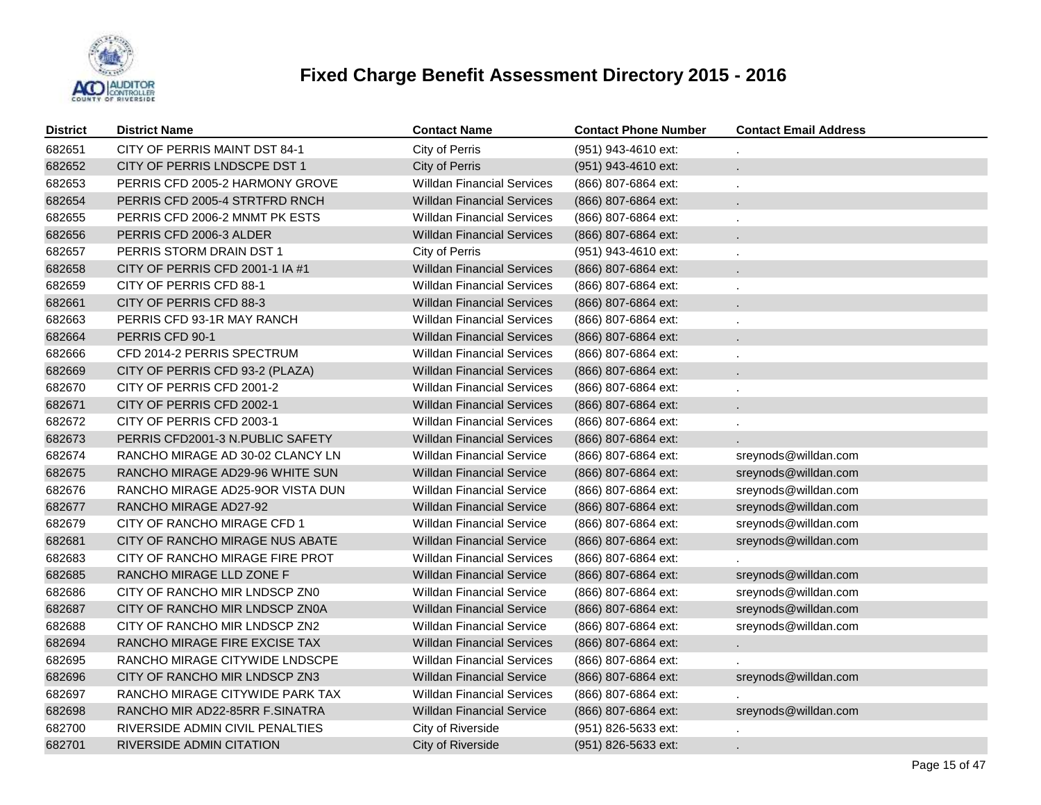

| <b>District</b> | <b>District Name</b>             | <b>Contact Name</b>               | <b>Contact Phone Number</b> | <b>Contact Email Address</b> |
|-----------------|----------------------------------|-----------------------------------|-----------------------------|------------------------------|
| 682651          | CITY OF PERRIS MAINT DST 84-1    | City of Perris                    | (951) 943-4610 ext:         |                              |
| 682652          | CITY OF PERRIS LNDSCPE DST 1     | City of Perris                    | (951) 943-4610 ext:         |                              |
| 682653          | PERRIS CFD 2005-2 HARMONY GROVE  | <b>Willdan Financial Services</b> | (866) 807-6864 ext:         |                              |
| 682654          | PERRIS CFD 2005-4 STRTFRD RNCH   | <b>Willdan Financial Services</b> | (866) 807-6864 ext:         |                              |
| 682655          | PERRIS CFD 2006-2 MNMT PK ESTS   | <b>Willdan Financial Services</b> | (866) 807-6864 ext:         |                              |
| 682656          | PERRIS CFD 2006-3 ALDER          | <b>Willdan Financial Services</b> | (866) 807-6864 ext:         |                              |
| 682657          | PERRIS STORM DRAIN DST 1         | City of Perris                    | (951) 943-4610 ext:         |                              |
| 682658          | CITY OF PERRIS CFD 2001-1 IA #1  | <b>Willdan Financial Services</b> | (866) 807-6864 ext:         |                              |
| 682659          | CITY OF PERRIS CFD 88-1          | <b>Willdan Financial Services</b> | (866) 807-6864 ext:         |                              |
| 682661          | CITY OF PERRIS CFD 88-3          | <b>Willdan Financial Services</b> | (866) 807-6864 ext:         |                              |
| 682663          | PERRIS CFD 93-1R MAY RANCH       | <b>Willdan Financial Services</b> | (866) 807-6864 ext:         |                              |
| 682664          | PERRIS CFD 90-1                  | <b>Willdan Financial Services</b> | (866) 807-6864 ext:         |                              |
| 682666          | CFD 2014-2 PERRIS SPECTRUM       | <b>Willdan Financial Services</b> | (866) 807-6864 ext:         |                              |
| 682669          | CITY OF PERRIS CFD 93-2 (PLAZA)  | <b>Willdan Financial Services</b> | (866) 807-6864 ext:         |                              |
| 682670          | CITY OF PERRIS CFD 2001-2        | <b>Willdan Financial Services</b> | (866) 807-6864 ext:         |                              |
| 682671          | CITY OF PERRIS CFD 2002-1        | <b>Willdan Financial Services</b> | (866) 807-6864 ext:         |                              |
| 682672          | CITY OF PERRIS CFD 2003-1        | <b>Willdan Financial Services</b> | (866) 807-6864 ext:         |                              |
| 682673          | PERRIS CFD2001-3 N.PUBLIC SAFETY | <b>Willdan Financial Services</b> | (866) 807-6864 ext:         |                              |
| 682674          | RANCHO MIRAGE AD 30-02 CLANCY LN | <b>Willdan Financial Service</b>  | (866) 807-6864 ext:         | sreynods@willdan.com         |
| 682675          | RANCHO MIRAGE AD29-96 WHITE SUN  | <b>Willdan Financial Service</b>  | (866) 807-6864 ext:         | sreynods@willdan.com         |
| 682676          | RANCHO MIRAGE AD25-9OR VISTA DUN | <b>Willdan Financial Service</b>  | (866) 807-6864 ext:         | sreynods@willdan.com         |
| 682677          | RANCHO MIRAGE AD27-92            | <b>Willdan Financial Service</b>  | $(866)$ 807-6864 ext:       | sreynods@willdan.com         |
| 682679          | CITY OF RANCHO MIRAGE CFD 1      | <b>Willdan Financial Service</b>  | (866) 807-6864 ext:         | sreynods@willdan.com         |
| 682681          | CITY OF RANCHO MIRAGE NUS ABATE  | <b>Willdan Financial Service</b>  | (866) 807-6864 ext:         | sreynods@willdan.com         |
| 682683          | CITY OF RANCHO MIRAGE FIRE PROT  | <b>Willdan Financial Services</b> | (866) 807-6864 ext:         |                              |
| 682685          | RANCHO MIRAGE LLD ZONE F         | Willdan Financial Service         | (866) 807-6864 ext:         | sreynods@willdan.com         |
| 682686          | CITY OF RANCHO MIR LNDSCP ZN0    | <b>Willdan Financial Service</b>  | (866) 807-6864 ext:         | sreynods@willdan.com         |
| 682687          | CITY OF RANCHO MIR LNDSCP ZN0A   | <b>Willdan Financial Service</b>  | $(866)$ 807-6864 ext:       | sreynods@willdan.com         |
| 682688          | CITY OF RANCHO MIR LNDSCP ZN2    | <b>Willdan Financial Service</b>  | (866) 807-6864 ext:         | sreynods@willdan.com         |
| 682694          | RANCHO MIRAGE FIRE EXCISE TAX    | <b>Willdan Financial Services</b> | (866) 807-6864 ext:         | χ.                           |
| 682695          | RANCHO MIRAGE CITYWIDE LNDSCPE   | <b>Willdan Financial Services</b> | (866) 807-6864 ext:         |                              |
| 682696          | CITY OF RANCHO MIR LNDSCP ZN3    | <b>Willdan Financial Service</b>  | (866) 807-6864 ext:         | sreynods@willdan.com         |
| 682697          | RANCHO MIRAGE CITYWIDE PARK TAX  | <b>Willdan Financial Services</b> | (866) 807-6864 ext:         |                              |
| 682698          | RANCHO MIR AD22-85RR F.SINATRA   | <b>Willdan Financial Service</b>  | (866) 807-6864 ext:         | sreynods@willdan.com         |
| 682700          | RIVERSIDE ADMIN CIVIL PENALTIES  | City of Riverside                 | (951) 826-5633 ext:         |                              |
| 682701          | RIVERSIDE ADMIN CITATION         | City of Riverside                 | (951) 826-5633 ext:         | L.                           |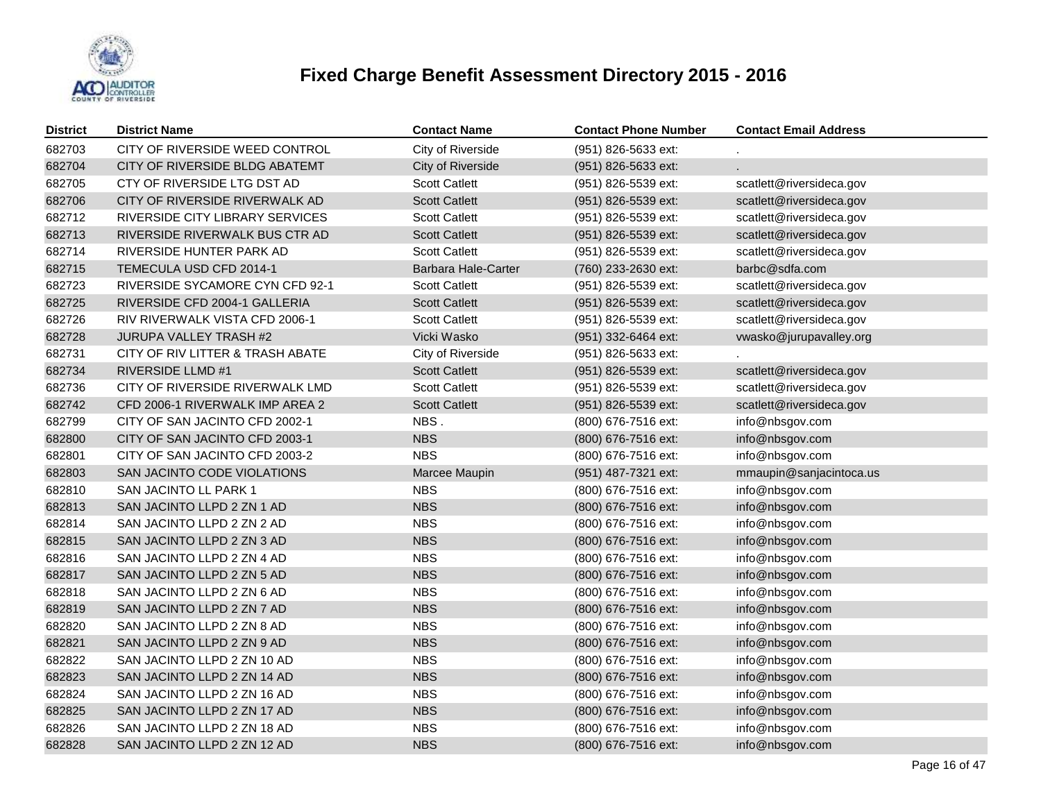

| District | <b>District Name</b>             | <b>Contact Name</b>        | <b>Contact Phone Number</b> | <b>Contact Email Address</b> |
|----------|----------------------------------|----------------------------|-----------------------------|------------------------------|
| 682703   | CITY OF RIVERSIDE WEED CONTROL   | City of Riverside          | (951) 826-5633 ext:         |                              |
| 682704   | CITY OF RIVERSIDE BLDG ABATEMT   | City of Riverside          | $(951)$ 826-5633 ext:       |                              |
| 682705   | CTY OF RIVERSIDE LTG DST AD      | <b>Scott Catlett</b>       | (951) 826-5539 ext:         | scatlett@riversideca.gov     |
| 682706   | CITY OF RIVERSIDE RIVERWALK AD   | <b>Scott Catlett</b>       | (951) 826-5539 ext:         | scatlett@riversideca.gov     |
| 682712   | RIVERSIDE CITY LIBRARY SERVICES  | <b>Scott Catlett</b>       | (951) 826-5539 ext:         | scatlett@riversideca.gov     |
| 682713   | RIVERSIDE RIVERWALK BUS CTR AD   | <b>Scott Catlett</b>       | (951) 826-5539 ext:         | scatlett@riversideca.gov     |
| 682714   | RIVERSIDE HUNTER PARK AD         | <b>Scott Catlett</b>       | (951) 826-5539 ext:         | scatlett@riversideca.gov     |
| 682715   | TEMECULA USD CFD 2014-1          | <b>Barbara Hale-Carter</b> | (760) 233-2630 ext:         | barbc@sdfa.com               |
| 682723   | RIVERSIDE SYCAMORE CYN CFD 92-1  | <b>Scott Catlett</b>       | (951) 826-5539 ext:         | scatlett@riversideca.gov     |
| 682725   | RIVERSIDE CFD 2004-1 GALLERIA    | <b>Scott Catlett</b>       | (951) 826-5539 ext:         | scatlett@riversideca.gov     |
| 682726   | RIV RIVERWALK VISTA CFD 2006-1   | <b>Scott Catlett</b>       | (951) 826-5539 ext:         | scatlett@riversideca.gov     |
| 682728   | <b>JURUPA VALLEY TRASH #2</b>    | Vicki Wasko                | (951) 332-6464 ext:         | vwasko@jurupavalley.org      |
| 682731   | CITY OF RIV LITTER & TRASH ABATE | City of Riverside          | (951) 826-5633 ext:         |                              |
| 682734   | <b>RIVERSIDE LLMD #1</b>         | <b>Scott Catlett</b>       | (951) 826-5539 ext:         | scatlett@riversideca.gov     |
| 682736   | CITY OF RIVERSIDE RIVERWALK LMD  | <b>Scott Catlett</b>       | (951) 826-5539 ext:         | scatlett@riversideca.gov     |
| 682742   | CFD 2006-1 RIVERWALK IMP AREA 2  | <b>Scott Catlett</b>       | (951) 826-5539 ext:         | scatlett@riversideca.gov     |
| 682799   | CITY OF SAN JACINTO CFD 2002-1   | NBS.                       | (800) 676-7516 ext:         | info@nbsgov.com              |
| 682800   | CITY OF SAN JACINTO CFD 2003-1   | <b>NBS</b>                 | (800) 676-7516 ext:         | info@nbsgov.com              |
| 682801   | CITY OF SAN JACINTO CFD 2003-2   | <b>NBS</b>                 | (800) 676-7516 ext:         | info@nbsgov.com              |
| 682803   | SAN JACINTO CODE VIOLATIONS      | Marcee Maupin              | (951) 487-7321 ext:         | mmaupin@sanjacintoca.us      |
| 682810   | SAN JACINTO LL PARK 1            | <b>NBS</b>                 | (800) 676-7516 ext:         | info@nbsgov.com              |
| 682813   | SAN JACINTO LLPD 2 ZN 1 AD       | <b>NBS</b>                 | (800) 676-7516 ext:         | info@nbsgov.com              |
| 682814   | SAN JACINTO LLPD 2 ZN 2 AD       | <b>NBS</b>                 | (800) 676-7516 ext:         | info@nbsgov.com              |
| 682815   | SAN JACINTO LLPD 2 ZN 3 AD       | <b>NBS</b>                 | (800) 676-7516 ext:         | info@nbsgov.com              |
| 682816   | SAN JACINTO LLPD 2 ZN 4 AD       | <b>NBS</b>                 | (800) 676-7516 ext:         | info@nbsgov.com              |
| 682817   | SAN JACINTO LLPD 2 ZN 5 AD       | <b>NBS</b>                 | (800) 676-7516 ext:         | info@nbsgov.com              |
| 682818   | SAN JACINTO LLPD 2 ZN 6 AD       | <b>NBS</b>                 | (800) 676-7516 ext:         | info@nbsgov.com              |
| 682819   | SAN JACINTO LLPD 2 ZN 7 AD       | <b>NBS</b>                 | (800) 676-7516 ext:         | info@nbsgov.com              |
| 682820   | SAN JACINTO LLPD 2 ZN 8 AD       | <b>NBS</b>                 | (800) 676-7516 ext:         | info@nbsgov.com              |
| 682821   | SAN JACINTO LLPD 2 ZN 9 AD       | <b>NBS</b>                 | (800) 676-7516 ext:         | info@nbsgov.com              |
| 682822   | SAN JACINTO LLPD 2 ZN 10 AD      | <b>NBS</b>                 | (800) 676-7516 ext:         | info@nbsgov.com              |
| 682823   | SAN JACINTO LLPD 2 ZN 14 AD      | <b>NBS</b>                 | (800) 676-7516 ext:         | info@nbsgov.com              |
| 682824   | SAN JACINTO LLPD 2 ZN 16 AD      | <b>NBS</b>                 | (800) 676-7516 ext:         | info@nbsgov.com              |
| 682825   | SAN JACINTO LLPD 2 ZN 17 AD      | <b>NBS</b>                 | (800) 676-7516 ext:         | info@nbsgov.com              |
| 682826   | SAN JACINTO LLPD 2 ZN 18 AD      | <b>NBS</b>                 | (800) 676-7516 ext:         | info@nbsgov.com              |
| 682828   | SAN JACINTO LLPD 2 ZN 12 AD      | <b>NBS</b>                 | (800) 676-7516 ext:         | info@nbsgov.com              |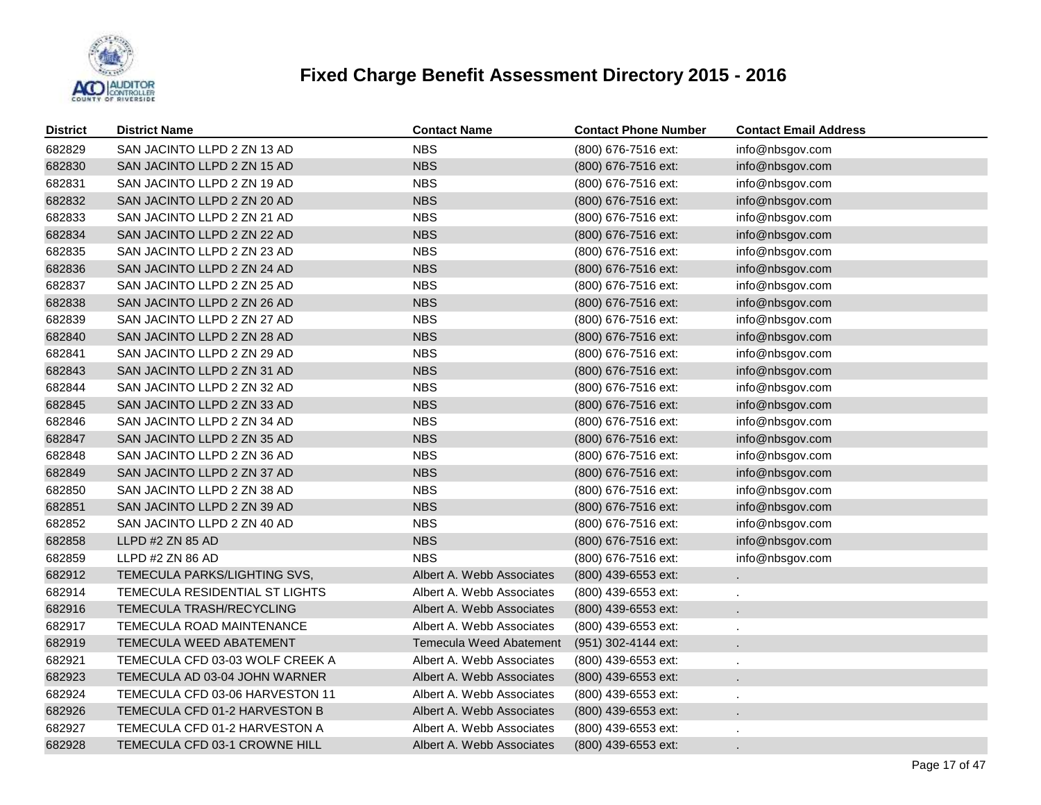

| <b>District</b> | <b>District Name</b>            | <b>Contact Name</b>       | <b>Contact Phone Number</b> | <b>Contact Email Address</b> |
|-----------------|---------------------------------|---------------------------|-----------------------------|------------------------------|
| 682829          | SAN JACINTO LLPD 2 ZN 13 AD     | <b>NBS</b>                | (800) 676-7516 ext:         | info@nbsgov.com              |
| 682830          | SAN JACINTO LLPD 2 ZN 15 AD     | <b>NBS</b>                | (800) 676-7516 ext:         | info@nbsgov.com              |
| 682831          | SAN JACINTO LLPD 2 ZN 19 AD     | <b>NBS</b>                | (800) 676-7516 ext:         | info@nbsgov.com              |
| 682832          | SAN JACINTO LLPD 2 ZN 20 AD     | <b>NBS</b>                | (800) 676-7516 ext:         | info@nbsgov.com              |
| 682833          | SAN JACINTO LLPD 2 ZN 21 AD     | <b>NBS</b>                | (800) 676-7516 ext:         | info@nbsgov.com              |
| 682834          | SAN JACINTO LLPD 2 ZN 22 AD     | <b>NBS</b>                | (800) 676-7516 ext:         | info@nbsgov.com              |
| 682835          | SAN JACINTO LLPD 2 ZN 23 AD     | <b>NBS</b>                | (800) 676-7516 ext:         | info@nbsgov.com              |
| 682836          | SAN JACINTO LLPD 2 ZN 24 AD     | <b>NBS</b>                | (800) 676-7516 ext:         | info@nbsgov.com              |
| 682837          | SAN JACINTO LLPD 2 ZN 25 AD     | <b>NBS</b>                | (800) 676-7516 ext:         | info@nbsgov.com              |
| 682838          | SAN JACINTO LLPD 2 ZN 26 AD     | <b>NBS</b>                | (800) 676-7516 ext:         | info@nbsgov.com              |
| 682839          | SAN JACINTO LLPD 2 ZN 27 AD     | <b>NBS</b>                | (800) 676-7516 ext:         | info@nbsgov.com              |
| 682840          | SAN JACINTO LLPD 2 ZN 28 AD     | <b>NBS</b>                | (800) 676-7516 ext:         | info@nbsgov.com              |
| 682841          | SAN JACINTO LLPD 2 ZN 29 AD     | <b>NBS</b>                | (800) 676-7516 ext:         | info@nbsgov.com              |
| 682843          | SAN JACINTO LLPD 2 ZN 31 AD     | <b>NBS</b>                | (800) 676-7516 ext:         | info@nbsgov.com              |
| 682844          | SAN JACINTO LLPD 2 ZN 32 AD     | <b>NBS</b>                | (800) 676-7516 ext:         | info@nbsgov.com              |
| 682845          | SAN JACINTO LLPD 2 ZN 33 AD     | <b>NBS</b>                | (800) 676-7516 ext:         | info@nbsgov.com              |
| 682846          | SAN JACINTO LLPD 2 ZN 34 AD     | <b>NBS</b>                | (800) 676-7516 ext:         | info@nbsgov.com              |
| 682847          | SAN JACINTO LLPD 2 ZN 35 AD     | <b>NBS</b>                | (800) 676-7516 ext:         | info@nbsgov.com              |
| 682848          | SAN JACINTO LLPD 2 ZN 36 AD     | <b>NBS</b>                | (800) 676-7516 ext:         | info@nbsgov.com              |
| 682849          | SAN JACINTO LLPD 2 ZN 37 AD     | <b>NBS</b>                | (800) 676-7516 ext:         | info@nbsgov.com              |
| 682850          | SAN JACINTO LLPD 2 ZN 38 AD     | <b>NBS</b>                | (800) 676-7516 ext:         | info@nbsgov.com              |
| 682851          | SAN JACINTO LLPD 2 ZN 39 AD     | <b>NBS</b>                | (800) 676-7516 ext:         | info@nbsgov.com              |
| 682852          | SAN JACINTO LLPD 2 ZN 40 AD     | <b>NBS</b>                | (800) 676-7516 ext:         | info@nbsgov.com              |
| 682858          | LLPD #2 ZN 85 AD                | <b>NBS</b>                | (800) 676-7516 ext:         | info@nbsgov.com              |
| 682859          | LLPD #2 ZN 86 AD                | <b>NBS</b>                | (800) 676-7516 ext:         | info@nbsgov.com              |
| 682912          | TEMECULA PARKS/LIGHTING SVS,    | Albert A. Webb Associates | (800) 439-6553 ext:         |                              |
| 682914          | TEMECULA RESIDENTIAL ST LIGHTS  | Albert A. Webb Associates | (800) 439-6553 ext:         |                              |
| 682916          | TEMECULA TRASH/RECYCLING        | Albert A. Webb Associates | (800) 439-6553 ext:         |                              |
| 682917          | TEMECULA ROAD MAINTENANCE       | Albert A. Webb Associates | (800) 439-6553 ext:         |                              |
| 682919          | TEMECULA WEED ABATEMENT         | Temecula Weed Abatement   | (951) 302-4144 ext:         |                              |
| 682921          | TEMECULA CFD 03-03 WOLF CREEK A | Albert A. Webb Associates | (800) 439-6553 ext:         |                              |
| 682923          | TEMECULA AD 03-04 JOHN WARNER   | Albert A. Webb Associates | (800) 439-6553 ext:         |                              |
| 682924          | TEMECULA CFD 03-06 HARVESTON 11 | Albert A. Webb Associates | (800) 439-6553 ext:         |                              |
| 682926          | TEMECULA CFD 01-2 HARVESTON B   | Albert A. Webb Associates | (800) 439-6553 ext:         |                              |
| 682927          | TEMECULA CFD 01-2 HARVESTON A   | Albert A. Webb Associates | (800) 439-6553 ext:         |                              |
| 682928          | TEMECULA CFD 03-1 CROWNE HILL   | Albert A. Webb Associates | (800) 439-6553 ext:         |                              |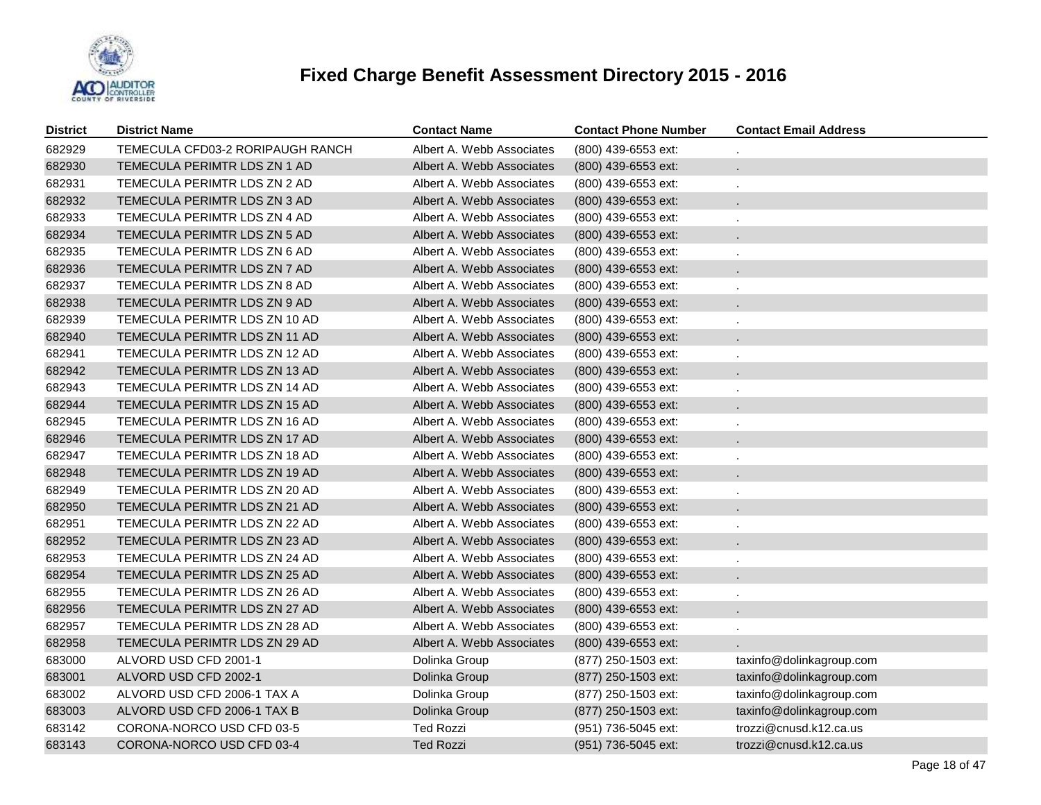

| <b>District</b> | <b>District Name</b>             | <b>Contact Name</b>       | <b>Contact Phone Number</b> | <b>Contact Email Address</b> |
|-----------------|----------------------------------|---------------------------|-----------------------------|------------------------------|
| 682929          | TEMECULA CFD03-2 RORIPAUGH RANCH | Albert A. Webb Associates | (800) 439-6553 ext:         |                              |
| 682930          | TEMECULA PERIMTR LDS ZN 1 AD     | Albert A. Webb Associates | (800) 439-6553 ext:         | $\mathbf{r}$                 |
| 682931          | TEMECULA PERIMTR LDS ZN 2 AD     | Albert A. Webb Associates | (800) 439-6553 ext:         | ÷,                           |
| 682932          | TEMECULA PERIMTR LDS ZN 3 AD     | Albert A. Webb Associates | (800) 439-6553 ext:         |                              |
| 682933          | TEMECULA PERIMTR LDS ZN 4 AD     | Albert A. Webb Associates | (800) 439-6553 ext:         |                              |
| 682934          | TEMECULA PERIMTR LDS ZN 5 AD     | Albert A. Webb Associates | (800) 439-6553 ext:         |                              |
| 682935          | TEMECULA PERIMTR LDS ZN 6 AD     | Albert A. Webb Associates | (800) 439-6553 ext:         |                              |
| 682936          | TEMECULA PERIMTR LDS ZN 7 AD     | Albert A. Webb Associates | (800) 439-6553 ext:         |                              |
| 682937          | TEMECULA PERIMTR LDS ZN 8 AD     | Albert A. Webb Associates | (800) 439-6553 ext:         |                              |
| 682938          | TEMECULA PERIMTR LDS ZN 9 AD     | Albert A. Webb Associates | (800) 439-6553 ext:         |                              |
| 682939          | TEMECULA PERIMTR LDS ZN 10 AD    | Albert A. Webb Associates | (800) 439-6553 ext:         |                              |
| 682940          | TEMECULA PERIMTR LDS ZN 11 AD    | Albert A. Webb Associates | (800) 439-6553 ext:         |                              |
| 682941          | TEMECULA PERIMTR LDS ZN 12 AD    | Albert A. Webb Associates | (800) 439-6553 ext:         |                              |
| 682942          | TEMECULA PERIMTR LDS ZN 13 AD    | Albert A. Webb Associates | (800) 439-6553 ext:         |                              |
| 682943          | TEMECULA PERIMTR LDS ZN 14 AD    | Albert A. Webb Associates | (800) 439-6553 ext:         |                              |
| 682944          | TEMECULA PERIMTR LDS ZN 15 AD    | Albert A. Webb Associates | (800) 439-6553 ext:         |                              |
| 682945          | TEMECULA PERIMTR LDS ZN 16 AD    | Albert A. Webb Associates | (800) 439-6553 ext:         |                              |
| 682946          | TEMECULA PERIMTR LDS ZN 17 AD    | Albert A. Webb Associates | (800) 439-6553 ext:         |                              |
| 682947          | TEMECULA PERIMTR LDS ZN 18 AD    | Albert A. Webb Associates | (800) 439-6553 ext:         |                              |
| 682948          | TEMECULA PERIMTR LDS ZN 19 AD    | Albert A. Webb Associates | (800) 439-6553 ext:         |                              |
| 682949          | TEMECULA PERIMTR LDS ZN 20 AD    | Albert A. Webb Associates | (800) 439-6553 ext:         |                              |
| 682950          | TEMECULA PERIMTR LDS ZN 21 AD    | Albert A. Webb Associates | (800) 439-6553 ext:         |                              |
| 682951          | TEMECULA PERIMTR LDS ZN 22 AD    | Albert A. Webb Associates | (800) 439-6553 ext:         |                              |
| 682952          | TEMECULA PERIMTR LDS ZN 23 AD    | Albert A. Webb Associates | (800) 439-6553 ext:         |                              |
| 682953          | TEMECULA PERIMTR LDS ZN 24 AD    | Albert A. Webb Associates | (800) 439-6553 ext:         |                              |
| 682954          | TEMECULA PERIMTR LDS ZN 25 AD    | Albert A. Webb Associates | (800) 439-6553 ext:         |                              |
| 682955          | TEMECULA PERIMTR LDS ZN 26 AD    | Albert A. Webb Associates | (800) 439-6553 ext:         |                              |
| 682956          | TEMECULA PERIMTR LDS ZN 27 AD    | Albert A. Webb Associates | (800) 439-6553 ext:         |                              |
| 682957          | TEMECULA PERIMTR LDS ZN 28 AD    | Albert A. Webb Associates | (800) 439-6553 ext:         |                              |
| 682958          | TEMECULA PERIMTR LDS ZN 29 AD    | Albert A. Webb Associates | (800) 439-6553 ext:         |                              |
| 683000          | ALVORD USD CFD 2001-1            | Dolinka Group             | (877) 250-1503 ext:         | taxinfo@dolinkagroup.com     |
| 683001          | ALVORD USD CFD 2002-1            | Dolinka Group             | (877) 250-1503 ext:         | taxinfo@dolinkagroup.com     |
| 683002          | ALVORD USD CFD 2006-1 TAX A      | Dolinka Group             | (877) 250-1503 ext:         | taxinfo@dolinkagroup.com     |
| 683003          | ALVORD USD CFD 2006-1 TAX B      | Dolinka Group             | (877) 250-1503 ext:         | taxinfo@dolinkagroup.com     |
| 683142          | CORONA-NORCO USD CFD 03-5        | <b>Ted Rozzi</b>          | (951) 736-5045 ext:         | trozzi@cnusd.k12.ca.us       |
| 683143          | CORONA-NORCO USD CFD 03-4        | <b>Ted Rozzi</b>          | (951) 736-5045 ext:         | trozzi@cnusd.k12.ca.us       |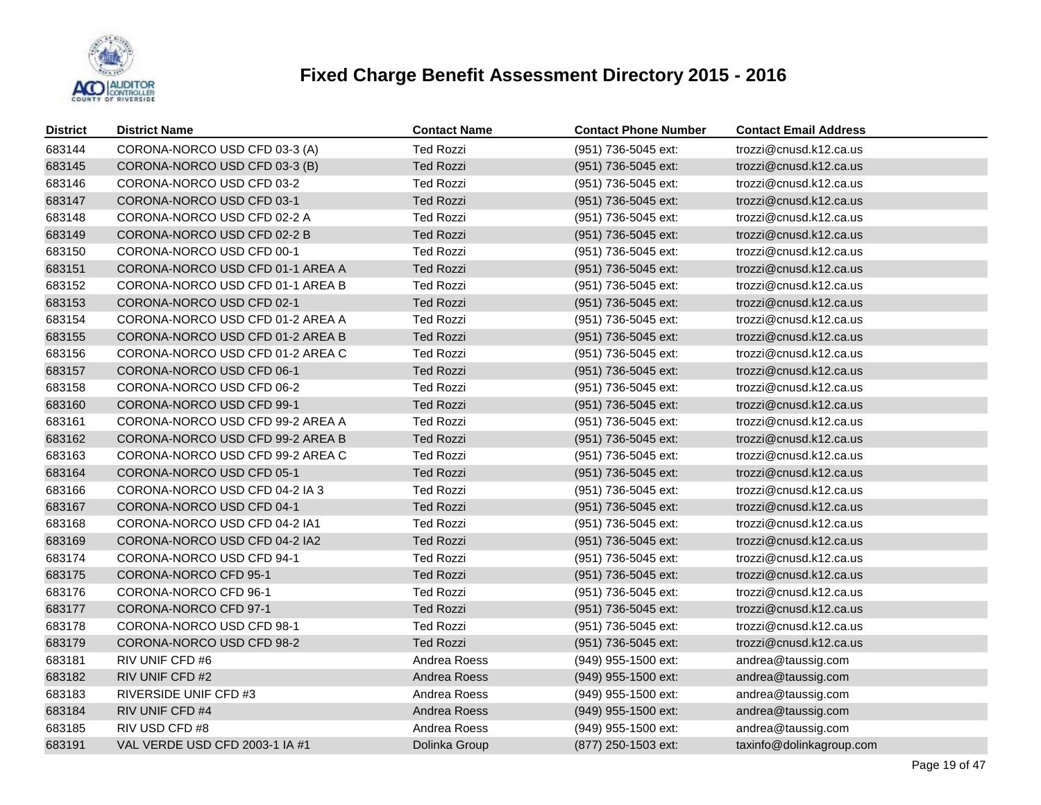

| <b>District</b> | <b>District Name</b>             | <b>Contact Name</b> | <b>Contact Phone Number</b> | <b>Contact Email Address</b> |
|-----------------|----------------------------------|---------------------|-----------------------------|------------------------------|
| 683144          | CORONA-NORCO USD CFD 03-3 (A)    | <b>Ted Rozzi</b>    | (951) 736-5045 ext:         | trozzi@cnusd.k12.ca.us       |
| 683145          | CORONA-NORCO USD CFD 03-3 (B)    | <b>Ted Rozzi</b>    | (951) 736-5045 ext:         | trozzi@cnusd.k12.ca.us       |
| 683146          | CORONA-NORCO USD CFD 03-2        | <b>Ted Rozzi</b>    | (951) 736-5045 ext:         | trozzi@cnusd.k12.ca.us       |
| 683147          | CORONA-NORCO USD CFD 03-1        | <b>Ted Rozzi</b>    | (951) 736-5045 ext:         | trozzi@cnusd.k12.ca.us       |
| 683148          | CORONA-NORCO USD CFD 02-2 A      | <b>Ted Rozzi</b>    | (951) 736-5045 ext:         | trozzi@cnusd.k12.ca.us       |
| 683149          | CORONA-NORCO USD CFD 02-2 B      | <b>Ted Rozzi</b>    | (951) 736-5045 ext:         | trozzi@cnusd.k12.ca.us       |
| 683150          | CORONA-NORCO USD CFD 00-1        | <b>Ted Rozzi</b>    | (951) 736-5045 ext:         | trozzi@cnusd.k12.ca.us       |
| 683151          | CORONA-NORCO USD CFD 01-1 AREA A | <b>Ted Rozzi</b>    | (951) 736-5045 ext:         | trozzi@cnusd.k12.ca.us       |
| 683152          | CORONA-NORCO USD CFD 01-1 AREA B | <b>Ted Rozzi</b>    | (951) 736-5045 ext:         | trozzi@cnusd.k12.ca.us       |
| 683153          | CORONA-NORCO USD CFD 02-1        | <b>Ted Rozzi</b>    | (951) 736-5045 ext:         | trozzi@cnusd.k12.ca.us       |
| 683154          | CORONA-NORCO USD CFD 01-2 AREA A | <b>Ted Rozzi</b>    | (951) 736-5045 ext:         | trozzi@cnusd.k12.ca.us       |
| 683155          | CORONA-NORCO USD CFD 01-2 AREA B | <b>Ted Rozzi</b>    | (951) 736-5045 ext:         | trozzi@cnusd.k12.ca.us       |
| 683156          | CORONA-NORCO USD CFD 01-2 AREA C | <b>Ted Rozzi</b>    | (951) 736-5045 ext:         | trozzi@cnusd.k12.ca.us       |
| 683157          | CORONA-NORCO USD CFD 06-1        | <b>Ted Rozzi</b>    | (951) 736-5045 ext:         | trozzi@cnusd.k12.ca.us       |
| 683158          | CORONA-NORCO USD CFD 06-2        | <b>Ted Rozzi</b>    | (951) 736-5045 ext:         | trozzi@cnusd.k12.ca.us       |
| 683160          | CORONA-NORCO USD CFD 99-1        | <b>Ted Rozzi</b>    | (951) 736-5045 ext:         | trozzi@cnusd.k12.ca.us       |
| 683161          | CORONA-NORCO USD CFD 99-2 AREA A | <b>Ted Rozzi</b>    | (951) 736-5045 ext:         | trozzi@cnusd.k12.ca.us       |
| 683162          | CORONA-NORCO USD CFD 99-2 AREA B | <b>Ted Rozzi</b>    | (951) 736-5045 ext:         | trozzi@cnusd.k12.ca.us       |
| 683163          | CORONA-NORCO USD CFD 99-2 AREA C | <b>Ted Rozzi</b>    | (951) 736-5045 ext:         | trozzi@cnusd.k12.ca.us       |
| 683164          | CORONA-NORCO USD CFD 05-1        | <b>Ted Rozzi</b>    | (951) 736-5045 ext:         | trozzi@cnusd.k12.ca.us       |
| 683166          | CORONA-NORCO USD CFD 04-2 IA 3   | <b>Ted Rozzi</b>    | (951) 736-5045 ext:         | trozzi@cnusd.k12.ca.us       |
| 683167          | CORONA-NORCO USD CFD 04-1        | <b>Ted Rozzi</b>    | (951) 736-5045 ext:         | trozzi@cnusd.k12.ca.us       |
| 683168          | CORONA-NORCO USD CFD 04-2 IA1    | <b>Ted Rozzi</b>    | (951) 736-5045 ext:         | trozzi@cnusd.k12.ca.us       |
| 683169          | CORONA-NORCO USD CFD 04-2 IA2    | <b>Ted Rozzi</b>    | (951) 736-5045 ext:         | trozzi@cnusd.k12.ca.us       |
| 683174          | CORONA-NORCO USD CFD 94-1        | <b>Ted Rozzi</b>    | (951) 736-5045 ext:         | trozzi@cnusd.k12.ca.us       |
| 683175          | CORONA-NORCO CFD 95-1            | <b>Ted Rozzi</b>    | (951) 736-5045 ext:         | trozzi@cnusd.k12.ca.us       |
| 683176          | CORONA-NORCO CFD 96-1            | <b>Ted Rozzi</b>    | (951) 736-5045 ext:         | trozzi@cnusd.k12.ca.us       |
| 683177          | CORONA-NORCO CFD 97-1            | <b>Ted Rozzi</b>    | (951) 736-5045 ext:         | trozzi@cnusd.k12.ca.us       |
| 683178          | CORONA-NORCO USD CFD 98-1        | <b>Ted Rozzi</b>    | (951) 736-5045 ext:         | trozzi@cnusd.k12.ca.us       |
| 683179          | CORONA-NORCO USD CFD 98-2        | <b>Ted Rozzi</b>    | (951) 736-5045 ext:         | trozzi@cnusd.k12.ca.us       |
| 683181          | RIV UNIF CFD #6                  | Andrea Roess        | (949) 955-1500 ext:         | andrea@taussig.com           |
| 683182          | RIV UNIF CFD #2                  | Andrea Roess        | (949) 955-1500 ext:         | andrea@taussig.com           |
| 683183          | RIVERSIDE UNIF CFD #3            | Andrea Roess        | (949) 955-1500 ext:         | andrea@taussig.com           |
| 683184          | RIV UNIF CFD #4                  | Andrea Roess        | (949) 955-1500 ext:         | andrea@taussig.com           |
| 683185          | RIV USD CFD #8                   | Andrea Roess        | (949) 955-1500 ext:         | andrea@taussig.com           |
| 683191          | VAL VERDE USD CFD 2003-1 IA #1   | Dolinka Group       | (877) 250-1503 ext:         | taxinfo@dolinkagroup.com     |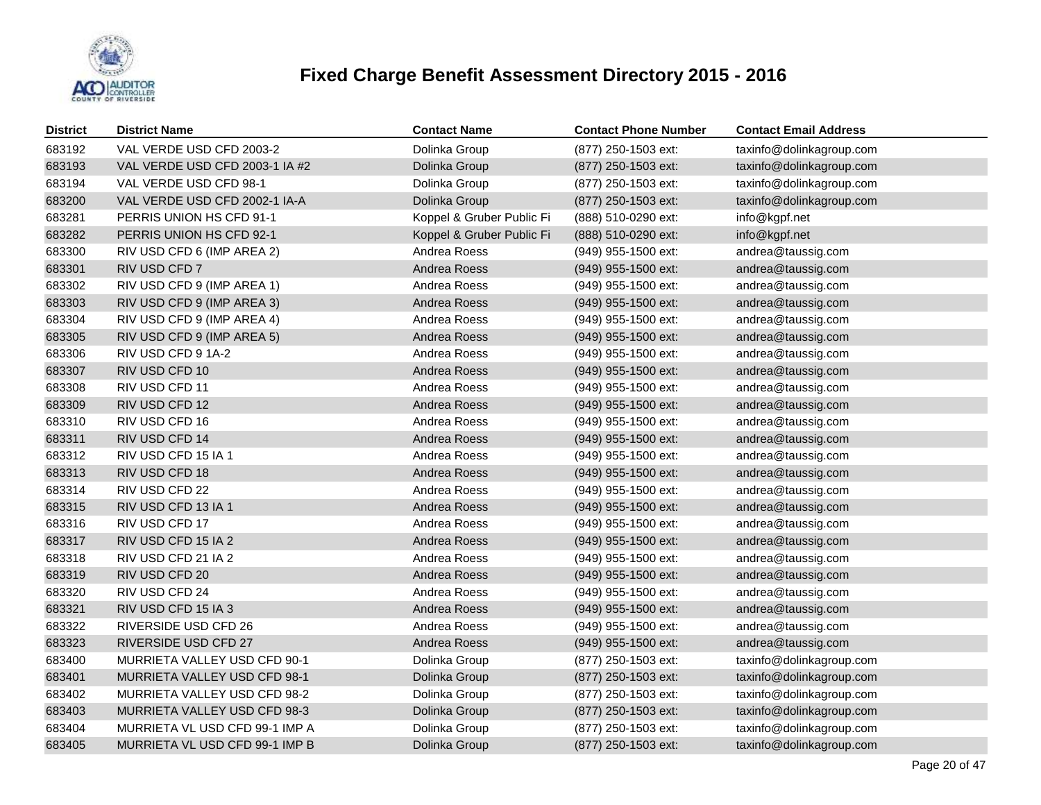

| <b>District</b> | <b>District Name</b>           | <b>Contact Name</b>       | <b>Contact Phone Number</b> | <b>Contact Email Address</b> |
|-----------------|--------------------------------|---------------------------|-----------------------------|------------------------------|
| 683192          | VAL VERDE USD CFD 2003-2       | Dolinka Group             | (877) 250-1503 ext:         | taxinfo@dolinkagroup.com     |
| 683193          | VAL VERDE USD CFD 2003-1 IA #2 | Dolinka Group             | (877) 250-1503 ext:         | taxinfo@dolinkagroup.com     |
| 683194          | VAL VERDE USD CFD 98-1         | Dolinka Group             | (877) 250-1503 ext:         | taxinfo@dolinkagroup.com     |
| 683200          | VAL VERDE USD CFD 2002-1 IA-A  | Dolinka Group             | (877) 250-1503 ext:         | taxinfo@dolinkagroup.com     |
| 683281          | PERRIS UNION HS CFD 91-1       | Koppel & Gruber Public Fi | (888) 510-0290 ext:         | info@kgpf.net                |
| 683282          | PERRIS UNION HS CFD 92-1       | Koppel & Gruber Public Fi | (888) 510-0290 ext:         | info@kgpf.net                |
| 683300          | RIV USD CFD 6 (IMP AREA 2)     | Andrea Roess              | (949) 955-1500 ext:         | andrea@taussig.com           |
| 683301          | RIV USD CFD 7                  | Andrea Roess              | (949) 955-1500 ext:         | andrea@taussig.com           |
| 683302          | RIV USD CFD 9 (IMP AREA 1)     | Andrea Roess              | (949) 955-1500 ext:         | andrea@taussig.com           |
| 683303          | RIV USD CFD 9 (IMP AREA 3)     | Andrea Roess              | (949) 955-1500 ext:         | andrea@taussig.com           |
| 683304          | RIV USD CFD 9 (IMP AREA 4)     | Andrea Roess              | (949) 955-1500 ext:         | andrea@taussig.com           |
| 683305          | RIV USD CFD 9 (IMP AREA 5)     | Andrea Roess              | (949) 955-1500 ext:         | andrea@taussig.com           |
| 683306          | RIV USD CFD 9 1A-2             | Andrea Roess              | (949) 955-1500 ext:         | andrea@taussig.com           |
| 683307          | RIV USD CFD 10                 | Andrea Roess              | (949) 955-1500 ext:         | andrea@taussig.com           |
| 683308          | RIV USD CFD 11                 | Andrea Roess              | (949) 955-1500 ext:         | andrea@taussig.com           |
| 683309          | RIV USD CFD 12                 | Andrea Roess              | (949) 955-1500 ext:         | andrea@taussig.com           |
| 683310          | RIV USD CFD 16                 | Andrea Roess              | (949) 955-1500 ext:         | andrea@taussig.com           |
| 683311          | RIV USD CFD 14                 | Andrea Roess              | (949) 955-1500 ext:         | andrea@taussig.com           |
| 683312          | RIV USD CFD 15 IA 1            | Andrea Roess              | (949) 955-1500 ext:         | andrea@taussig.com           |
| 683313          | RIV USD CFD 18                 | Andrea Roess              | (949) 955-1500 ext:         | andrea@taussig.com           |
| 683314          | RIV USD CFD 22                 | Andrea Roess              | (949) 955-1500 ext:         | andrea@taussig.com           |
| 683315          | RIV USD CFD 13 IA 1            | Andrea Roess              | $(949)$ 955-1500 ext:       | andrea@taussig.com           |
| 683316          | RIV USD CFD 17                 | Andrea Roess              | (949) 955-1500 ext:         | andrea@taussig.com           |
| 683317          | RIV USD CFD 15 IA 2            | Andrea Roess              | (949) 955-1500 ext:         | andrea@taussig.com           |
| 683318          | RIV USD CFD 21 IA 2            | Andrea Roess              | (949) 955-1500 ext:         | andrea@taussig.com           |
| 683319          | RIV USD CFD 20                 | Andrea Roess              | (949) 955-1500 ext:         | andrea@taussig.com           |
| 683320          | RIV USD CFD 24                 | Andrea Roess              | (949) 955-1500 ext:         | andrea@taussig.com           |
| 683321          | RIV USD CFD 15 IA 3            | Andrea Roess              | (949) 955-1500 ext:         | andrea@taussig.com           |
| 683322          | RIVERSIDE USD CFD 26           | Andrea Roess              | (949) 955-1500 ext:         | andrea@taussig.com           |
| 683323          | RIVERSIDE USD CFD 27           | Andrea Roess              | (949) 955-1500 ext:         | andrea@taussig.com           |
| 683400          | MURRIETA VALLEY USD CFD 90-1   | Dolinka Group             | (877) 250-1503 ext:         | taxinfo@dolinkagroup.com     |
| 683401          | MURRIETA VALLEY USD CFD 98-1   | Dolinka Group             | (877) 250-1503 ext:         | taxinfo@dolinkagroup.com     |
| 683402          | MURRIETA VALLEY USD CFD 98-2   | Dolinka Group             | (877) 250-1503 ext:         | taxinfo@dolinkagroup.com     |
| 683403          | MURRIETA VALLEY USD CFD 98-3   | Dolinka Group             | (877) 250-1503 ext:         | taxinfo@dolinkagroup.com     |
| 683404          | MURRIETA VL USD CFD 99-1 IMP A | Dolinka Group             | (877) 250-1503 ext:         | taxinfo@dolinkagroup.com     |
| 683405          | MURRIETA VL USD CFD 99-1 IMP B | Dolinka Group             | (877) 250-1503 ext:         | taxinfo@dolinkagroup.com     |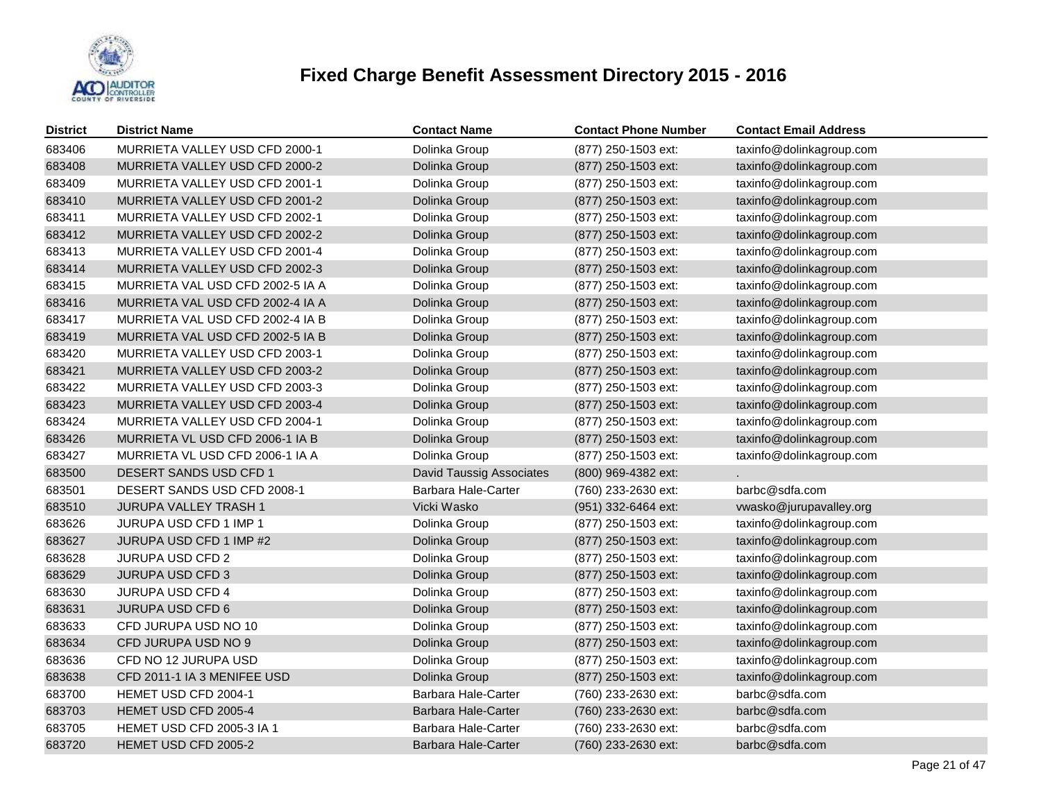

| <b>District</b> | <b>District Name</b>             | <b>Contact Name</b>             | <b>Contact Phone Number</b> | <b>Contact Email Address</b> |
|-----------------|----------------------------------|---------------------------------|-----------------------------|------------------------------|
| 683406          | MURRIETA VALLEY USD CFD 2000-1   | Dolinka Group                   | (877) 250-1503 ext:         | taxinfo@dolinkagroup.com     |
| 683408          | MURRIETA VALLEY USD CFD 2000-2   | Dolinka Group                   | (877) 250-1503 ext:         | taxinfo@dolinkagroup.com     |
| 683409          | MURRIETA VALLEY USD CFD 2001-1   | Dolinka Group                   | (877) 250-1503 ext:         | taxinfo@dolinkagroup.com     |
| 683410          | MURRIETA VALLEY USD CFD 2001-2   | Dolinka Group                   | (877) 250-1503 ext:         | taxinfo@dolinkagroup.com     |
| 683411          | MURRIETA VALLEY USD CFD 2002-1   | Dolinka Group                   | (877) 250-1503 ext:         | taxinfo@dolinkagroup.com     |
| 683412          | MURRIETA VALLEY USD CFD 2002-2   | Dolinka Group                   | (877) 250-1503 ext:         | taxinfo@dolinkagroup.com     |
| 683413          | MURRIETA VALLEY USD CFD 2001-4   | Dolinka Group                   | (877) 250-1503 ext:         | taxinfo@dolinkagroup.com     |
| 683414          | MURRIETA VALLEY USD CFD 2002-3   | Dolinka Group                   | (877) 250-1503 ext:         | taxinfo@dolinkagroup.com     |
| 683415          | MURRIETA VAL USD CFD 2002-5 IA A | Dolinka Group                   | (877) 250-1503 ext:         | taxinfo@dolinkagroup.com     |
| 683416          | MURRIETA VAL USD CFD 2002-4 IA A | Dolinka Group                   | (877) 250-1503 ext:         | taxinfo@dolinkagroup.com     |
| 683417          | MURRIETA VAL USD CFD 2002-4 IA B | Dolinka Group                   | (877) 250-1503 ext:         | taxinfo@dolinkagroup.com     |
| 683419          | MURRIETA VAL USD CFD 2002-5 IA B | Dolinka Group                   | (877) 250-1503 ext:         | taxinfo@dolinkagroup.com     |
| 683420          | MURRIETA VALLEY USD CFD 2003-1   | Dolinka Group                   | (877) 250-1503 ext:         | taxinfo@dolinkagroup.com     |
| 683421          | MURRIETA VALLEY USD CFD 2003-2   | Dolinka Group                   | (877) 250-1503 ext:         | taxinfo@dolinkagroup.com     |
| 683422          | MURRIETA VALLEY USD CFD 2003-3   | Dolinka Group                   | (877) 250-1503 ext:         | taxinfo@dolinkagroup.com     |
| 683423          | MURRIETA VALLEY USD CFD 2003-4   | Dolinka Group                   | (877) 250-1503 ext:         | taxinfo@dolinkagroup.com     |
| 683424          | MURRIETA VALLEY USD CFD 2004-1   | Dolinka Group                   | (877) 250-1503 ext:         | taxinfo@dolinkagroup.com     |
| 683426          | MURRIETA VL USD CFD 2006-1 IA B  | Dolinka Group                   | (877) 250-1503 ext:         | taxinfo@dolinkagroup.com     |
| 683427          | MURRIETA VL USD CFD 2006-1 IA A  | Dolinka Group                   | (877) 250-1503 ext:         | taxinfo@dolinkagroup.com     |
| 683500          | DESERT SANDS USD CFD 1           | <b>David Taussig Associates</b> | (800) 969-4382 ext:         |                              |
| 683501          | DESERT SANDS USD CFD 2008-1      | Barbara Hale-Carter             | (760) 233-2630 ext:         | barbc@sdfa.com               |
| 683510          | <b>JURUPA VALLEY TRASH 1</b>     | Vicki Wasko                     | (951) 332-6464 ext:         | vwasko@jurupavalley.org      |
| 683626          | JURUPA USD CFD 1 IMP 1           | Dolinka Group                   | (877) 250-1503 ext:         | taxinfo@dolinkagroup.com     |
| 683627          | JURUPA USD CFD 1 IMP #2          | Dolinka Group                   | (877) 250-1503 ext:         | taxinfo@dolinkagroup.com     |
| 683628          | <b>JURUPA USD CFD 2</b>          | Dolinka Group                   | (877) 250-1503 ext:         | taxinfo@dolinkagroup.com     |
| 683629          | JURUPA USD CFD 3                 | Dolinka Group                   | (877) 250-1503 ext:         | taxinfo@dolinkagroup.com     |
| 683630          | <b>JURUPA USD CFD 4</b>          | Dolinka Group                   | (877) 250-1503 ext:         | taxinfo@dolinkagroup.com     |
| 683631          | <b>JURUPA USD CFD 6</b>          | Dolinka Group                   | (877) 250-1503 ext:         | taxinfo@dolinkagroup.com     |
| 683633          | CFD JURUPA USD NO 10             | Dolinka Group                   | (877) 250-1503 ext:         | taxinfo@dolinkagroup.com     |
| 683634          | CFD JURUPA USD NO 9              | Dolinka Group                   | (877) 250-1503 ext:         | taxinfo@dolinkagroup.com     |
| 683636          | CFD NO 12 JURUPA USD             | Dolinka Group                   | (877) 250-1503 ext:         | taxinfo@dolinkagroup.com     |
| 683638          | CFD 2011-1 IA 3 MENIFEE USD      | Dolinka Group                   | (877) 250-1503 ext:         | taxinfo@dolinkagroup.com     |
| 683700          | HEMET USD CFD 2004-1             | Barbara Hale-Carter             | (760) 233-2630 ext:         | barbc@sdfa.com               |
| 683703          | HEMET USD CFD 2005-4             | Barbara Hale-Carter             | (760) 233-2630 ext:         | barbc@sdfa.com               |
| 683705          | <b>HEMET USD CFD 2005-3 IA 1</b> | Barbara Hale-Carter             | (760) 233-2630 ext:         | barbc@sdfa.com               |
| 683720          | HEMET USD CFD 2005-2             | Barbara Hale-Carter             | (760) 233-2630 ext:         | barbc@sdfa.com               |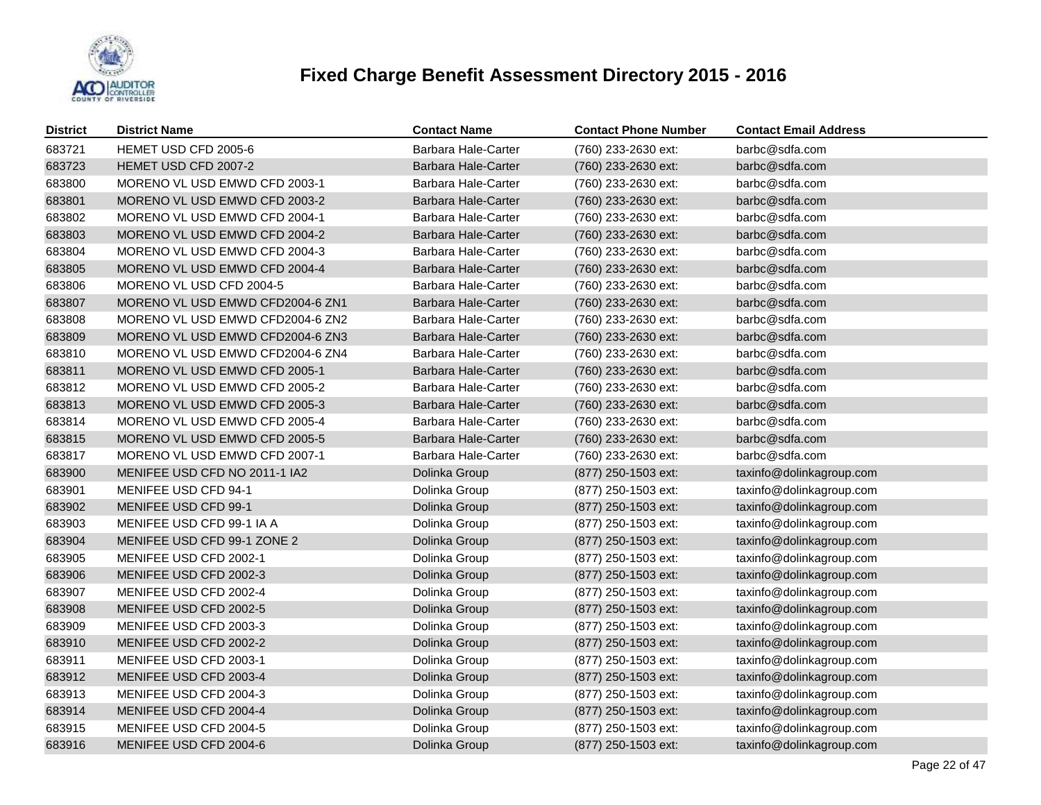

| <b>District</b> | <b>District Name</b>             | <b>Contact Name</b>        | <b>Contact Phone Number</b> | <b>Contact Email Address</b> |
|-----------------|----------------------------------|----------------------------|-----------------------------|------------------------------|
| 683721          | HEMET USD CFD 2005-6             | Barbara Hale-Carter        | (760) 233-2630 ext:         | barbc@sdfa.com               |
| 683723          | HEMET USD CFD 2007-2             | Barbara Hale-Carter        | (760) 233-2630 ext:         | barbc@sdfa.com               |
| 683800          | MORENO VL USD EMWD CFD 2003-1    | Barbara Hale-Carter        | (760) 233-2630 ext:         | barbc@sdfa.com               |
| 683801          | MORENO VL USD EMWD CFD 2003-2    | Barbara Hale-Carter        | (760) 233-2630 ext:         | barbc@sdfa.com               |
| 683802          | MORENO VL USD EMWD CFD 2004-1    | Barbara Hale-Carter        | (760) 233-2630 ext:         | barbc@sdfa.com               |
| 683803          | MORENO VL USD EMWD CFD 2004-2    | Barbara Hale-Carter        | (760) 233-2630 ext:         | barbc@sdfa.com               |
| 683804          | MORENO VL USD EMWD CFD 2004-3    | Barbara Hale-Carter        | (760) 233-2630 ext:         | barbc@sdfa.com               |
| 683805          | MORENO VL USD EMWD CFD 2004-4    | Barbara Hale-Carter        | (760) 233-2630 ext:         | barbc@sdfa.com               |
| 683806          | MORENO VL USD CFD 2004-5         | Barbara Hale-Carter        | (760) 233-2630 ext:         | barbc@sdfa.com               |
| 683807          | MORENO VL USD EMWD CFD2004-6 ZN1 | Barbara Hale-Carter        | (760) 233-2630 ext:         | barbc@sdfa.com               |
| 683808          | MORENO VL USD EMWD CFD2004-6 ZN2 | Barbara Hale-Carter        | (760) 233-2630 ext:         | barbc@sdfa.com               |
| 683809          | MORENO VL USD EMWD CFD2004-6 ZN3 | Barbara Hale-Carter        | (760) 233-2630 ext:         | barbc@sdfa.com               |
| 683810          | MORENO VL USD EMWD CFD2004-6 ZN4 | <b>Barbara Hale-Carter</b> | (760) 233-2630 ext:         | barbc@sdfa.com               |
| 683811          | MORENO VL USD EMWD CFD 2005-1    | Barbara Hale-Carter        | (760) 233-2630 ext:         | barbc@sdfa.com               |
| 683812          | MORENO VL USD EMWD CFD 2005-2    | Barbara Hale-Carter        | (760) 233-2630 ext:         | barbc@sdfa.com               |
| 683813          | MORENO VL USD EMWD CFD 2005-3    | <b>Barbara Hale-Carter</b> | (760) 233-2630 ext:         | barbc@sdfa.com               |
| 683814          | MORENO VL USD EMWD CFD 2005-4    | <b>Barbara Hale-Carter</b> | (760) 233-2630 ext:         | barbc@sdfa.com               |
| 683815          | MORENO VL USD EMWD CFD 2005-5    | Barbara Hale-Carter        | (760) 233-2630 ext:         | barbc@sdfa.com               |
| 683817          | MORENO VL USD EMWD CFD 2007-1    | Barbara Hale-Carter        | (760) 233-2630 ext:         | barbc@sdfa.com               |
| 683900          | MENIFEE USD CFD NO 2011-1 IA2    | Dolinka Group              | (877) 250-1503 ext:         | taxinfo@dolinkagroup.com     |
| 683901          | MENIFEE USD CFD 94-1             | Dolinka Group              | (877) 250-1503 ext:         | taxinfo@dolinkagroup.com     |
| 683902          | MENIFEE USD CFD 99-1             | Dolinka Group              | (877) 250-1503 ext:         | taxinfo@dolinkagroup.com     |
| 683903          | MENIFEE USD CFD 99-1 IA A        | Dolinka Group              | (877) 250-1503 ext:         | taxinfo@dolinkagroup.com     |
| 683904          | MENIFEE USD CFD 99-1 ZONE 2      | Dolinka Group              | (877) 250-1503 ext:         | taxinfo@dolinkagroup.com     |
| 683905          | MENIFEE USD CFD 2002-1           | Dolinka Group              | (877) 250-1503 ext:         | taxinfo@dolinkagroup.com     |
| 683906          | MENIFEE USD CFD 2002-3           | Dolinka Group              | (877) 250-1503 ext:         | taxinfo@dolinkagroup.com     |
| 683907          | MENIFEE USD CFD 2002-4           | Dolinka Group              | (877) 250-1503 ext:         | taxinfo@dolinkagroup.com     |
| 683908          | MENIFEE USD CFD 2002-5           | Dolinka Group              | (877) 250-1503 ext:         | taxinfo@dolinkagroup.com     |
| 683909          | MENIFEE USD CFD 2003-3           | Dolinka Group              | (877) 250-1503 ext:         | taxinfo@dolinkagroup.com     |
| 683910          | MENIFEE USD CFD 2002-2           | Dolinka Group              | (877) 250-1503 ext:         | taxinfo@dolinkagroup.com     |
| 683911          | MENIFEE USD CFD 2003-1           | Dolinka Group              | (877) 250-1503 ext:         | taxinfo@dolinkagroup.com     |
| 683912          | MENIFEE USD CFD 2003-4           | Dolinka Group              | (877) 250-1503 ext:         | taxinfo@dolinkagroup.com     |
| 683913          | MENIFEE USD CFD 2004-3           | Dolinka Group              | (877) 250-1503 ext:         | taxinfo@dolinkagroup.com     |
| 683914          | MENIFEE USD CFD 2004-4           | Dolinka Group              | (877) 250-1503 ext:         | taxinfo@dolinkagroup.com     |
| 683915          | MENIFEE USD CFD 2004-5           | Dolinka Group              | (877) 250-1503 ext:         | taxinfo@dolinkagroup.com     |
| 683916          | MENIFEE USD CFD 2004-6           | Dolinka Group              | (877) 250-1503 ext:         | taxinfo@dolinkagroup.com     |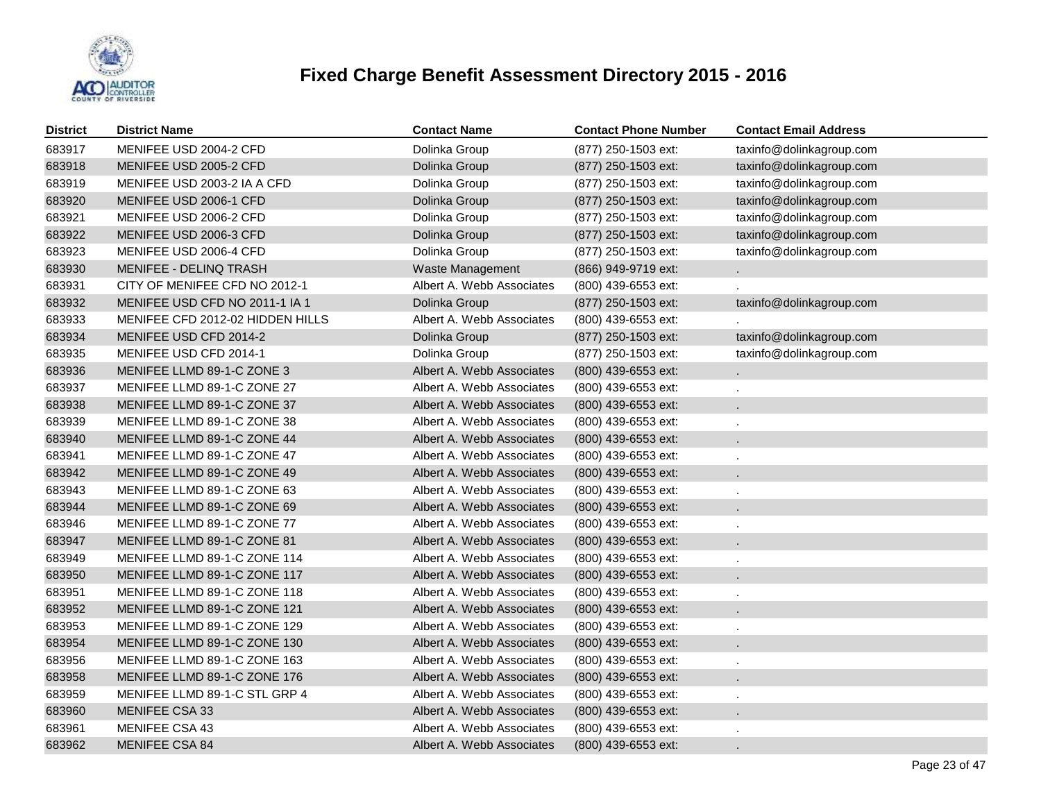

| <b>District</b> | <b>District Name</b>             | <b>Contact Name</b>       | <b>Contact Phone Number</b> | <b>Contact Email Address</b> |
|-----------------|----------------------------------|---------------------------|-----------------------------|------------------------------|
| 683917          | MENIFEE USD 2004-2 CFD           | Dolinka Group             | (877) 250-1503 ext:         | taxinfo@dolinkagroup.com     |
| 683918          | MENIFEE USD 2005-2 CFD           | Dolinka Group             | (877) 250-1503 ext:         | taxinfo@dolinkagroup.com     |
| 683919          | MENIFEE USD 2003-2 IA A CFD      | Dolinka Group             | (877) 250-1503 ext:         | taxinfo@dolinkagroup.com     |
| 683920          | MENIFEE USD 2006-1 CFD           | Dolinka Group             | (877) 250-1503 ext:         | taxinfo@dolinkagroup.com     |
| 683921          | MENIFEE USD 2006-2 CFD           | Dolinka Group             | (877) 250-1503 ext:         | taxinfo@dolinkagroup.com     |
| 683922          | MENIFEE USD 2006-3 CFD           | Dolinka Group             | (877) 250-1503 ext:         | taxinfo@dolinkagroup.com     |
| 683923          | MENIFEE USD 2006-4 CFD           | Dolinka Group             | (877) 250-1503 ext:         | taxinfo@dolinkagroup.com     |
| 683930          | <b>MENIFEE - DELINQ TRASH</b>    | Waste Management          | (866) 949-9719 ext:         | a.                           |
| 683931          | CITY OF MENIFEE CFD NO 2012-1    | Albert A. Webb Associates | (800) 439-6553 ext:         |                              |
| 683932          | MENIFEE USD CFD NO 2011-1 IA 1   | Dolinka Group             | (877) 250-1503 ext:         | taxinfo@dolinkagroup.com     |
| 683933          | MENIFEE CFD 2012-02 HIDDEN HILLS | Albert A. Webb Associates | (800) 439-6553 ext:         |                              |
| 683934          | MENIFEE USD CFD 2014-2           | Dolinka Group             | (877) 250-1503 ext:         | taxinfo@dolinkagroup.com     |
| 683935          | MENIFEE USD CFD 2014-1           | Dolinka Group             | (877) 250-1503 ext:         | taxinfo@dolinkagroup.com     |
| 683936          | MENIFEE LLMD 89-1-C ZONE 3       | Albert A. Webb Associates | $(800)$ 439-6553 ext:       |                              |
| 683937          | MENIFEE LLMD 89-1-C ZONE 27      | Albert A. Webb Associates | (800) 439-6553 ext:         |                              |
| 683938          | MENIFEE LLMD 89-1-C ZONE 37      | Albert A. Webb Associates | (800) 439-6553 ext:         |                              |
| 683939          | MENIFEE LLMD 89-1-C ZONE 38      | Albert A. Webb Associates | (800) 439-6553 ext:         |                              |
| 683940          | MENIFEE LLMD 89-1-C ZONE 44      | Albert A. Webb Associates | (800) 439-6553 ext:         |                              |
| 683941          | MENIFEE LLMD 89-1-C ZONE 47      | Albert A. Webb Associates | (800) 439-6553 ext:         |                              |
| 683942          | MENIFEE LLMD 89-1-C ZONE 49      | Albert A. Webb Associates | (800) 439-6553 ext:         |                              |
| 683943          | MENIFEE LLMD 89-1-C ZONE 63      | Albert A. Webb Associates | (800) 439-6553 ext:         |                              |
| 683944          | MENIFEE LLMD 89-1-C ZONE 69      | Albert A. Webb Associates | (800) 439-6553 ext:         |                              |
| 683946          | MENIFEE LLMD 89-1-C ZONE 77      | Albert A. Webb Associates | (800) 439-6553 ext:         |                              |
| 683947          | MENIFEE LLMD 89-1-C ZONE 81      | Albert A. Webb Associates | (800) 439-6553 ext:         |                              |
| 683949          | MENIFEE LLMD 89-1-C ZONE 114     | Albert A. Webb Associates | (800) 439-6553 ext:         |                              |
| 683950          | MENIFEE LLMD 89-1-C ZONE 117     | Albert A. Webb Associates | (800) 439-6553 ext:         |                              |
| 683951          | MENIFEE LLMD 89-1-C ZONE 118     | Albert A. Webb Associates | (800) 439-6553 ext:         |                              |
| 683952          | MENIFEE LLMD 89-1-C ZONE 121     | Albert A. Webb Associates | (800) 439-6553 ext:         |                              |
| 683953          | MENIFEE LLMD 89-1-C ZONE 129     | Albert A. Webb Associates | (800) 439-6553 ext:         |                              |
| 683954          | MENIFEE LLMD 89-1-C ZONE 130     | Albert A. Webb Associates | (800) 439-6553 ext:         |                              |
| 683956          | MENIFEE LLMD 89-1-C ZONE 163     | Albert A. Webb Associates | (800) 439-6553 ext:         |                              |
| 683958          | MENIFEE LLMD 89-1-C ZONE 176     | Albert A. Webb Associates | (800) 439-6553 ext:         |                              |
| 683959          | MENIFEE LLMD 89-1-C STL GRP 4    | Albert A. Webb Associates | $(800)$ 439-6553 ext:       |                              |
| 683960          | MENIFEE CSA 33                   | Albert A. Webb Associates | (800) 439-6553 ext:         |                              |
| 683961          | MENIFEE CSA 43                   | Albert A. Webb Associates | $(800)$ 439-6553 ext:       |                              |
| 683962          | <b>MENIFEE CSA 84</b>            | Albert A. Webb Associates | (800) 439-6553 ext:         |                              |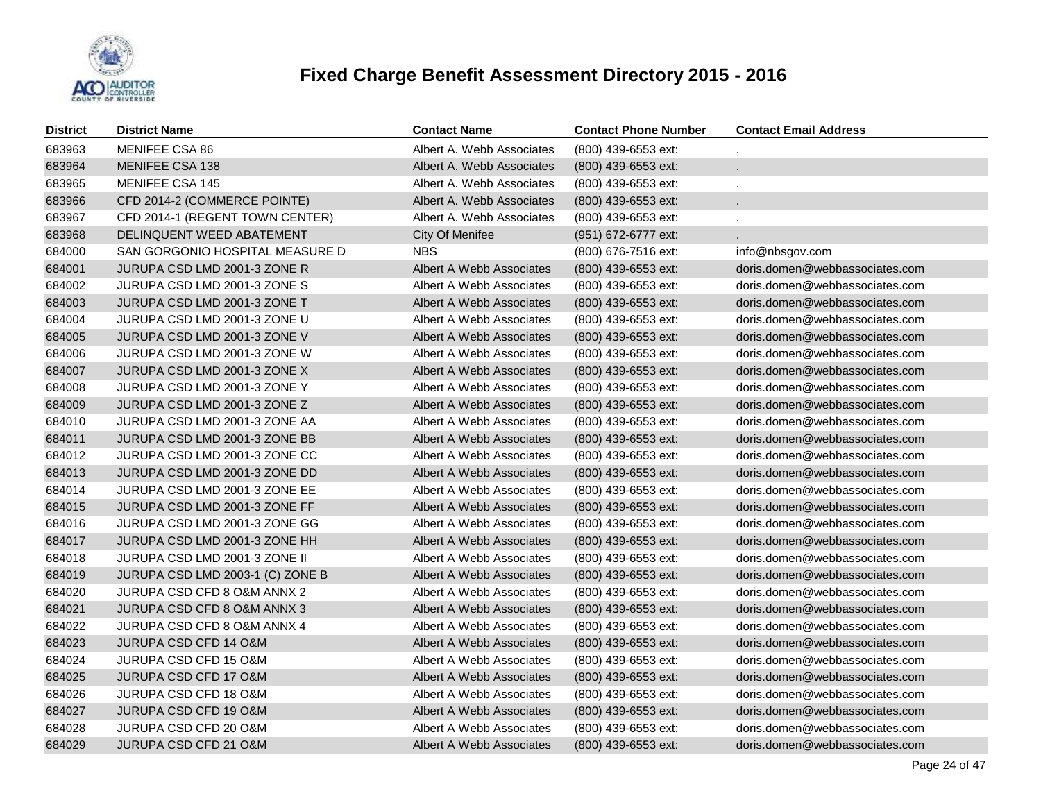

| <b>District</b> | <b>District Name</b>             | <b>Contact Name</b>       | <b>Contact Phone Number</b> | <b>Contact Email Address</b>   |
|-----------------|----------------------------------|---------------------------|-----------------------------|--------------------------------|
| 683963          | MENIFEE CSA 86                   | Albert A. Webb Associates | (800) 439-6553 ext:         |                                |
| 683964          | MENIFEE CSA 138                  | Albert A. Webb Associates | (800) 439-6553 ext:         |                                |
| 683965          | MENIFEE CSA 145                  | Albert A. Webb Associates | (800) 439-6553 ext:         |                                |
| 683966          | CFD 2014-2 (COMMERCE POINTE)     | Albert A. Webb Associates | (800) 439-6553 ext:         | a.                             |
| 683967          | CFD 2014-1 (REGENT TOWN CENTER)  | Albert A. Webb Associates | (800) 439-6553 ext:         | ä,                             |
| 683968          | DELINQUENT WEED ABATEMENT        | City Of Menifee           | (951) 672-6777 ext:         |                                |
| 684000          | SAN GORGONIO HOSPITAL MEASURE D  | <b>NBS</b>                | (800) 676-7516 ext:         | info@nbsgov.com                |
| 684001          | JURUPA CSD LMD 2001-3 ZONE R     | Albert A Webb Associates  | (800) 439-6553 ext:         | doris.domen@webbassociates.com |
| 684002          | JURUPA CSD LMD 2001-3 ZONE S     | Albert A Webb Associates  | (800) 439-6553 ext:         | doris.domen@webbassociates.com |
| 684003          | JURUPA CSD LMD 2001-3 ZONE T     | Albert A Webb Associates  | (800) 439-6553 ext:         | doris.domen@webbassociates.com |
| 684004          | JURUPA CSD LMD 2001-3 ZONE U     | Albert A Webb Associates  | (800) 439-6553 ext:         | doris.domen@webbassociates.com |
| 684005          | JURUPA CSD LMD 2001-3 ZONE V     | Albert A Webb Associates  | (800) 439-6553 ext:         | doris.domen@webbassociates.com |
| 684006          | JURUPA CSD LMD 2001-3 ZONE W     | Albert A Webb Associates  | (800) 439-6553 ext:         | doris.domen@webbassociates.com |
| 684007          | JURUPA CSD LMD 2001-3 ZONE X     | Albert A Webb Associates  | (800) 439-6553 ext:         | doris.domen@webbassociates.com |
| 684008          | JURUPA CSD LMD 2001-3 ZONE Y     | Albert A Webb Associates  | (800) 439-6553 ext:         | doris.domen@webbassociates.com |
| 684009          | JURUPA CSD LMD 2001-3 ZONE Z     | Albert A Webb Associates  | (800) 439-6553 ext:         | doris.domen@webbassociates.com |
| 684010          | JURUPA CSD LMD 2001-3 ZONE AA    | Albert A Webb Associates  | (800) 439-6553 ext:         | doris.domen@webbassociates.com |
| 684011          | JURUPA CSD LMD 2001-3 ZONE BB    | Albert A Webb Associates  | (800) 439-6553 ext:         | doris.domen@webbassociates.com |
| 684012          | JURUPA CSD LMD 2001-3 ZONE CC    | Albert A Webb Associates  | (800) 439-6553 ext:         | doris.domen@webbassociates.com |
| 684013          | JURUPA CSD LMD 2001-3 ZONE DD    | Albert A Webb Associates  | (800) 439-6553 ext:         | doris.domen@webbassociates.com |
| 684014          | JURUPA CSD LMD 2001-3 ZONE EE    | Albert A Webb Associates  | (800) 439-6553 ext:         | doris.domen@webbassociates.com |
| 684015          | JURUPA CSD LMD 2001-3 ZONE FF    | Albert A Webb Associates  | (800) 439-6553 ext:         | doris.domen@webbassociates.com |
| 684016          | JURUPA CSD LMD 2001-3 ZONE GG    | Albert A Webb Associates  | (800) 439-6553 ext:         | doris.domen@webbassociates.com |
| 684017          | JURUPA CSD LMD 2001-3 ZONE HH    | Albert A Webb Associates  | (800) 439-6553 ext:         | doris.domen@webbassociates.com |
| 684018          | JURUPA CSD LMD 2001-3 ZONE II    | Albert A Webb Associates  | (800) 439-6553 ext:         | doris.domen@webbassociates.com |
| 684019          | JURUPA CSD LMD 2003-1 (C) ZONE B | Albert A Webb Associates  | (800) 439-6553 ext:         | doris.domen@webbassociates.com |
| 684020          | JURUPA CSD CFD 8 O&M ANNX 2      | Albert A Webb Associates  | (800) 439-6553 ext:         | doris.domen@webbassociates.com |
| 684021          | JURUPA CSD CFD 8 O&M ANNX 3      | Albert A Webb Associates  | (800) 439-6553 ext:         | doris.domen@webbassociates.com |
| 684022          | JURUPA CSD CFD 8 O&M ANNX 4      | Albert A Webb Associates  | (800) 439-6553 ext:         | doris.domen@webbassociates.com |
| 684023          | JURUPA CSD CFD 14 O&M            | Albert A Webb Associates  | (800) 439-6553 ext:         | doris.domen@webbassociates.com |
| 684024          | JURUPA CSD CFD 15 O&M            | Albert A Webb Associates  | (800) 439-6553 ext:         | doris.domen@webbassociates.com |
| 684025          | JURUPA CSD CFD 17 O&M            | Albert A Webb Associates  | (800) 439-6553 ext:         | doris.domen@webbassociates.com |
| 684026          | JURUPA CSD CFD 18 O&M            | Albert A Webb Associates  | (800) 439-6553 ext:         | doris.domen@webbassociates.com |
| 684027          | JURUPA CSD CFD 19 O&M            | Albert A Webb Associates  | (800) 439-6553 ext:         | doris.domen@webbassociates.com |
| 684028          | JURUPA CSD CFD 20 O&M            | Albert A Webb Associates  | (800) 439-6553 ext:         | doris.domen@webbassociates.com |
| 684029          | <b>JURUPA CSD CFD 21 O&amp;M</b> | Albert A Webb Associates  | (800) 439-6553 ext:         | doris.domen@webbassociates.com |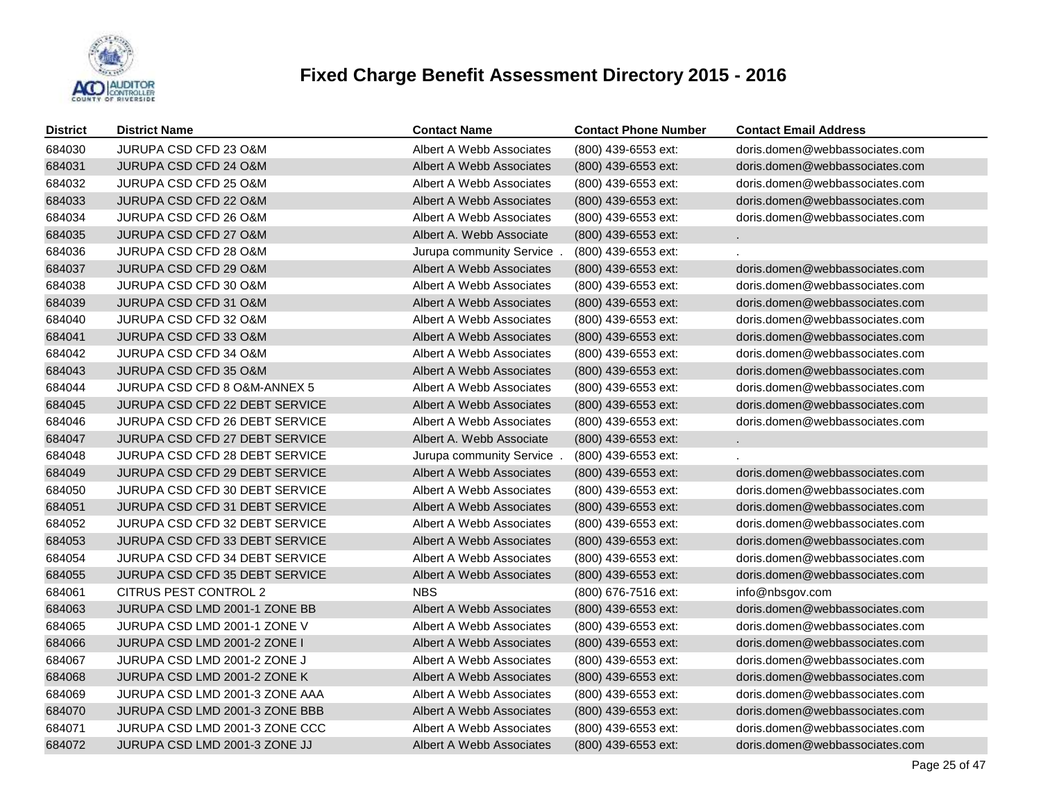

| District | <b>District Name</b>                  | <b>Contact Name</b>      | <b>Contact Phone Number</b> | <b>Contact Email Address</b>   |
|----------|---------------------------------------|--------------------------|-----------------------------|--------------------------------|
| 684030   | JURUPA CSD CFD 23 O&M                 | Albert A Webb Associates | (800) 439-6553 ext:         | doris.domen@webbassociates.com |
| 684031   | <b>JURUPA CSD CFD 24 O&amp;M</b>      | Albert A Webb Associates | (800) 439-6553 ext:         | doris.domen@webbassociates.com |
| 684032   | JURUPA CSD CFD 25 O&M                 | Albert A Webb Associates | (800) 439-6553 ext:         | doris.domen@webbassociates.com |
| 684033   | <b>JURUPA CSD CFD 22 O&amp;M</b>      | Albert A Webb Associates | (800) 439-6553 ext:         | doris.domen@webbassociates.com |
| 684034   | JURUPA CSD CFD 26 O&M                 | Albert A Webb Associates | (800) 439-6553 ext:         | doris.domen@webbassociates.com |
| 684035   | JURUPA CSD CFD 27 O&M                 | Albert A. Webb Associate | (800) 439-6553 ext:         |                                |
| 684036   | JURUPA CSD CFD 28 O&M                 | Jurupa community Service | (800) 439-6553 ext:         |                                |
| 684037   | <b>JURUPA CSD CFD 29 O&amp;M</b>      | Albert A Webb Associates | (800) 439-6553 ext:         | doris.domen@webbassociates.com |
| 684038   | JURUPA CSD CFD 30 O&M                 | Albert A Webb Associates | (800) 439-6553 ext:         | doris.domen@webbassociates.com |
| 684039   | JURUPA CSD CFD 31 O&M                 | Albert A Webb Associates | (800) 439-6553 ext:         | doris.domen@webbassociates.com |
| 684040   | JURUPA CSD CFD 32 O&M                 | Albert A Webb Associates | (800) 439-6553 ext:         | doris.domen@webbassociates.com |
| 684041   | JURUPA CSD CFD 33 O&M                 | Albert A Webb Associates | (800) 439-6553 ext:         | doris.domen@webbassociates.com |
| 684042   | JURUPA CSD CFD 34 O&M                 | Albert A Webb Associates | (800) 439-6553 ext:         | doris.domen@webbassociates.com |
| 684043   | <b>JURUPA CSD CFD 35 O&amp;M</b>      | Albert A Webb Associates | (800) 439-6553 ext:         | doris.domen@webbassociates.com |
| 684044   | JURUPA CSD CFD 8 O&M-ANNEX 5          | Albert A Webb Associates | (800) 439-6553 ext:         | doris.domen@webbassociates.com |
| 684045   | JURUPA CSD CFD 22 DEBT SERVICE        | Albert A Webb Associates | (800) 439-6553 ext:         | doris.domen@webbassociates.com |
| 684046   | JURUPA CSD CFD 26 DEBT SERVICE        | Albert A Webb Associates | (800) 439-6553 ext:         | doris.domen@webbassociates.com |
| 684047   | <b>JURUPA CSD CFD 27 DEBT SERVICE</b> | Albert A. Webb Associate | $(800)$ 439-6553 ext:       | $\sim$                         |
| 684048   | <b>JURUPA CSD CFD 28 DEBT SERVICE</b> | Jurupa community Service | (800) 439-6553 ext:         |                                |
| 684049   | JURUPA CSD CFD 29 DEBT SERVICE        | Albert A Webb Associates | (800) 439-6553 ext:         | doris.domen@webbassociates.com |
| 684050   | JURUPA CSD CFD 30 DEBT SERVICE        | Albert A Webb Associates | (800) 439-6553 ext:         | doris.domen@webbassociates.com |
| 684051   | JURUPA CSD CFD 31 DEBT SERVICE        | Albert A Webb Associates | (800) 439-6553 ext:         | doris.domen@webbassociates.com |
| 684052   | JURUPA CSD CFD 32 DEBT SERVICE        | Albert A Webb Associates | (800) 439-6553 ext:         | doris.domen@webbassociates.com |
| 684053   | JURUPA CSD CFD 33 DEBT SERVICE        | Albert A Webb Associates | (800) 439-6553 ext:         | doris.domen@webbassociates.com |
| 684054   | JURUPA CSD CFD 34 DEBT SERVICE        | Albert A Webb Associates | (800) 439-6553 ext:         | doris.domen@webbassociates.com |
| 684055   | JURUPA CSD CFD 35 DEBT SERVICE        | Albert A Webb Associates | (800) 439-6553 ext:         | doris.domen@webbassociates.com |
| 684061   | CITRUS PEST CONTROL 2                 | <b>NBS</b>               | (800) 676-7516 ext:         | info@nbsgov.com                |
| 684063   | JURUPA CSD LMD 2001-1 ZONE BB         | Albert A Webb Associates | (800) 439-6553 ext:         | doris.domen@webbassociates.com |
| 684065   | JURUPA CSD LMD 2001-1 ZONE V          | Albert A Webb Associates | (800) 439-6553 ext:         | doris.domen@webbassociates.com |
| 684066   | JURUPA CSD LMD 2001-2 ZONE I          | Albert A Webb Associates | (800) 439-6553 ext:         | doris.domen@webbassociates.com |
| 684067   | JURUPA CSD LMD 2001-2 ZONE J          | Albert A Webb Associates | (800) 439-6553 ext:         | doris.domen@webbassociates.com |
| 684068   | JURUPA CSD LMD 2001-2 ZONE K          | Albert A Webb Associates | (800) 439-6553 ext:         | doris.domen@webbassociates.com |
| 684069   | JURUPA CSD LMD 2001-3 ZONE AAA        | Albert A Webb Associates | (800) 439-6553 ext:         | doris.domen@webbassociates.com |
| 684070   | JURUPA CSD LMD 2001-3 ZONE BBB        | Albert A Webb Associates | (800) 439-6553 ext:         | doris.domen@webbassociates.com |
| 684071   | JURUPA CSD LMD 2001-3 ZONE CCC        | Albert A Webb Associates | (800) 439-6553 ext:         | doris.domen@webbassociates.com |
| 684072   | JURUPA CSD LMD 2001-3 ZONE JJ         | Albert A Webb Associates | (800) 439-6553 ext:         | doris.domen@webbassociates.com |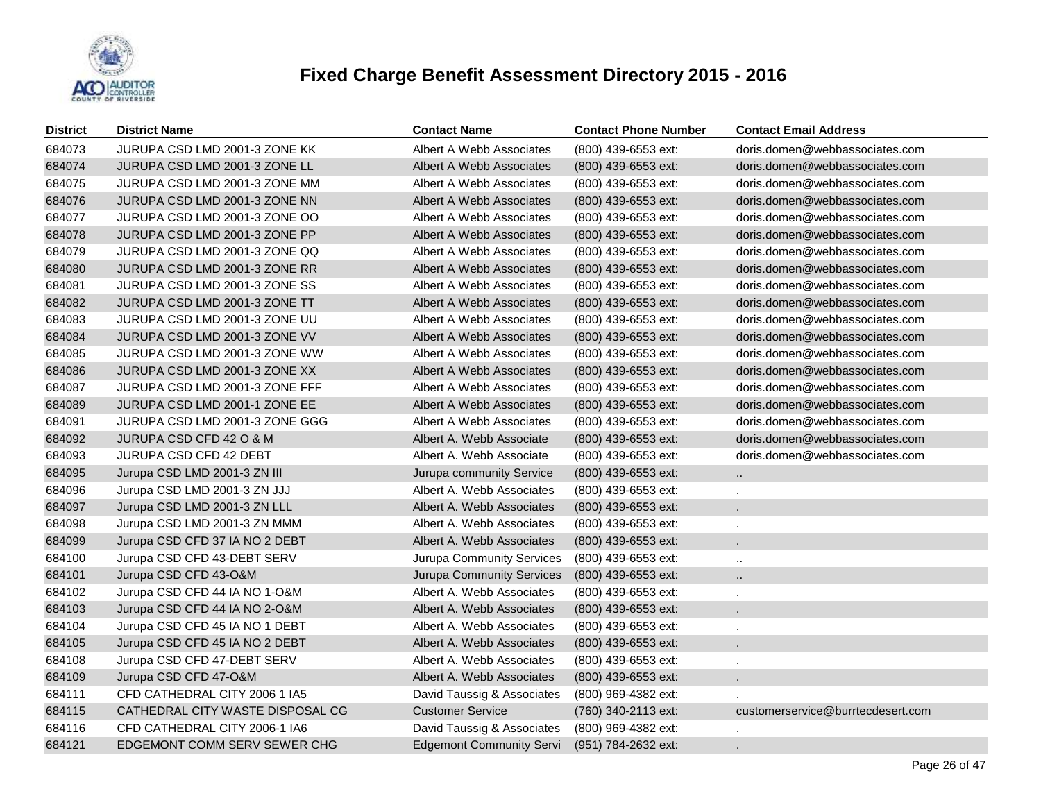

| <b>District</b> | <b>District Name</b>             | <b>Contact Name</b>             | <b>Contact Phone Number</b> | <b>Contact Email Address</b>      |
|-----------------|----------------------------------|---------------------------------|-----------------------------|-----------------------------------|
| 684073          | JURUPA CSD LMD 2001-3 ZONE KK    | Albert A Webb Associates        | (800) 439-6553 ext:         | doris.domen@webbassociates.com    |
| 684074          | JURUPA CSD LMD 2001-3 ZONE LL    | Albert A Webb Associates        | (800) 439-6553 ext:         | doris.domen@webbassociates.com    |
| 684075          | JURUPA CSD LMD 2001-3 ZONE MM    | Albert A Webb Associates        | (800) 439-6553 ext:         | doris.domen@webbassociates.com    |
| 684076          | JURUPA CSD LMD 2001-3 ZONE NN    | Albert A Webb Associates        | (800) 439-6553 ext:         | doris.domen@webbassociates.com    |
| 684077          | JURUPA CSD LMD 2001-3 ZONE OO    | Albert A Webb Associates        | (800) 439-6553 ext:         | doris.domen@webbassociates.com    |
| 684078          | JURUPA CSD LMD 2001-3 ZONE PP    | Albert A Webb Associates        | $(800)$ 439-6553 ext:       | doris.domen@webbassociates.com    |
| 684079          | JURUPA CSD LMD 2001-3 ZONE QQ    | Albert A Webb Associates        | (800) 439-6553 ext:         | doris.domen@webbassociates.com    |
| 684080          | JURUPA CSD LMD 2001-3 ZONE RR    | Albert A Webb Associates        | (800) 439-6553 ext:         | doris.domen@webbassociates.com    |
| 684081          | JURUPA CSD LMD 2001-3 ZONE SS    | Albert A Webb Associates        | (800) 439-6553 ext:         | doris.domen@webbassociates.com    |
| 684082          | JURUPA CSD LMD 2001-3 ZONE TT    | Albert A Webb Associates        | (800) 439-6553 ext:         | doris.domen@webbassociates.com    |
| 684083          | JURUPA CSD LMD 2001-3 ZONE UU    | Albert A Webb Associates        | (800) 439-6553 ext:         | doris.domen@webbassociates.com    |
| 684084          | JURUPA CSD LMD 2001-3 ZONE VV    | Albert A Webb Associates        | (800) 439-6553 ext:         | doris.domen@webbassociates.com    |
| 684085          | JURUPA CSD LMD 2001-3 ZONE WW    | Albert A Webb Associates        | (800) 439-6553 ext:         | doris.domen@webbassociates.com    |
| 684086          | JURUPA CSD LMD 2001-3 ZONE XX    | Albert A Webb Associates        | (800) 439-6553 ext:         | doris.domen@webbassociates.com    |
| 684087          | JURUPA CSD LMD 2001-3 ZONE FFF   | Albert A Webb Associates        | (800) 439-6553 ext:         | doris.domen@webbassociates.com    |
| 684089          | JURUPA CSD LMD 2001-1 ZONE EE    | Albert A Webb Associates        | (800) 439-6553 ext:         | doris.domen@webbassociates.com    |
| 684091          | JURUPA CSD LMD 2001-3 ZONE GGG   | Albert A Webb Associates        | (800) 439-6553 ext:         | doris.domen@webbassociates.com    |
| 684092          | JURUPA CSD CFD 42 O & M          | Albert A. Webb Associate        | (800) 439-6553 ext:         | doris.domen@webbassociates.com    |
| 684093          | JURUPA CSD CFD 42 DEBT           | Albert A. Webb Associate        | (800) 439-6553 ext:         | doris.domen@webbassociates.com    |
| 684095          | Jurupa CSD LMD 2001-3 ZN III     | Jurupa community Service        | (800) 439-6553 ext:         | $\ddotsc$                         |
| 684096          | Jurupa CSD LMD 2001-3 ZN JJJ     | Albert A. Webb Associates       | $(800)$ 439-6553 ext:       |                                   |
| 684097          | Jurupa CSD LMD 2001-3 ZN LLL     | Albert A. Webb Associates       | (800) 439-6553 ext:         |                                   |
| 684098          | Jurupa CSD LMD 2001-3 ZN MMM     | Albert A. Webb Associates       | (800) 439-6553 ext:         |                                   |
| 684099          | Jurupa CSD CFD 37 IA NO 2 DEBT   | Albert A. Webb Associates       | (800) 439-6553 ext:         |                                   |
| 684100          | Jurupa CSD CFD 43-DEBT SERV      | Jurupa Community Services       | (800) 439-6553 ext:         | $\ddot{\phantom{a}}$              |
| 684101          | Jurupa CSD CFD 43-O&M            | Jurupa Community Services       | (800) 439-6553 ext:         | Ω.                                |
| 684102          | Jurupa CSD CFD 44 IA NO 1-O&M    | Albert A. Webb Associates       | $(800)$ 439-6553 ext:       |                                   |
| 684103          | Jurupa CSD CFD 44 IA NO 2-O&M    | Albert A. Webb Associates       | (800) 439-6553 ext:         |                                   |
| 684104          | Jurupa CSD CFD 45 IA NO 1 DEBT   | Albert A. Webb Associates       | (800) 439-6553 ext:         |                                   |
| 684105          | Jurupa CSD CFD 45 IA NO 2 DEBT   | Albert A. Webb Associates       | (800) 439-6553 ext:         |                                   |
| 684108          | Jurupa CSD CFD 47-DEBT SERV      | Albert A. Webb Associates       | (800) 439-6553 ext:         |                                   |
| 684109          | Jurupa CSD CFD 47-O&M            | Albert A. Webb Associates       | (800) 439-6553 ext:         |                                   |
| 684111          | CFD CATHEDRAL CITY 2006 1 IA5    | David Taussig & Associates      | (800) 969-4382 ext:         |                                   |
| 684115          | CATHEDRAL CITY WASTE DISPOSAL CG | <b>Customer Service</b>         | (760) 340-2113 ext:         | customerservice@burrtecdesert.com |
| 684116          | CFD CATHEDRAL CITY 2006-1 IA6    | David Taussig & Associates      | (800) 969-4382 ext:         |                                   |
| 684121          | EDGEMONT COMM SERV SEWER CHG     | <b>Edgemont Community Servi</b> | (951) 784-2632 ext:         |                                   |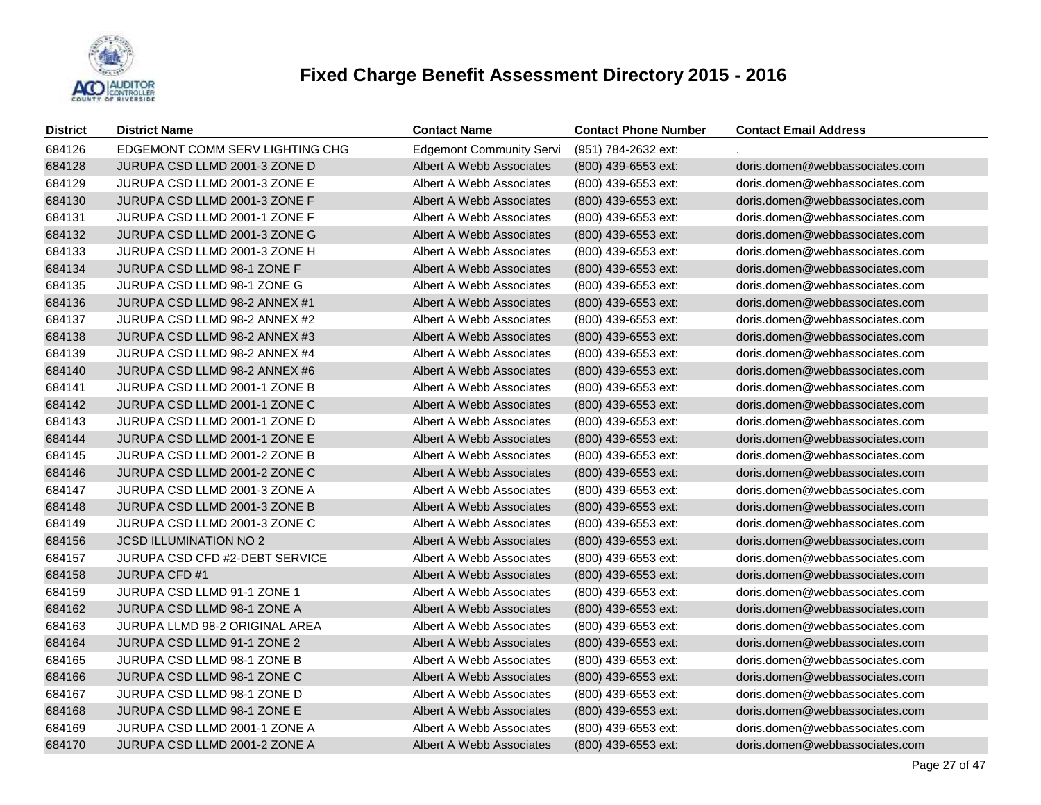

| <b>District</b> | <b>District Name</b>            | <b>Contact Name</b>             | <b>Contact Phone Number</b> | <b>Contact Email Address</b>   |
|-----------------|---------------------------------|---------------------------------|-----------------------------|--------------------------------|
| 684126          | EDGEMONT COMM SERV LIGHTING CHG | <b>Edgemont Community Servi</b> | (951) 784-2632 ext:         |                                |
| 684128          | JURUPA CSD LLMD 2001-3 ZONE D   | Albert A Webb Associates        | (800) 439-6553 ext:         | doris.domen@webbassociates.com |
| 684129          | JURUPA CSD LLMD 2001-3 ZONE E   | Albert A Webb Associates        | (800) 439-6553 ext:         | doris.domen@webbassociates.com |
| 684130          | JURUPA CSD LLMD 2001-3 ZONE F   | Albert A Webb Associates        | (800) 439-6553 ext:         | doris.domen@webbassociates.com |
| 684131          | JURUPA CSD LLMD 2001-1 ZONE F   | Albert A Webb Associates        | (800) 439-6553 ext:         | doris.domen@webbassociates.com |
| 684132          | JURUPA CSD LLMD 2001-3 ZONE G   | Albert A Webb Associates        | (800) 439-6553 ext:         | doris.domen@webbassociates.com |
| 684133          | JURUPA CSD LLMD 2001-3 ZONE H   | Albert A Webb Associates        | (800) 439-6553 ext:         | doris.domen@webbassociates.com |
| 684134          | JURUPA CSD LLMD 98-1 ZONE F     | Albert A Webb Associates        | (800) 439-6553 ext:         | doris.domen@webbassociates.com |
| 684135          | JURUPA CSD LLMD 98-1 ZONE G     | Albert A Webb Associates        | (800) 439-6553 ext:         | doris.domen@webbassociates.com |
| 684136          | JURUPA CSD LLMD 98-2 ANNEX #1   | Albert A Webb Associates        | (800) 439-6553 ext:         | doris.domen@webbassociates.com |
| 684137          | JURUPA CSD LLMD 98-2 ANNEX #2   | Albert A Webb Associates        | (800) 439-6553 ext:         | doris.domen@webbassociates.com |
| 684138          | JURUPA CSD LLMD 98-2 ANNEX #3   | Albert A Webb Associates        | (800) 439-6553 ext:         | doris.domen@webbassociates.com |
| 684139          | JURUPA CSD LLMD 98-2 ANNEX #4   | Albert A Webb Associates        | (800) 439-6553 ext:         | doris.domen@webbassociates.com |
| 684140          | JURUPA CSD LLMD 98-2 ANNEX #6   | Albert A Webb Associates        | $(800)$ 439-6553 ext:       | doris.domen@webbassociates.com |
| 684141          | JURUPA CSD LLMD 2001-1 ZONE B   | Albert A Webb Associates        | (800) 439-6553 ext:         | doris.domen@webbassociates.com |
| 684142          | JURUPA CSD LLMD 2001-1 ZONE C   | Albert A Webb Associates        | (800) 439-6553 ext:         | doris.domen@webbassociates.com |
| 684143          | JURUPA CSD LLMD 2001-1 ZONE D   | Albert A Webb Associates        | (800) 439-6553 ext:         | doris.domen@webbassociates.com |
| 684144          | JURUPA CSD LLMD 2001-1 ZONE E   | Albert A Webb Associates        | (800) 439-6553 ext:         | doris.domen@webbassociates.com |
| 684145          | JURUPA CSD LLMD 2001-2 ZONE B   | Albert A Webb Associates        | (800) 439-6553 ext:         | doris.domen@webbassociates.com |
| 684146          | JURUPA CSD LLMD 2001-2 ZONE C   | Albert A Webb Associates        | (800) 439-6553 ext:         | doris.domen@webbassociates.com |
| 684147          | JURUPA CSD LLMD 2001-3 ZONE A   | Albert A Webb Associates        | (800) 439-6553 ext:         | doris.domen@webbassociates.com |
| 684148          | JURUPA CSD LLMD 2001-3 ZONE B   | Albert A Webb Associates        | (800) 439-6553 ext:         | doris.domen@webbassociates.com |
| 684149          | JURUPA CSD LLMD 2001-3 ZONE C   | Albert A Webb Associates        | (800) 439-6553 ext:         | doris.domen@webbassociates.com |
| 684156          | <b>JCSD ILLUMINATION NO 2</b>   | Albert A Webb Associates        | (800) 439-6553 ext:         | doris.domen@webbassociates.com |
| 684157          | JURUPA CSD CFD #2-DEBT SERVICE  | Albert A Webb Associates        | (800) 439-6553 ext:         | doris.domen@webbassociates.com |
| 684158          | <b>JURUPA CFD #1</b>            | Albert A Webb Associates        | (800) 439-6553 ext:         | doris.domen@webbassociates.com |
| 684159          | JURUPA CSD LLMD 91-1 ZONE 1     | Albert A Webb Associates        | (800) 439-6553 ext:         | doris.domen@webbassociates.com |
| 684162          | JURUPA CSD LLMD 98-1 ZONE A     | Albert A Webb Associates        | (800) 439-6553 ext:         | doris.domen@webbassociates.com |
| 684163          | JURUPA LLMD 98-2 ORIGINAL AREA  | Albert A Webb Associates        | (800) 439-6553 ext:         | doris.domen@webbassociates.com |
| 684164          | JURUPA CSD LLMD 91-1 ZONE 2     | Albert A Webb Associates        | (800) 439-6553 ext:         | doris.domen@webbassociates.com |
| 684165          | JURUPA CSD LLMD 98-1 ZONE B     | Albert A Webb Associates        | (800) 439-6553 ext:         | doris.domen@webbassociates.com |
| 684166          | JURUPA CSD LLMD 98-1 ZONE C     | Albert A Webb Associates        | $(800)$ 439-6553 ext:       | doris.domen@webbassociates.com |
| 684167          | JURUPA CSD LLMD 98-1 ZONE D     | Albert A Webb Associates        | (800) 439-6553 ext:         | doris.domen@webbassociates.com |
| 684168          | JURUPA CSD LLMD 98-1 ZONE E     | Albert A Webb Associates        | (800) 439-6553 ext:         | doris.domen@webbassociates.com |
| 684169          | JURUPA CSD LLMD 2001-1 ZONE A   | Albert A Webb Associates        | (800) 439-6553 ext:         | doris.domen@webbassociates.com |
| 684170          | JURUPA CSD LLMD 2001-2 ZONE A   | Albert A Webb Associates        | (800) 439-6553 ext:         | doris.domen@webbassociates.com |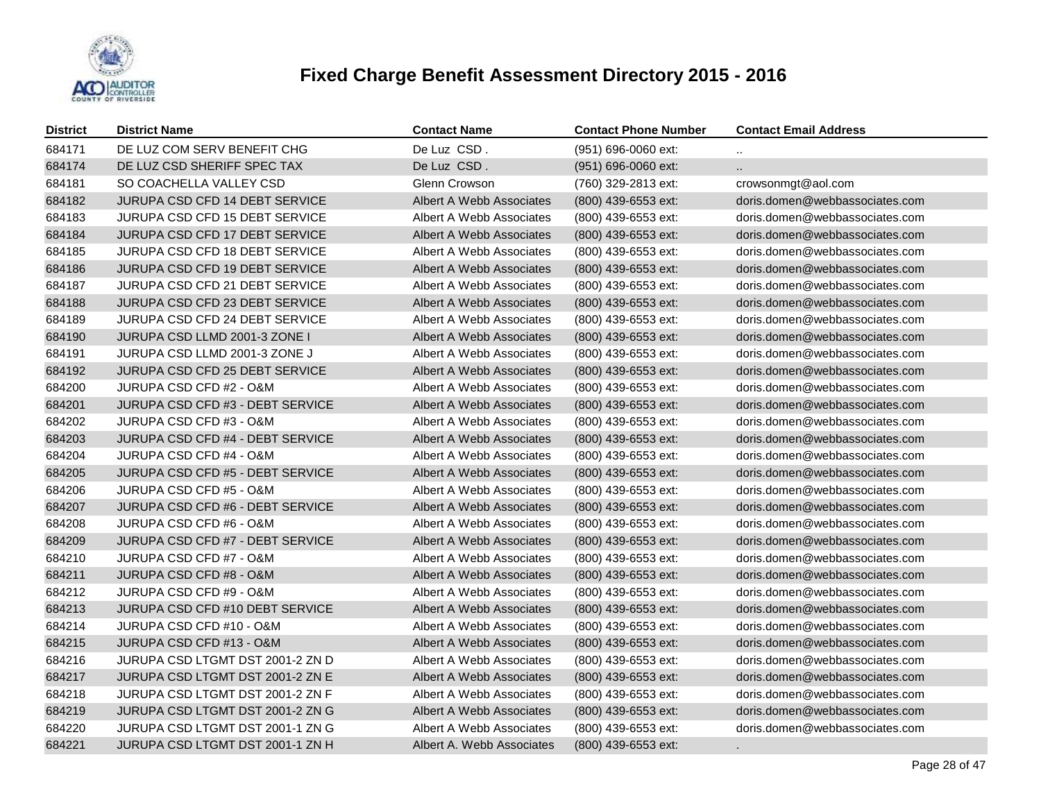

| <b>District</b> | <b>District Name</b>                  | <b>Contact Name</b>             | <b>Contact Phone Number</b> | <b>Contact Email Address</b>   |
|-----------------|---------------------------------------|---------------------------------|-----------------------------|--------------------------------|
| 684171          | DE LUZ COM SERV BENEFIT CHG           | De Luz CSD.                     | (951) 696-0060 ext:         | $\ddot{\phantom{1}}$           |
| 684174          | DE LUZ CSD SHERIFF SPEC TAX           | De Luz CSD.                     | (951) 696-0060 ext:         | $\ddotsc$                      |
| 684181          | SO COACHELLA VALLEY CSD               | Glenn Crowson                   | (760) 329-2813 ext:         | crowsonmgt@aol.com             |
| 684182          | <b>JURUPA CSD CFD 14 DEBT SERVICE</b> | <b>Albert A Webb Associates</b> | (800) 439-6553 ext:         | doris.domen@webbassociates.com |
| 684183          | <b>JURUPA CSD CFD 15 DEBT SERVICE</b> | Albert A Webb Associates        | (800) 439-6553 ext:         | doris.domen@webbassociates.com |
| 684184          | JURUPA CSD CFD 17 DEBT SERVICE        | Albert A Webb Associates        | (800) 439-6553 ext:         | doris.domen@webbassociates.com |
| 684185          | JURUPA CSD CFD 18 DEBT SERVICE        | Albert A Webb Associates        | (800) 439-6553 ext:         | doris.domen@webbassociates.com |
| 684186          | JURUPA CSD CFD 19 DEBT SERVICE        | Albert A Webb Associates        | (800) 439-6553 ext:         | doris.domen@webbassociates.com |
| 684187          | JURUPA CSD CFD 21 DEBT SERVICE        | Albert A Webb Associates        | (800) 439-6553 ext:         | doris.domen@webbassociates.com |
| 684188          | JURUPA CSD CFD 23 DEBT SERVICE        | Albert A Webb Associates        | (800) 439-6553 ext:         | doris.domen@webbassociates.com |
| 684189          | JURUPA CSD CFD 24 DEBT SERVICE        | Albert A Webb Associates        | (800) 439-6553 ext:         | doris.domen@webbassociates.com |
| 684190          | JURUPA CSD LLMD 2001-3 ZONE I         | Albert A Webb Associates        | (800) 439-6553 ext:         | doris.domen@webbassociates.com |
| 684191          | JURUPA CSD LLMD 2001-3 ZONE J         | Albert A Webb Associates        | (800) 439-6553 ext:         | doris.domen@webbassociates.com |
| 684192          | JURUPA CSD CFD 25 DEBT SERVICE        | Albert A Webb Associates        | (800) 439-6553 ext:         | doris.domen@webbassociates.com |
| 684200          | JURUPA CSD CFD #2 - O&M               | Albert A Webb Associates        | (800) 439-6553 ext:         | doris.domen@webbassociates.com |
| 684201          | JURUPA CSD CFD #3 - DEBT SERVICE      | Albert A Webb Associates        | (800) 439-6553 ext:         | doris.domen@webbassociates.com |
| 684202          | JURUPA CSD CFD #3 - O&M               | Albert A Webb Associates        | (800) 439-6553 ext:         | doris.domen@webbassociates.com |
| 684203          | JURUPA CSD CFD #4 - DEBT SERVICE      | Albert A Webb Associates        | (800) 439-6553 ext:         | doris.domen@webbassociates.com |
| 684204          | JURUPA CSD CFD #4 - O&M               | Albert A Webb Associates        | (800) 439-6553 ext:         | doris.domen@webbassociates.com |
| 684205          | JURUPA CSD CFD #5 - DEBT SERVICE      | Albert A Webb Associates        | (800) 439-6553 ext:         | doris.domen@webbassociates.com |
| 684206          | JURUPA CSD CFD #5 - O&M               | Albert A Webb Associates        | (800) 439-6553 ext:         | doris.domen@webbassociates.com |
| 684207          | JURUPA CSD CFD #6 - DEBT SERVICE      | Albert A Webb Associates        | (800) 439-6553 ext:         | doris.domen@webbassociates.com |
| 684208          | JURUPA CSD CFD #6 - O&M               | Albert A Webb Associates        | (800) 439-6553 ext:         | doris.domen@webbassociates.com |
| 684209          | JURUPA CSD CFD #7 - DEBT SERVICE      | Albert A Webb Associates        | (800) 439-6553 ext:         | doris.domen@webbassociates.com |
| 684210          | JURUPA CSD CFD #7 - O&M               | Albert A Webb Associates        | (800) 439-6553 ext:         | doris.domen@webbassociates.com |
| 684211          | JURUPA CSD CFD #8 - O&M               | Albert A Webb Associates        | (800) 439-6553 ext:         | doris.domen@webbassociates.com |
| 684212          | JURUPA CSD CFD #9 - O&M               | Albert A Webb Associates        | (800) 439-6553 ext:         | doris.domen@webbassociates.com |
| 684213          | JURUPA CSD CFD #10 DEBT SERVICE       | Albert A Webb Associates        | (800) 439-6553 ext:         | doris.domen@webbassociates.com |
| 684214          | JURUPA CSD CFD #10 - O&M              | Albert A Webb Associates        | (800) 439-6553 ext:         | doris.domen@webbassociates.com |
| 684215          | JURUPA CSD CFD #13 - O&M              | Albert A Webb Associates        | (800) 439-6553 ext:         | doris.domen@webbassociates.com |
| 684216          | JURUPA CSD LTGMT DST 2001-2 ZN D      | Albert A Webb Associates        | (800) 439-6553 ext:         | doris.domen@webbassociates.com |
| 684217          | JURUPA CSD LTGMT DST 2001-2 ZN E      | Albert A Webb Associates        | (800) 439-6553 ext:         | doris.domen@webbassociates.com |
| 684218          | JURUPA CSD LTGMT DST 2001-2 ZN F      | Albert A Webb Associates        | (800) 439-6553 ext:         | doris.domen@webbassociates.com |
| 684219          | JURUPA CSD LTGMT DST 2001-2 ZN G      | Albert A Webb Associates        | (800) 439-6553 ext:         | doris.domen@webbassociates.com |
| 684220          | JURUPA CSD LTGMT DST 2001-1 ZN G      | Albert A Webb Associates        | (800) 439-6553 ext:         | doris.domen@webbassociates.com |
| 684221          | JURUPA CSD LTGMT DST 2001-1 ZN H      | Albert A. Webb Associates       | (800) 439-6553 ext:         | $\sim$                         |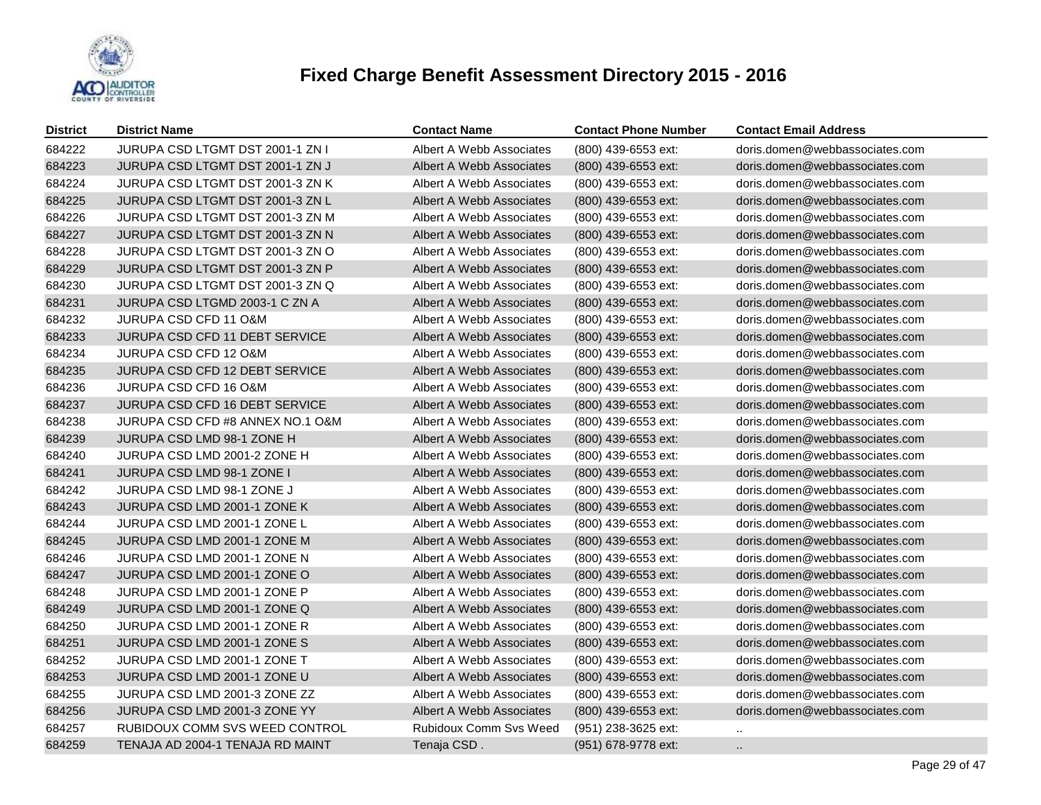

| <b>District</b> | <b>District Name</b>                  | <b>Contact Name</b>           | <b>Contact Phone Number</b> | <b>Contact Email Address</b>   |
|-----------------|---------------------------------------|-------------------------------|-----------------------------|--------------------------------|
| 684222          | JURUPA CSD LTGMT DST 2001-1 ZN I      | Albert A Webb Associates      | (800) 439-6553 ext:         | doris.domen@webbassociates.com |
| 684223          | JURUPA CSD LTGMT DST 2001-1 ZN J      | Albert A Webb Associates      | (800) 439-6553 ext:         | doris.domen@webbassociates.com |
| 684224          | JURUPA CSD LTGMT DST 2001-3 ZN K      | Albert A Webb Associates      | (800) 439-6553 ext:         | doris.domen@webbassociates.com |
| 684225          | JURUPA CSD LTGMT DST 2001-3 ZN L      | Albert A Webb Associates      | (800) 439-6553 ext:         | doris.domen@webbassociates.com |
| 684226          | JURUPA CSD LTGMT DST 2001-3 ZN M      | Albert A Webb Associates      | (800) 439-6553 ext:         | doris.domen@webbassociates.com |
| 684227          | JURUPA CSD LTGMT DST 2001-3 ZN N      | Albert A Webb Associates      | (800) 439-6553 ext:         | doris.domen@webbassociates.com |
| 684228          | JURUPA CSD LTGMT DST 2001-3 ZN O      | Albert A Webb Associates      | (800) 439-6553 ext:         | doris.domen@webbassociates.com |
| 684229          | JURUPA CSD LTGMT DST 2001-3 ZN P      | Albert A Webb Associates      | (800) 439-6553 ext:         | doris.domen@webbassociates.com |
| 684230          | JURUPA CSD LTGMT DST 2001-3 ZN Q      | Albert A Webb Associates      | (800) 439-6553 ext:         | doris.domen@webbassociates.com |
| 684231          | JURUPA CSD LTGMD 2003-1 C ZN A        | Albert A Webb Associates      | (800) 439-6553 ext:         | doris.domen@webbassociates.com |
| 684232          | <b>JURUPA CSD CFD 11 O&amp;M</b>      | Albert A Webb Associates      | (800) 439-6553 ext:         | doris.domen@webbassociates.com |
| 684233          | <b>JURUPA CSD CFD 11 DEBT SERVICE</b> | Albert A Webb Associates      | $(800)$ 439-6553 ext:       | doris.domen@webbassociates.com |
| 684234          | JURUPA CSD CFD 12 O&M                 | Albert A Webb Associates      | (800) 439-6553 ext:         | doris.domen@webbassociates.com |
| 684235          | <b>JURUPA CSD CFD 12 DEBT SERVICE</b> | Albert A Webb Associates      | (800) 439-6553 ext:         | doris.domen@webbassociates.com |
| 684236          | JURUPA CSD CFD 16 O&M                 | Albert A Webb Associates      | (800) 439-6553 ext:         | doris.domen@webbassociates.com |
| 684237          | <b>JURUPA CSD CFD 16 DEBT SERVICE</b> | Albert A Webb Associates      | (800) 439-6553 ext:         | doris.domen@webbassociates.com |
| 684238          | JURUPA CSD CFD #8 ANNEX NO.1 O&M      | Albert A Webb Associates      | (800) 439-6553 ext:         | doris.domen@webbassociates.com |
| 684239          | JURUPA CSD LMD 98-1 ZONE H            | Albert A Webb Associates      | (800) 439-6553 ext:         | doris.domen@webbassociates.com |
| 684240          | JURUPA CSD LMD 2001-2 ZONE H          | Albert A Webb Associates      | (800) 439-6553 ext:         | doris.domen@webbassociates.com |
| 684241          | JURUPA CSD LMD 98-1 ZONE I            | Albert A Webb Associates      | (800) 439-6553 ext:         | doris.domen@webbassociates.com |
| 684242          | JURUPA CSD LMD 98-1 ZONE J            | Albert A Webb Associates      | (800) 439-6553 ext:         | doris.domen@webbassociates.com |
| 684243          | JURUPA CSD LMD 2001-1 ZONE K          | Albert A Webb Associates      | $(800)$ 439-6553 ext:       | doris.domen@webbassociates.com |
| 684244          | JURUPA CSD LMD 2001-1 ZONE L          | Albert A Webb Associates      | (800) 439-6553 ext:         | doris.domen@webbassociates.com |
| 684245          | JURUPA CSD LMD 2001-1 ZONE M          | Albert A Webb Associates      | (800) 439-6553 ext:         | doris.domen@webbassociates.com |
| 684246          | JURUPA CSD LMD 2001-1 ZONE N          | Albert A Webb Associates      | (800) 439-6553 ext:         | doris.domen@webbassociates.com |
| 684247          | JURUPA CSD LMD 2001-1 ZONE O          | Albert A Webb Associates      | (800) 439-6553 ext:         | doris.domen@webbassociates.com |
| 684248          | JURUPA CSD LMD 2001-1 ZONE P          | Albert A Webb Associates      | (800) 439-6553 ext:         | doris.domen@webbassociates.com |
| 684249          | JURUPA CSD LMD 2001-1 ZONE Q          | Albert A Webb Associates      | (800) 439-6553 ext:         | doris.domen@webbassociates.com |
| 684250          | JURUPA CSD LMD 2001-1 ZONE R          | Albert A Webb Associates      | (800) 439-6553 ext:         | doris.domen@webbassociates.com |
| 684251          | JURUPA CSD LMD 2001-1 ZONE S          | Albert A Webb Associates      | (800) 439-6553 ext:         | doris.domen@webbassociates.com |
| 684252          | JURUPA CSD LMD 2001-1 ZONE T          | Albert A Webb Associates      | (800) 439-6553 ext:         | doris.domen@webbassociates.com |
| 684253          | JURUPA CSD LMD 2001-1 ZONE U          | Albert A Webb Associates      | (800) 439-6553 ext:         | doris.domen@webbassociates.com |
| 684255          | JURUPA CSD LMD 2001-3 ZONE ZZ         | Albert A Webb Associates      | (800) 439-6553 ext:         | doris.domen@webbassociates.com |
| 684256          | JURUPA CSD LMD 2001-3 ZONE YY         | Albert A Webb Associates      | (800) 439-6553 ext:         | doris.domen@webbassociates.com |
| 684257          | RUBIDOUX COMM SVS WEED CONTROL        | <b>Rubidoux Comm Svs Weed</b> | (951) 238-3625 ext:         | $\sim$                         |
| 684259          | TENAJA AD 2004-1 TENAJA RD MAINT      | Tenaja CSD.                   | (951) 678-9778 ext:         | $\ldots$                       |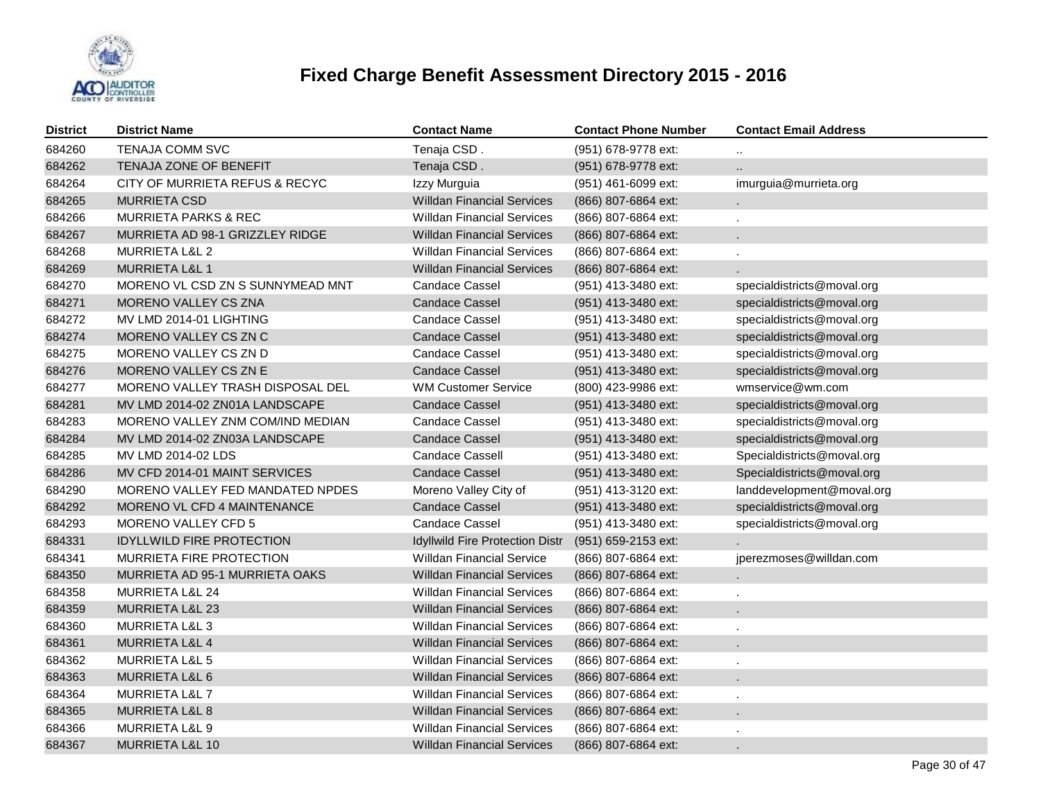

| <b>District</b> | <b>District Name</b>             | <b>Contact Name</b>               | <b>Contact Phone Number</b> | <b>Contact Email Address</b> |
|-----------------|----------------------------------|-----------------------------------|-----------------------------|------------------------------|
| 684260          | <b>TENAJA COMM SVC</b>           | Tenaja CSD.                       | (951) 678-9778 ext:         |                              |
| 684262          | TENAJA ZONE OF BENEFIT           | Tenaja CSD.                       | (951) 678-9778 ext:         |                              |
| 684264          | CITY OF MURRIETA REFUS & RECYC   | Izzy Murguia                      | (951) 461-6099 ext:         | imurguia@murrieta.org        |
| 684265          | <b>MURRIETA CSD</b>              | <b>Willdan Financial Services</b> | (866) 807-6864 ext:         |                              |
| 684266          | <b>MURRIETA PARKS &amp; REC</b>  | <b>Willdan Financial Services</b> | (866) 807-6864 ext:         |                              |
| 684267          | MURRIETA AD 98-1 GRIZZLEY RIDGE  | <b>Willdan Financial Services</b> | (866) 807-6864 ext:         |                              |
| 684268          | <b>MURRIETA L&amp;L 2</b>        | <b>Willdan Financial Services</b> | (866) 807-6864 ext:         |                              |
| 684269          | <b>MURRIETA L&amp;L 1</b>        | <b>Willdan Financial Services</b> | (866) 807-6864 ext:         |                              |
| 684270          | MORENO VL CSD ZN S SUNNYMEAD MNT | <b>Candace Cassel</b>             | (951) 413-3480 ext:         | specialdistricts@moval.org   |
| 684271          | MORENO VALLEY CS ZNA             | <b>Candace Cassel</b>             | (951) 413-3480 ext:         | specialdistricts@moval.org   |
| 684272          | MV LMD 2014-01 LIGHTING          | <b>Candace Cassel</b>             | (951) 413-3480 ext:         | specialdistricts@moval.org   |
| 684274          | MORENO VALLEY CS ZN C            | Candace Cassel                    | (951) 413-3480 ext:         | specialdistricts@moval.org   |
| 684275          | MORENO VALLEY CS ZN D            | <b>Candace Cassel</b>             | (951) 413-3480 ext:         | specialdistricts@moval.org   |
| 684276          | MORENO VALLEY CS ZN E            | Candace Cassel                    | (951) 413-3480 ext:         | specialdistricts@moval.org   |
| 684277          | MORENO VALLEY TRASH DISPOSAL DEL | <b>WM Customer Service</b>        | (800) 423-9986 ext:         | wmservice@wm.com             |
| 684281          | MV LMD 2014-02 ZN01A LANDSCAPE   | <b>Candace Cassel</b>             | (951) 413-3480 ext:         | specialdistricts@moval.org   |
| 684283          | MORENO VALLEY ZNM COM/IND MEDIAN | <b>Candace Cassel</b>             | (951) 413-3480 ext:         | specialdistricts@moval.org   |
| 684284          | MV LMD 2014-02 ZN03A LANDSCAPE   | <b>Candace Cassel</b>             | (951) 413-3480 ext:         | specialdistricts@moval.org   |
| 684285          | MV LMD 2014-02 LDS               | <b>Candace Cassell</b>            | (951) 413-3480 ext:         | Specialdistricts@moval.org   |
| 684286          | MV CFD 2014-01 MAINT SERVICES    | <b>Candace Cassel</b>             | (951) 413-3480 ext:         | Specialdistricts@moval.org   |
| 684290          | MORENO VALLEY FED MANDATED NPDES | Moreno Valley City of             | (951) 413-3120 ext:         | landdevelopment@moval.org    |
| 684292          | MORENO VL CFD 4 MAINTENANCE      | <b>Candace Cassel</b>             | (951) 413-3480 ext:         | specialdistricts@moval.org   |
| 684293          | MORENO VALLEY CFD 5              | <b>Candace Cassel</b>             | (951) 413-3480 ext:         | specialdistricts@moval.org   |
| 684331          | <b>IDYLLWILD FIRE PROTECTION</b> | Idyllwild Fire Protection Distr   | (951) 659-2153 ext:         |                              |
| 684341          | MURRIETA FIRE PROTECTION         | <b>Willdan Financial Service</b>  | (866) 807-6864 ext:         | jperezmoses@willdan.com      |
| 684350          | MURRIETA AD 95-1 MURRIETA OAKS   | <b>Willdan Financial Services</b> | (866) 807-6864 ext:         |                              |
| 684358          | MURRIETA L&L 24                  | <b>Willdan Financial Services</b> | (866) 807-6864 ext:         |                              |
| 684359          | <b>MURRIETA L&amp;L 23</b>       | <b>Willdan Financial Services</b> | (866) 807-6864 ext:         |                              |
| 684360          | <b>MURRIETA L&amp;L 3</b>        | <b>Willdan Financial Services</b> | (866) 807-6864 ext:         |                              |
| 684361          | <b>MURRIETA L&amp;L 4</b>        | <b>Willdan Financial Services</b> | (866) 807-6864 ext:         |                              |
| 684362          | MURRIETA L&L 5                   | <b>Willdan Financial Services</b> | (866) 807-6864 ext:         |                              |
| 684363          | MURRIETA L&L 6                   | <b>Willdan Financial Services</b> | (866) 807-6864 ext:         |                              |
| 684364          | MURRIETA L&L 7                   | <b>Willdan Financial Services</b> | (866) 807-6864 ext:         |                              |
| 684365          | <b>MURRIETA L&amp;L 8</b>        | <b>Willdan Financial Services</b> | (866) 807-6864 ext:         |                              |
| 684366          | MURRIETA L&L 9                   | <b>Willdan Financial Services</b> | (866) 807-6864 ext:         |                              |
| 684367          | MURRIETA L&L 10                  | <b>Willdan Financial Services</b> | (866) 807-6864 ext:         |                              |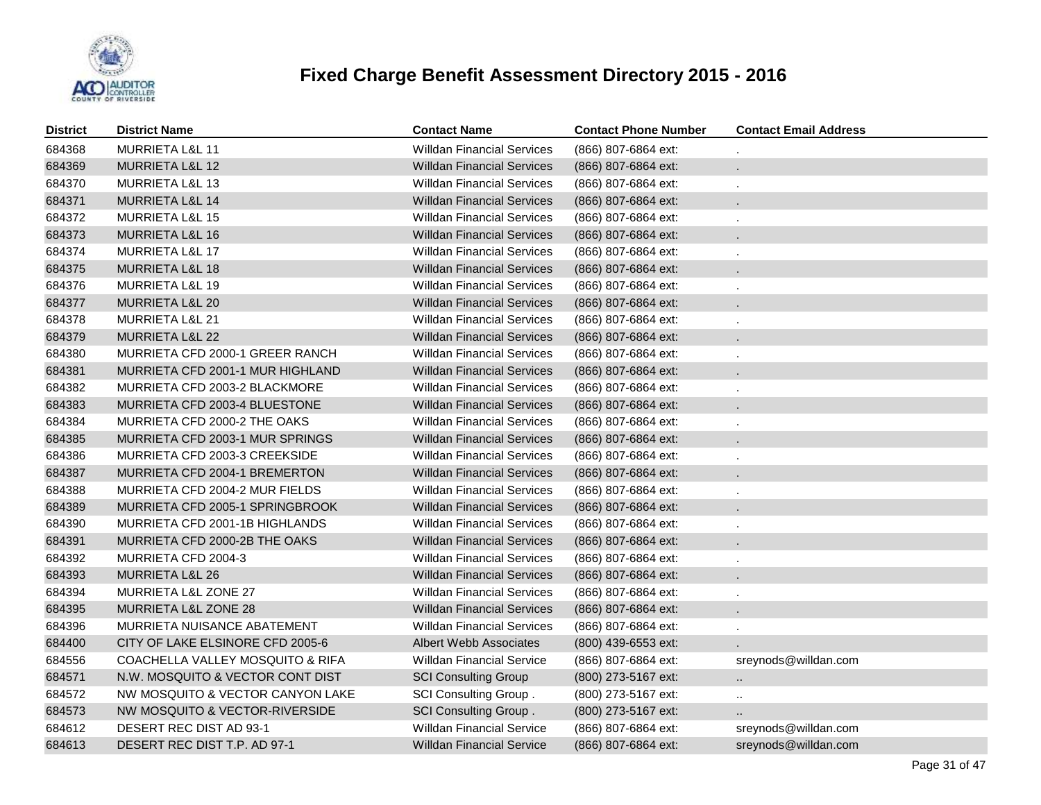

| <b>District</b> | <b>District Name</b>             | <b>Contact Name</b>               | <b>Contact Phone Number</b> | <b>Contact Email Address</b> |
|-----------------|----------------------------------|-----------------------------------|-----------------------------|------------------------------|
| 684368          | <b>MURRIETA L&amp;L 11</b>       | <b>Willdan Financial Services</b> | (866) 807-6864 ext:         |                              |
| 684369          | MURRIETA L&L 12                  | <b>Willdan Financial Services</b> | (866) 807-6864 ext:         |                              |
| 684370          | <b>MURRIETA L&amp;L 13</b>       | <b>Willdan Financial Services</b> | (866) 807-6864 ext:         | ÷.                           |
| 684371          | MURRIETA L&L 14                  | <b>Willdan Financial Services</b> | (866) 807-6864 ext:         | ÷.                           |
| 684372          | <b>MURRIETA L&amp;L 15</b>       | <b>Willdan Financial Services</b> | (866) 807-6864 ext:         | ä,                           |
| 684373          | <b>MURRIETA L&amp;L 16</b>       | <b>Willdan Financial Services</b> | (866) 807-6864 ext:         | ÷.                           |
| 684374          | <b>MURRIETA L&amp;L 17</b>       | <b>Willdan Financial Services</b> | (866) 807-6864 ext:         | ä,                           |
| 684375          | <b>MURRIETA L&amp;L 18</b>       | <b>Willdan Financial Services</b> | (866) 807-6864 ext:         |                              |
| 684376          | <b>MURRIETA L&amp;L 19</b>       | <b>Willdan Financial Services</b> | (866) 807-6864 ext:         | ä,                           |
| 684377          | MURRIETA L&L 20                  | <b>Willdan Financial Services</b> | (866) 807-6864 ext:         |                              |
| 684378          | MURRIETA L&L 21                  | <b>Willdan Financial Services</b> | (866) 807-6864 ext:         |                              |
| 684379          | MURRIETA L&L 22                  | <b>Willdan Financial Services</b> | (866) 807-6864 ext:         |                              |
| 684380          | MURRIETA CFD 2000-1 GREER RANCH  | <b>Willdan Financial Services</b> | (866) 807-6864 ext:         |                              |
| 684381          | MURRIETA CFD 2001-1 MUR HIGHLAND | <b>Willdan Financial Services</b> | (866) 807-6864 ext:         |                              |
| 684382          | MURRIETA CFD 2003-2 BLACKMORE    | <b>Willdan Financial Services</b> | (866) 807-6864 ext:         |                              |
| 684383          | MURRIETA CFD 2003-4 BLUESTONE    | <b>Willdan Financial Services</b> | (866) 807-6864 ext:         |                              |
| 684384          | MURRIETA CFD 2000-2 THE OAKS     | <b>Willdan Financial Services</b> | (866) 807-6864 ext:         |                              |
| 684385          | MURRIETA CFD 2003-1 MUR SPRINGS  | <b>Willdan Financial Services</b> | (866) 807-6864 ext:         |                              |
| 684386          | MURRIETA CFD 2003-3 CREEKSIDE    | <b>Willdan Financial Services</b> | (866) 807-6864 ext:         |                              |
| 684387          | MURRIETA CFD 2004-1 BREMERTON    | <b>Willdan Financial Services</b> | (866) 807-6864 ext:         |                              |
| 684388          | MURRIETA CFD 2004-2 MUR FIELDS   | <b>Willdan Financial Services</b> | (866) 807-6864 ext:         |                              |
| 684389          | MURRIETA CFD 2005-1 SPRINGBROOK  | <b>Willdan Financial Services</b> | (866) 807-6864 ext:         |                              |
| 684390          | MURRIETA CFD 2001-1B HIGHLANDS   | <b>Willdan Financial Services</b> | (866) 807-6864 ext:         |                              |
| 684391          | MURRIETA CFD 2000-2B THE OAKS    | <b>Willdan Financial Services</b> | (866) 807-6864 ext:         |                              |
| 684392          | MURRIETA CFD 2004-3              | <b>Willdan Financial Services</b> | (866) 807-6864 ext:         |                              |
| 684393          | MURRIETA L&L 26                  | <b>Willdan Financial Services</b> | (866) 807-6864 ext:         |                              |
| 684394          | <b>MURRIETA L&amp;L ZONE 27</b>  | <b>Willdan Financial Services</b> | (866) 807-6864 ext:         |                              |
| 684395          | MURRIETA L&L ZONE 28             | <b>Willdan Financial Services</b> | (866) 807-6864 ext:         |                              |
| 684396          | MURRIETA NUISANCE ABATEMENT      | <b>Willdan Financial Services</b> | (866) 807-6864 ext:         |                              |
| 684400          | CITY OF LAKE ELSINORE CFD 2005-6 | Albert Webb Associates            | (800) 439-6553 ext:         |                              |
| 684556          | COACHELLA VALLEY MOSQUITO & RIFA | <b>Willdan Financial Service</b>  | (866) 807-6864 ext:         | sreynods@willdan.com         |
| 684571          | N.W. MOSQUITO & VECTOR CONT DIST | <b>SCI Consulting Group</b>       | (800) 273-5167 ext:         | и.                           |
| 684572          | NW MOSQUITO & VECTOR CANYON LAKE | SCI Consulting Group.             | (800) 273-5167 ext:         | $\ddotsc$                    |
| 684573          | NW MOSQUITO & VECTOR-RIVERSIDE   | SCI Consulting Group.             | (800) 273-5167 ext:         |                              |
| 684612          | DESERT REC DIST AD 93-1          | <b>Willdan Financial Service</b>  | (866) 807-6864 ext:         | sreynods@willdan.com         |
| 684613          | DESERT REC DIST T.P. AD 97-1     | <b>Willdan Financial Service</b>  | (866) 807-6864 ext:         | sreynods@willdan.com         |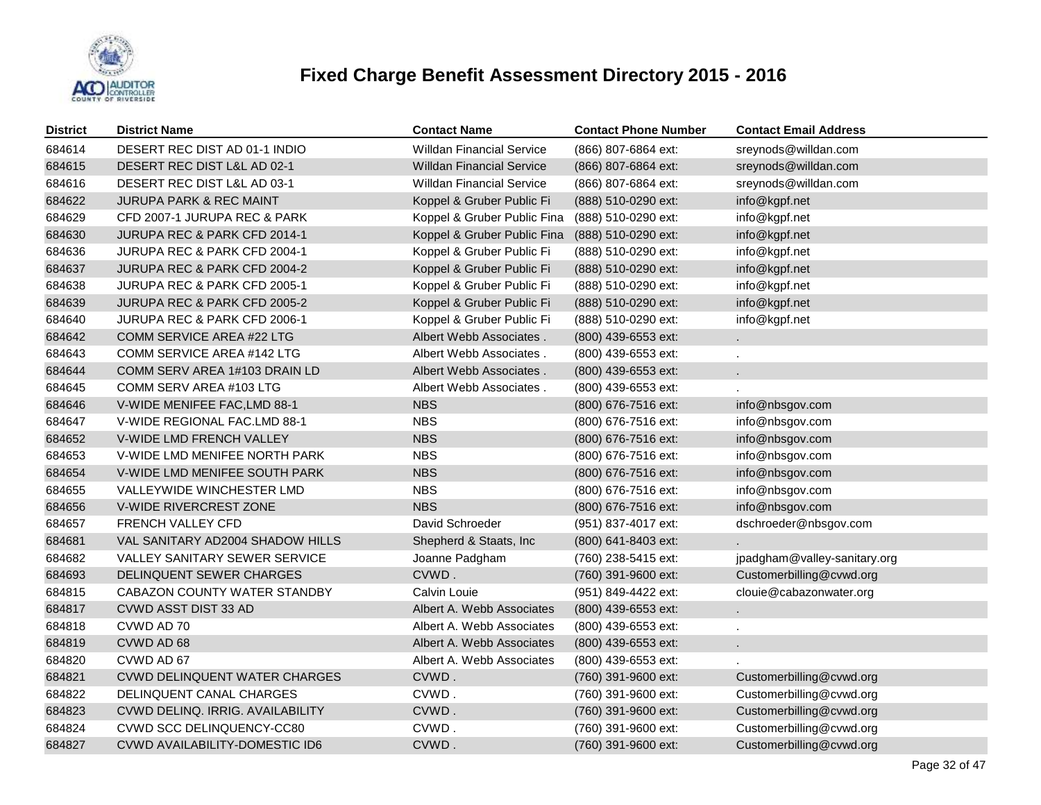

| <b>District</b> | <b>District Name</b>                  | <b>Contact Name</b>              | <b>Contact Phone Number</b> | <b>Contact Email Address</b> |
|-----------------|---------------------------------------|----------------------------------|-----------------------------|------------------------------|
| 684614          | DESERT REC DIST AD 01-1 INDIO         | <b>Willdan Financial Service</b> | (866) 807-6864 ext:         | sreynods@willdan.com         |
| 684615          | DESERT REC DIST L&L AD 02-1           | <b>Willdan Financial Service</b> | (866) 807-6864 ext:         | sreynods@willdan.com         |
| 684616          | DESERT REC DIST L&L AD 03-1           | <b>Willdan Financial Service</b> | (866) 807-6864 ext:         | sreynods@willdan.com         |
| 684622          | <b>JURUPA PARK &amp; REC MAINT</b>    | Koppel & Gruber Public Fi        | (888) 510-0290 ext:         | info@kgpf.net                |
| 684629          | CFD 2007-1 JURUPA REC & PARK          | Koppel & Gruber Public Fina      | (888) 510-0290 ext:         | info@kgpf.net                |
| 684630          | JURUPA REC & PARK CFD 2014-1          | Koppel & Gruber Public Fina      | (888) 510-0290 ext:         | info@kgpf.net                |
| 684636          | JURUPA REC & PARK CFD 2004-1          | Koppel & Gruber Public Fi        | (888) 510-0290 ext:         | info@kgpf.net                |
| 684637          | JURUPA REC & PARK CFD 2004-2          | Koppel & Gruber Public Fi        | (888) 510-0290 ext:         | info@kgpf.net                |
| 684638          | JURUPA REC & PARK CFD 2005-1          | Koppel & Gruber Public Fi        | (888) 510-0290 ext:         | info@kgpf.net                |
| 684639          | JURUPA REC & PARK CFD 2005-2          | Koppel & Gruber Public Fi        | (888) 510-0290 ext:         | info@kgpf.net                |
| 684640          | JURUPA REC & PARK CFD 2006-1          | Koppel & Gruber Public Fi        | (888) 510-0290 ext:         | info@kgpf.net                |
| 684642          | COMM SERVICE AREA #22 LTG             | Albert Webb Associates.          | (800) 439-6553 ext:         | ä,                           |
| 684643          | COMM SERVICE AREA #142 LTG            | Albert Webb Associates.          | (800) 439-6553 ext:         |                              |
| 684644          | COMM SERV AREA 1#103 DRAIN LD         | Albert Webb Associates.          | (800) 439-6553 ext:         |                              |
| 684645          | COMM SERV AREA #103 LTG               | Albert Webb Associates.          | (800) 439-6553 ext:         |                              |
| 684646          | V-WIDE MENIFEE FAC, LMD 88-1          | <b>NBS</b>                       | (800) 676-7516 ext:         | info@nbsgov.com              |
| 684647          | V-WIDE REGIONAL FAC.LMD 88-1          | <b>NBS</b>                       | (800) 676-7516 ext:         | info@nbsgov.com              |
| 684652          | V-WIDE LMD FRENCH VALLEY              | <b>NBS</b>                       | (800) 676-7516 ext:         | info@nbsgov.com              |
| 684653          | V-WIDE LMD MENIFEE NORTH PARK         | <b>NBS</b>                       | (800) 676-7516 ext:         | info@nbsgov.com              |
| 684654          | V-WIDE LMD MENIFEE SOUTH PARK         | <b>NBS</b>                       | (800) 676-7516 ext:         | info@nbsgov.com              |
| 684655          | VALLEYWIDE WINCHESTER LMD             | <b>NBS</b>                       | (800) 676-7516 ext:         | info@nbsgov.com              |
| 684656          | V-WIDE RIVERCREST ZONE                | <b>NBS</b>                       | (800) 676-7516 ext:         | info@nbsgov.com              |
| 684657          | FRENCH VALLEY CFD                     | David Schroeder                  | (951) 837-4017 ext:         | dschroeder@nbsgov.com        |
| 684681          | VAL SANITARY AD2004 SHADOW HILLS      | Shepherd & Staats, Inc           | (800) 641-8403 ext:         |                              |
| 684682          | VALLEY SANITARY SEWER SERVICE         | Joanne Padgham                   | (760) 238-5415 ext:         | jpadgham@valley-sanitary.org |
| 684693          | DELINQUENT SEWER CHARGES              | CVWD.                            | (760) 391-9600 ext:         | Customerbilling@cvwd.org     |
| 684815          | CABAZON COUNTY WATER STANDBY          | Calvin Louie                     | (951) 849-4422 ext:         | clouie@cabazonwater.org      |
| 684817          | CVWD ASST DIST 33 AD                  | Albert A. Webb Associates        | (800) 439-6553 ext:         |                              |
| 684818          | CVWD AD 70                            | Albert A. Webb Associates        | (800) 439-6553 ext:         |                              |
| 684819          | CVWD AD 68                            | Albert A. Webb Associates        | (800) 439-6553 ext:         |                              |
| 684820          | CVWD AD 67                            | Albert A. Webb Associates        | (800) 439-6553 ext:         |                              |
| 684821          | <b>CVWD DELINQUENT WATER CHARGES</b>  | CVWD.                            | (760) 391-9600 ext:         | Customerbilling@cvwd.org     |
| 684822          | DELINQUENT CANAL CHARGES              | CVWD.                            | (760) 391-9600 ext:         | Customerbilling@cvwd.org     |
| 684823          | CVWD DELINQ. IRRIG. AVAILABILITY      | CVWD.                            | (760) 391-9600 ext:         | Customerbilling@cvwd.org     |
| 684824          | CVWD SCC DELINQUENCY-CC80             | CVWD.                            | (760) 391-9600 ext:         | Customerbilling@cvwd.org     |
| 684827          | <b>CVWD AVAILABILITY-DOMESTIC ID6</b> | CVWD.                            | (760) 391-9600 ext:         | Customerbilling@cvwd.org     |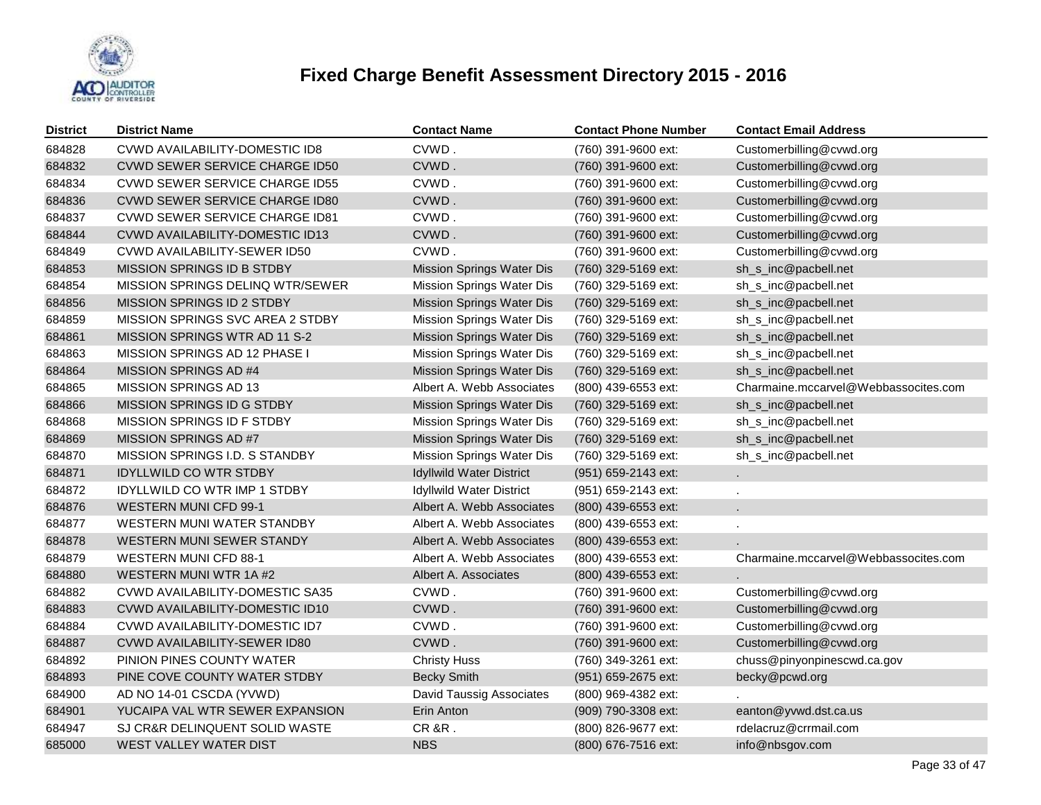

| <b>District</b> | <b>District Name</b>                   | <b>Contact Name</b>              | <b>Contact Phone Number</b> | <b>Contact Email Address</b>         |
|-----------------|----------------------------------------|----------------------------------|-----------------------------|--------------------------------------|
| 684828          | <b>CVWD AVAILABILITY-DOMESTIC ID8</b>  | CVWD.                            | (760) 391-9600 ext:         | Customerbilling@cvwd.org             |
| 684832          | CVWD SEWER SERVICE CHARGE ID50         | CVWD.                            | (760) 391-9600 ext:         | Customerbilling@cvwd.org             |
| 684834          | <b>CVWD SEWER SERVICE CHARGE ID55</b>  | CVWD.                            | (760) 391-9600 ext:         | Customerbilling@cvwd.org             |
| 684836          | <b>CVWD SEWER SERVICE CHARGE ID80</b>  | CVWD.                            | (760) 391-9600 ext:         | Customerbilling@cvwd.org             |
| 684837          | <b>CVWD SEWER SERVICE CHARGE ID81</b>  | CVWD.                            | (760) 391-9600 ext:         | Customerbilling@cvwd.org             |
| 684844          | <b>CVWD AVAILABILITY-DOMESTIC ID13</b> | CVWD.                            | (760) 391-9600 ext:         | Customerbilling@cvwd.org             |
| 684849          | CVWD AVAILABILITY-SEWER ID50           | CVWD.                            | (760) 391-9600 ext:         | Customerbilling@cvwd.org             |
| 684853          | MISSION SPRINGS ID B STDBY             | Mission Springs Water Dis        | (760) 329-5169 ext:         | sh_s_inc@pacbell.net                 |
| 684854          | MISSION SPRINGS DELINQ WTR/SEWER       | Mission Springs Water Dis        | (760) 329-5169 ext:         | sh_s_inc@pacbell.net                 |
| 684856          | MISSION SPRINGS ID 2 STDBY             | Mission Springs Water Dis        | (760) 329-5169 ext:         | sh_s_inc@pacbell.net                 |
| 684859          | MISSION SPRINGS SVC AREA 2 STDBY       | Mission Springs Water Dis        | (760) 329-5169 ext:         | sh_s_inc@pacbell.net                 |
| 684861          | MISSION SPRINGS WTR AD 11 S-2          | Mission Springs Water Dis        | (760) 329-5169 ext:         | sh_s_inc@pacbell.net                 |
| 684863          | MISSION SPRINGS AD 12 PHASE I          | Mission Springs Water Dis        | (760) 329-5169 ext:         | sh_s_inc@pacbell.net                 |
| 684864          | MISSION SPRINGS AD #4                  | Mission Springs Water Dis        | (760) 329-5169 ext:         | sh_s_inc@pacbell.net                 |
| 684865          | MISSION SPRINGS AD 13                  | Albert A. Webb Associates        | (800) 439-6553 ext:         | Charmaine.mccarvel@Webbassocites.com |
| 684866          | MISSION SPRINGS ID G STDBY             | <b>Mission Springs Water Dis</b> | (760) 329-5169 ext:         | sh_s_inc@pacbell.net                 |
| 684868          | MISSION SPRINGS ID F STDBY             | Mission Springs Water Dis        | (760) 329-5169 ext:         | sh_s_inc@pacbell.net                 |
| 684869          | MISSION SPRINGS AD #7                  | Mission Springs Water Dis        | (760) 329-5169 ext:         | sh_s_inc@pacbell.net                 |
| 684870          | MISSION SPRINGS I.D. S STANDBY         | Mission Springs Water Dis        | (760) 329-5169 ext:         | sh_s_inc@pacbell.net                 |
| 684871          | <b>IDYLLWILD CO WTR STDBY</b>          | <b>Idyllwild Water District</b>  | (951) 659-2143 ext:         |                                      |
| 684872          | <b>IDYLLWILD CO WTR IMP 1 STDBY</b>    | <b>Idyllwild Water District</b>  | (951) 659-2143 ext:         |                                      |
| 684876          | <b>WESTERN MUNI CFD 99-1</b>           | Albert A. Webb Associates        | (800) 439-6553 ext:         |                                      |
| 684877          | WESTERN MUNI WATER STANDBY             | Albert A. Webb Associates        | (800) 439-6553 ext:         |                                      |
| 684878          | WESTERN MUNI SEWER STANDY              | Albert A. Webb Associates        | (800) 439-6553 ext:         |                                      |
| 684879          | WESTERN MUNI CFD 88-1                  | Albert A. Webb Associates        | (800) 439-6553 ext:         | Charmaine.mccarvel@Webbassocites.com |
| 684880          | WESTERN MUNI WTR 1A #2                 | Albert A. Associates             | (800) 439-6553 ext:         |                                      |
| 684882          | <b>CVWD AVAILABILITY-DOMESTIC SA35</b> | CVWD.                            | (760) 391-9600 ext:         | Customerbilling@cvwd.org             |
| 684883          | CVWD AVAILABILITY-DOMESTIC ID10        | CVWD.                            | (760) 391-9600 ext:         | Customerbilling@cvwd.org             |
| 684884          | CVWD AVAILABILITY-DOMESTIC ID7         | CVWD.                            | (760) 391-9600 ext:         | Customerbilling@cvwd.org             |
| 684887          | CVWD AVAILABILITY-SEWER ID80           | CVWD.                            | (760) 391-9600 ext:         | Customerbilling@cvwd.org             |
| 684892          | PINION PINES COUNTY WATER              | <b>Christy Huss</b>              | (760) 349-3261 ext:         | chuss@pinyonpinescwd.ca.gov          |
| 684893          | PINE COVE COUNTY WATER STDBY           | <b>Becky Smith</b>               | (951) 659-2675 ext:         | becky@pcwd.org                       |
| 684900          | AD NO 14-01 CSCDA (YVWD)               | David Taussig Associates         | (800) 969-4382 ext:         |                                      |
| 684901          | YUCAIPA VAL WTR SEWER EXPANSION        | Erin Anton                       | (909) 790-3308 ext:         | eanton@yvwd.dst.ca.us                |
| 684947          | SJ CR&R DELINQUENT SOLID WASTE         | CR&R.                            | (800) 826-9677 ext:         | rdelacruz@crrmail.com                |
| 685000          | WEST VALLEY WATER DIST                 | <b>NBS</b>                       | (800) 676-7516 ext:         | info@nbsgov.com                      |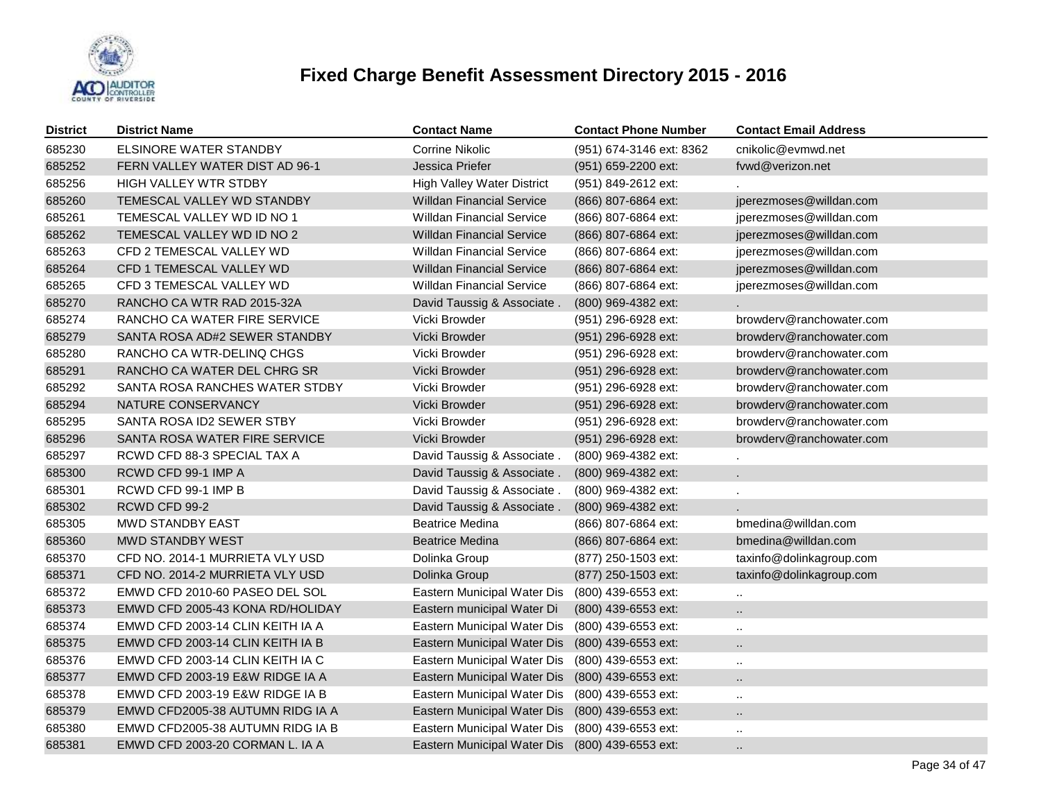

| <b>District</b> | <b>District Name</b>             | Contact Name                                    | <b>Contact Phone Number</b> | <b>Contact Email Address</b> |
|-----------------|----------------------------------|-------------------------------------------------|-----------------------------|------------------------------|
| 685230          | ELSINORE WATER STANDBY           | Corrine Nikolic                                 | (951) 674-3146 ext: 8362    | cnikolic@evmwd.net           |
| 685252          | FERN VALLEY WATER DIST AD 96-1   | Jessica Priefer                                 | (951) 659-2200 ext:         | fvwd@verizon.net             |
| 685256          | <b>HIGH VALLEY WTR STDBY</b>     | <b>High Valley Water District</b>               | (951) 849-2612 ext:         |                              |
| 685260          | TEMESCAL VALLEY WD STANDBY       | <b>Willdan Financial Service</b>                | (866) 807-6864 ext:         | jperezmoses@willdan.com      |
| 685261          | TEMESCAL VALLEY WD ID NO 1       | <b>Willdan Financial Service</b>                | (866) 807-6864 ext:         | jperezmoses@willdan.com      |
| 685262          | TEMESCAL VALLEY WD ID NO 2       | <b>Willdan Financial Service</b>                | (866) 807-6864 ext:         | jperezmoses@willdan.com      |
| 685263          | CFD 2 TEMESCAL VALLEY WD         | <b>Willdan Financial Service</b>                | (866) 807-6864 ext:         | jperezmoses@willdan.com      |
| 685264          | CFD 1 TEMESCAL VALLEY WD         | <b>Willdan Financial Service</b>                | (866) 807-6864 ext:         | jperezmoses@willdan.com      |
| 685265          | CFD 3 TEMESCAL VALLEY WD         | <b>Willdan Financial Service</b>                | (866) 807-6864 ext:         | jperezmoses@willdan.com      |
| 685270          | RANCHO CA WTR RAD 2015-32A       | David Taussig & Associate.                      | (800) 969-4382 ext:         |                              |
| 685274          | RANCHO CA WATER FIRE SERVICE     | Vicki Browder                                   | (951) 296-6928 ext:         | browderv@ranchowater.com     |
| 685279          | SANTA ROSA AD#2 SEWER STANDBY    | Vicki Browder                                   | (951) 296-6928 ext:         | browdery@ranchowater.com     |
| 685280          | RANCHO CA WTR-DELINQ CHGS        | Vicki Browder                                   | (951) 296-6928 ext:         | browderv@ranchowater.com     |
| 685291          | RANCHO CA WATER DEL CHRG SR      | Vicki Browder                                   | (951) 296-6928 ext:         | browderv@ranchowater.com     |
| 685292          | SANTA ROSA RANCHES WATER STDBY   | Vicki Browder                                   | (951) 296-6928 ext:         | browderv@ranchowater.com     |
| 685294          | NATURE CONSERVANCY               | Vicki Browder                                   | (951) 296-6928 ext:         | browderv@ranchowater.com     |
| 685295          | SANTA ROSA ID2 SEWER STBY        | Vicki Browder                                   | (951) 296-6928 ext:         | browderv@ranchowater.com     |
| 685296          | SANTA ROSA WATER FIRE SERVICE    | Vicki Browder                                   | (951) 296-6928 ext:         | browderv@ranchowater.com     |
| 685297          | RCWD CFD 88-3 SPECIAL TAX A      | David Taussig & Associate.                      | (800) 969-4382 ext:         |                              |
| 685300          | RCWD CFD 99-1 IMP A              | David Taussig & Associate.                      | (800) 969-4382 ext:         |                              |
| 685301          | RCWD CFD 99-1 IMP B              | David Taussig & Associate.                      | (800) 969-4382 ext:         |                              |
| 685302          | RCWD CFD 99-2                    | David Taussig & Associate.                      | (800) 969-4382 ext:         |                              |
| 685305          | <b>MWD STANDBY EAST</b>          | <b>Beatrice Medina</b>                          | (866) 807-6864 ext:         | bmedina@willdan.com          |
| 685360          | <b>MWD STANDBY WEST</b>          | <b>Beatrice Medina</b>                          | (866) 807-6864 ext:         | bmedina@willdan.com          |
| 685370          | CFD NO. 2014-1 MURRIETA VLY USD  | Dolinka Group                                   | (877) 250-1503 ext:         | taxinfo@dolinkagroup.com     |
| 685371          | CFD NO. 2014-2 MURRIETA VLY USD  | Dolinka Group                                   | (877) 250-1503 ext:         | taxinfo@dolinkagroup.com     |
| 685372          | EMWD CFD 2010-60 PASEO DEL SOL   | Eastern Municipal Water Dis                     | (800) 439-6553 ext:         | $\ddot{\phantom{1}}$         |
| 685373          | EMWD CFD 2005-43 KONA RD/HOLIDAY | Eastern municipal Water Di                      | (800) 439-6553 ext:         | $\ddot{\phantom{a}}$         |
| 685374          | EMWD CFD 2003-14 CLIN KEITH IA A | Eastern Municipal Water Dis                     | (800) 439-6553 ext:         | $\ddot{\phantom{a}}$         |
| 685375          | EMWD CFD 2003-14 CLIN KEITH IA B | Eastern Municipal Water Dis                     | (800) 439-6553 ext:         | $\ddot{\phantom{a}}$         |
| 685376          | EMWD CFD 2003-14 CLIN KEITH IA C | Eastern Municipal Water Dis                     | (800) 439-6553 ext:         | $\ddotsc$                    |
| 685377          | EMWD CFD 2003-19 E&W RIDGE IA A  | Eastern Municipal Water Dis                     | (800) 439-6553 ext:         | $\ddotsc$                    |
| 685378          | EMWD CFD 2003-19 E&W RIDGE IA B  | Eastern Municipal Water Dis                     | (800) 439-6553 ext:         | $\ddotsc$                    |
| 685379          | EMWD CFD2005-38 AUTUMN RIDG IA A | Eastern Municipal Water Dis (800) 439-6553 ext: |                             | $\ddot{\phantom{a}}$         |
| 685380          | EMWD CFD2005-38 AUTUMN RIDG IA B | Eastern Municipal Water Dis (800) 439-6553 ext: |                             | $\ddotsc$                    |
| 685381          | EMWD CFD 2003-20 CORMAN L. IA A  | Eastern Municipal Water Dis (800) 439-6553 ext: |                             | $\ddot{\phantom{a}}$ .       |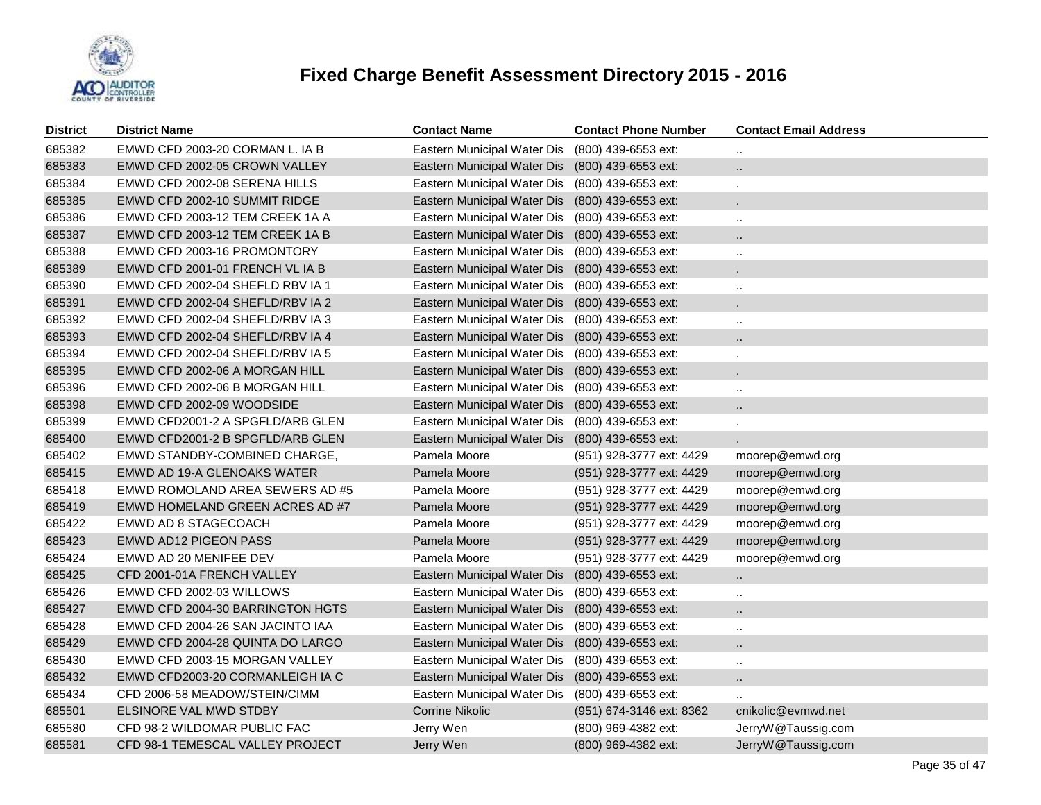

| <b>District</b> | <b>District Name</b>             | <b>Contact Name</b>         | <b>Contact Phone Number</b> | <b>Contact Email Address</b> |
|-----------------|----------------------------------|-----------------------------|-----------------------------|------------------------------|
| 685382          | EMWD CFD 2003-20 CORMAN L. IA B  | Eastern Municipal Water Dis | (800) 439-6553 ext:         |                              |
| 685383          | EMWD CFD 2002-05 CROWN VALLEY    | Eastern Municipal Water Dis | (800) 439-6553 ext:         | $\ddotsc$                    |
| 685384          | EMWD CFD 2002-08 SERENA HILLS    | Eastern Municipal Water Dis | (800) 439-6553 ext:         |                              |
| 685385          | EMWD CFD 2002-10 SUMMIT RIDGE    | Eastern Municipal Water Dis | (800) 439-6553 ext:         |                              |
| 685386          | EMWD CFD 2003-12 TEM CREEK 1A A  | Eastern Municipal Water Dis | (800) 439-6553 ext:         | $\ddotsc$                    |
| 685387          | EMWD CFD 2003-12 TEM CREEK 1A B  | Eastern Municipal Water Dis | (800) 439-6553 ext:         | $\ddotsc$                    |
| 685388          | EMWD CFD 2003-16 PROMONTORY      | Eastern Municipal Water Dis | (800) 439-6553 ext:         | $\ddot{\phantom{a}}$         |
| 685389          | EMWD CFD 2001-01 FRENCH VL IA B  | Eastern Municipal Water Dis | (800) 439-6553 ext:         | $\blacksquare$               |
| 685390          | EMWD CFD 2002-04 SHEFLD RBV IA 1 | Eastern Municipal Water Dis | (800) 439-6553 ext:         | $\ddotsc$                    |
| 685391          | EMWD CFD 2002-04 SHEFLD/RBV IA 2 | Eastern Municipal Water Dis | (800) 439-6553 ext:         | $\mathbf{r}$                 |
| 685392          | EMWD CFD 2002-04 SHEFLD/RBV IA 3 | Eastern Municipal Water Dis | (800) 439-6553 ext:         | $\ddotsc$                    |
| 685393          | EMWD CFD 2002-04 SHEFLD/RBV IA 4 | Eastern Municipal Water Dis | (800) 439-6553 ext:         | $\ddot{\phantom{a}}$         |
| 685394          | EMWD CFD 2002-04 SHEFLD/RBV IA 5 | Eastern Municipal Water Dis | (800) 439-6553 ext:         | ×,                           |
| 685395          | EMWD CFD 2002-06 A MORGAN HILL   | Eastern Municipal Water Dis | (800) 439-6553 ext:         |                              |
| 685396          | EMWD CFD 2002-06 B MORGAN HILL   | Eastern Municipal Water Dis | (800) 439-6553 ext:         | $\cdot$ .                    |
| 685398          | EMWD CFD 2002-09 WOODSIDE        | Eastern Municipal Water Dis | (800) 439-6553 ext:         | $\ddot{\phantom{a}}$         |
| 685399          | EMWD CFD2001-2 A SPGFLD/ARB GLEN | Eastern Municipal Water Dis | (800) 439-6553 ext:         |                              |
| 685400          | EMWD CFD2001-2 B SPGFLD/ARB GLEN | Eastern Municipal Water Dis | (800) 439-6553 ext:         |                              |
| 685402          | EMWD STANDBY-COMBINED CHARGE,    | Pamela Moore                | (951) 928-3777 ext: 4429    | moorep@emwd.org              |
| 685415          | EMWD AD 19-A GLENOAKS WATER      | Pamela Moore                | (951) 928-3777 ext: 4429    | moorep@emwd.org              |
| 685418          | EMWD ROMOLAND AREA SEWERS AD #5  | Pamela Moore                | (951) 928-3777 ext: 4429    | moorep@emwd.org              |
| 685419          | EMWD HOMELAND GREEN ACRES AD #7  | Pamela Moore                | (951) 928-3777 ext: 4429    | moorep@emwd.org              |
| 685422          | EMWD AD 8 STAGECOACH             | Pamela Moore                | (951) 928-3777 ext: 4429    | moorep@emwd.org              |
| 685423          | <b>EMWD AD12 PIGEON PASS</b>     | Pamela Moore                | (951) 928-3777 ext: 4429    | moorep@emwd.org              |
| 685424          | EMWD AD 20 MENIFEE DEV           | Pamela Moore                | (951) 928-3777 ext: 4429    | moorep@emwd.org              |
| 685425          | CFD 2001-01A FRENCH VALLEY       | Eastern Municipal Water Dis | (800) 439-6553 ext:         | $\ddot{\phantom{a}}$         |
| 685426          | EMWD CFD 2002-03 WILLOWS         | Eastern Municipal Water Dis | (800) 439-6553 ext:         | $\ddotsc$                    |
| 685427          | EMWD CFD 2004-30 BARRINGTON HGTS | Eastern Municipal Water Dis | (800) 439-6553 ext:         | $\ddot{\phantom{a}}$         |
| 685428          | EMWD CFD 2004-26 SAN JACINTO IAA | Eastern Municipal Water Dis | (800) 439-6553 ext:         | $\ddotsc$                    |
| 685429          | EMWD CFD 2004-28 QUINTA DO LARGO | Eastern Municipal Water Dis | (800) 439-6553 ext:         | $\ddot{\phantom{a}}$         |
| 685430          | EMWD CFD 2003-15 MORGAN VALLEY   | Eastern Municipal Water Dis | $(800)$ 439-6553 ext:       | $\ddotsc$                    |
| 685432          | EMWD CFD2003-20 CORMANLEIGH IA C | Eastern Municipal Water Dis | (800) 439-6553 ext:         | $\ddotsc$                    |
| 685434          | CFD 2006-58 MEADOW/STEIN/CIMM    | Eastern Municipal Water Dis | (800) 439-6553 ext:         | $\ddotsc$                    |
| 685501          | ELSINORE VAL MWD STDBY           | Corrine Nikolic             | (951) 674-3146 ext: 8362    | cnikolic@evmwd.net           |
| 685580          | CFD 98-2 WILDOMAR PUBLIC FAC     | Jerry Wen                   | (800) 969-4382 ext:         | JerryW@Taussig.com           |
| 685581          | CFD 98-1 TEMESCAL VALLEY PROJECT | Jerry Wen                   | (800) 969-4382 ext:         | JerryW@Taussig.com           |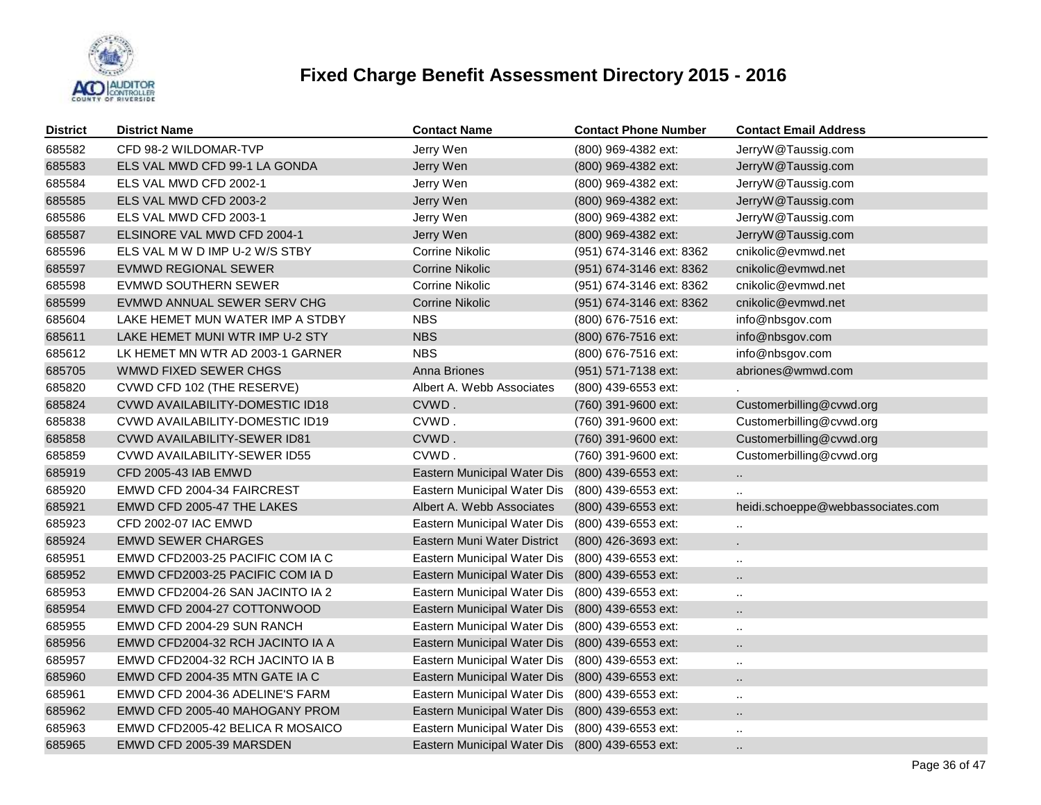

| <b>District</b> | <b>District Name</b>                   | <b>Contact Name</b>                             | <b>Contact Phone Number</b> | <b>Contact Email Address</b>      |
|-----------------|----------------------------------------|-------------------------------------------------|-----------------------------|-----------------------------------|
| 685582          | CFD 98-2 WILDOMAR-TVP                  | Jerry Wen                                       | (800) 969-4382 ext:         | JerryW@Taussig.com                |
| 685583          | ELS VAL MWD CFD 99-1 LA GONDA          | Jerry Wen                                       | (800) 969-4382 ext:         | JerryW@Taussig.com                |
| 685584          | ELS VAL MWD CFD 2002-1                 | Jerry Wen                                       | (800) 969-4382 ext:         | JerryW@Taussig.com                |
| 685585          | ELS VAL MWD CFD 2003-2                 | Jerry Wen                                       | (800) 969-4382 ext:         | JerryW@Taussig.com                |
| 685586          | ELS VAL MWD CFD 2003-1                 | Jerry Wen                                       | (800) 969-4382 ext:         | JerryW@Taussig.com                |
| 685587          | ELSINORE VAL MWD CFD 2004-1            | Jerry Wen                                       | (800) 969-4382 ext:         | JerryW@Taussig.com                |
| 685596          | ELS VAL M W D IMP U-2 W/S STBY         | <b>Corrine Nikolic</b>                          | (951) 674-3146 ext: 8362    | cnikolic@evmwd.net                |
| 685597          | EVMWD REGIONAL SEWER                   | <b>Corrine Nikolic</b>                          | (951) 674-3146 ext: 8362    | cnikolic@evmwd.net                |
| 685598          | EVMWD SOUTHERN SEWER                   | Corrine Nikolic                                 | (951) 674-3146 ext: 8362    | cnikolic@evmwd.net                |
| 685599          | EVMWD ANNUAL SEWER SERV CHG            | <b>Corrine Nikolic</b>                          | (951) 674-3146 ext: 8362    | cnikolic@evmwd.net                |
| 685604          | LAKE HEMET MUN WATER IMP A STDBY       | <b>NBS</b>                                      | (800) 676-7516 ext:         | info@nbsgov.com                   |
| 685611          | LAKE HEMET MUNI WTR IMP U-2 STY        | <b>NBS</b>                                      | (800) 676-7516 ext:         | info@nbsgov.com                   |
| 685612          | LK HEMET MN WTR AD 2003-1 GARNER       | <b>NBS</b>                                      | (800) 676-7516 ext:         | info@nbsgov.com                   |
| 685705          | WMWD FIXED SEWER CHGS                  | Anna Briones                                    | (951) 571-7138 ext:         | abriones@wmwd.com                 |
| 685820          | CVWD CFD 102 (THE RESERVE)             | Albert A. Webb Associates                       | (800) 439-6553 ext:         |                                   |
| 685824          | <b>CVWD AVAILABILITY-DOMESTIC ID18</b> | CVWD.                                           | (760) 391-9600 ext:         | Customerbilling@cvwd.org          |
| 685838          | <b>CVWD AVAILABILITY-DOMESTIC ID19</b> | CVWD.                                           | (760) 391-9600 ext:         | Customerbilling@cvwd.org          |
| 685858          | <b>CVWD AVAILABILITY-SEWER ID81</b>    | CVWD.                                           | (760) 391-9600 ext:         | Customerbilling@cvwd.org          |
| 685859          | CVWD AVAILABILITY-SEWER ID55           | CVWD.                                           | (760) 391-9600 ext:         | Customerbilling@cvwd.org          |
| 685919          | CFD 2005-43 IAB EMWD                   | Eastern Municipal Water Dis                     | (800) 439-6553 ext:         | $\ddotsc$                         |
| 685920          | EMWD CFD 2004-34 FAIRCREST             | Eastern Municipal Water Dis                     | (800) 439-6553 ext:         |                                   |
| 685921          | EMWD CFD 2005-47 THE LAKES             | Albert A. Webb Associates                       | (800) 439-6553 ext:         | heidi.schoeppe@webbassociates.com |
| 685923          | CFD 2002-07 IAC EMWD                   | Eastern Municipal Water Dis                     | (800) 439-6553 ext:         |                                   |
| 685924          | <b>EMWD SEWER CHARGES</b>              | Eastern Muni Water District                     | (800) 426-3693 ext:         |                                   |
| 685951          | EMWD CFD2003-25 PACIFIC COM IA C       | Eastern Municipal Water Dis                     | (800) 439-6553 ext:         |                                   |
| 685952          | EMWD CFD2003-25 PACIFIC COM IA D       | Eastern Municipal Water Dis                     | (800) 439-6553 ext:         |                                   |
| 685953          | EMWD CFD2004-26 SAN JACINTO IA 2       | Eastern Municipal Water Dis                     | (800) 439-6553 ext:         | $\ddotsc$                         |
| 685954          | EMWD CFD 2004-27 COTTONWOOD            | Eastern Municipal Water Dis                     | (800) 439-6553 ext:         | ä.                                |
| 685955          | EMWD CFD 2004-29 SUN RANCH             | Eastern Municipal Water Dis                     | (800) 439-6553 ext:         |                                   |
| 685956          | EMWD CFD2004-32 RCH JACINTO IA A       | Eastern Municipal Water Dis                     | (800) 439-6553 ext:         | Ω.                                |
| 685957          | EMWD CFD2004-32 RCH JACINTO IA B       | Eastern Municipal Water Dis                     | (800) 439-6553 ext:         |                                   |
| 685960          | EMWD CFD 2004-35 MTN GATE IA C         | Eastern Municipal Water Dis                     | (800) 439-6553 ext:         |                                   |
| 685961          | EMWD CFD 2004-36 ADELINE'S FARM        | Eastern Municipal Water Dis                     | (800) 439-6553 ext:         | $\ddotsc$                         |
| 685962          | EMWD CFD 2005-40 MAHOGANY PROM         | Eastern Municipal Water Dis                     | (800) 439-6553 ext:         | $\ddot{\phantom{a}}$              |
| 685963          | EMWD CFD2005-42 BELICA R MOSAICO       | Eastern Municipal Water Dis                     | (800) 439-6553 ext:         |                                   |
| 685965          | EMWD CFD 2005-39 MARSDEN               | Eastern Municipal Water Dis (800) 439-6553 ext: |                             |                                   |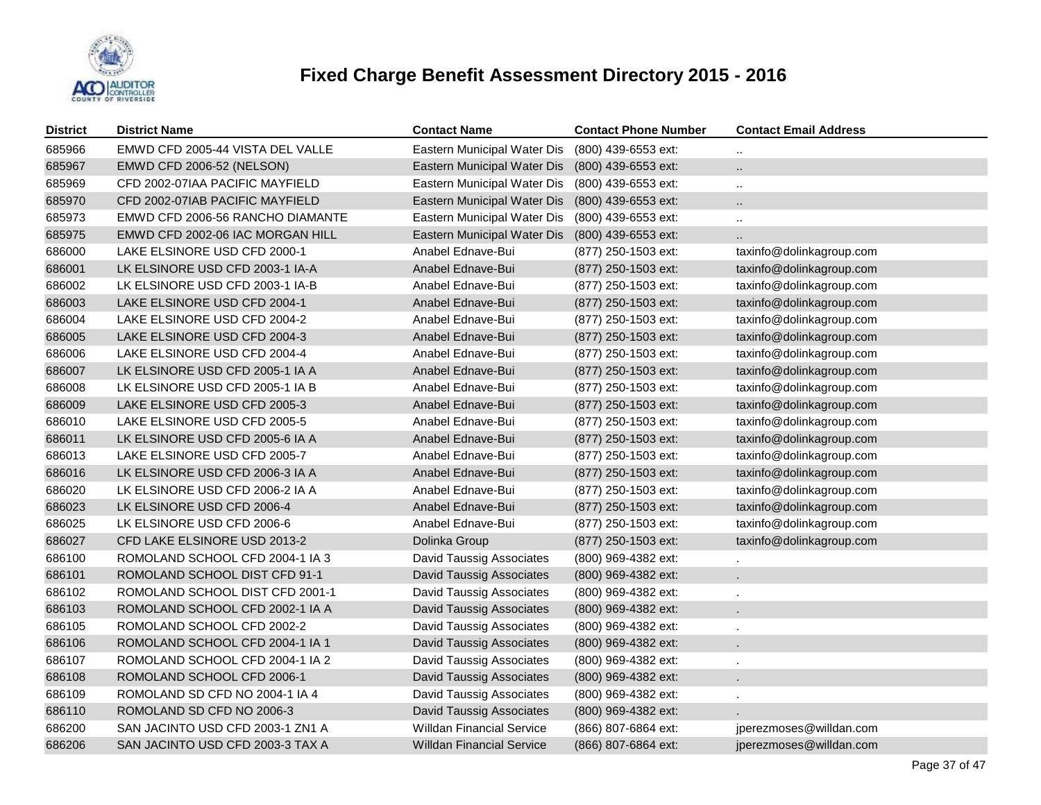

| <b>District</b> | <b>District Name</b>             | <b>Contact Name</b>              | <b>Contact Phone Number</b> | <b>Contact Email Address</b> |
|-----------------|----------------------------------|----------------------------------|-----------------------------|------------------------------|
| 685966          | EMWD CFD 2005-44 VISTA DEL VALLE | Eastern Municipal Water Dis      | (800) 439-6553 ext:         | $\ddotsc$                    |
| 685967          | EMWD CFD 2006-52 (NELSON)        | Eastern Municipal Water Dis      | (800) 439-6553 ext:         |                              |
| 685969          | CFD 2002-07IAA PACIFIC MAYFIELD  | Eastern Municipal Water Dis      | (800) 439-6553 ext:         | $\ddotsc$                    |
| 685970          | CFD 2002-07IAB PACIFIC MAYFIELD  | Eastern Municipal Water Dis      | (800) 439-6553 ext:         |                              |
| 685973          | EMWD CFD 2006-56 RANCHO DIAMANTE | Eastern Municipal Water Dis      | (800) 439-6553 ext:         | $\ddot{\phantom{a}}$         |
| 685975          | EMWD CFD 2002-06 IAC MORGAN HILL | Eastern Municipal Water Dis      | (800) 439-6553 ext:         |                              |
| 686000          | LAKE ELSINORE USD CFD 2000-1     | Anabel Ednave-Bui                | (877) 250-1503 ext:         | taxinfo@dolinkagroup.com     |
| 686001          | LK ELSINORE USD CFD 2003-1 IA-A  | Anabel Ednave-Bui                | (877) 250-1503 ext:         | taxinfo@dolinkagroup.com     |
| 686002          | LK ELSINORE USD CFD 2003-1 IA-B  | Anabel Ednave-Bui                | (877) 250-1503 ext:         | taxinfo@dolinkagroup.com     |
| 686003          | LAKE ELSINORE USD CFD 2004-1     | Anabel Ednave-Bui                | (877) 250-1503 ext:         | taxinfo@dolinkagroup.com     |
| 686004          | LAKE ELSINORE USD CFD 2004-2     | Anabel Ednave-Bui                | (877) 250-1503 ext:         | taxinfo@dolinkagroup.com     |
| 686005          | LAKE ELSINORE USD CFD 2004-3     | Anabel Ednave-Bui                | (877) 250-1503 ext:         | taxinfo@dolinkagroup.com     |
| 686006          | LAKE ELSINORE USD CFD 2004-4     | Anabel Ednave-Bui                | (877) 250-1503 ext:         | taxinfo@dolinkagroup.com     |
| 686007          | LK ELSINORE USD CFD 2005-1 IA A  | Anabel Ednave-Bui                | (877) 250-1503 ext:         | taxinfo@dolinkagroup.com     |
| 686008          | LK ELSINORE USD CFD 2005-1 IA B  | Anabel Ednave-Bui                | (877) 250-1503 ext:         | taxinfo@dolinkagroup.com     |
| 686009          | LAKE ELSINORE USD CFD 2005-3     | Anabel Ednave-Bui                | (877) 250-1503 ext:         | taxinfo@dolinkagroup.com     |
| 686010          | LAKE ELSINORE USD CFD 2005-5     | Anabel Ednave-Bui                | (877) 250-1503 ext:         | taxinfo@dolinkagroup.com     |
| 686011          | LK ELSINORE USD CFD 2005-6 IA A  | Anabel Ednave-Bui                | (877) 250-1503 ext:         | taxinfo@dolinkagroup.com     |
| 686013          | LAKE ELSINORE USD CFD 2005-7     | Anabel Ednave-Bui                | (877) 250-1503 ext:         | taxinfo@dolinkagroup.com     |
| 686016          | LK ELSINORE USD CFD 2006-3 IA A  | Anabel Ednave-Bui                | (877) 250-1503 ext:         | taxinfo@dolinkagroup.com     |
| 686020          | LK ELSINORE USD CFD 2006-2 IA A  | Anabel Ednave-Bui                | (877) 250-1503 ext:         | taxinfo@dolinkagroup.com     |
| 686023          | LK ELSINORE USD CFD 2006-4       | Anabel Ednave-Bui                | (877) 250-1503 ext:         | taxinfo@dolinkagroup.com     |
| 686025          | LK ELSINORE USD CFD 2006-6       | Anabel Ednave-Bui                | (877) 250-1503 ext:         | taxinfo@dolinkagroup.com     |
| 686027          | CFD LAKE ELSINORE USD 2013-2     | Dolinka Group                    | $(877)$ 250-1503 ext:       | taxinfo@dolinkagroup.com     |
| 686100          | ROMOLAND SCHOOL CFD 2004-1 IA 3  | David Taussig Associates         | (800) 969-4382 ext:         |                              |
| 686101          | ROMOLAND SCHOOL DIST CFD 91-1    | David Taussig Associates         | $(800)$ 969-4382 ext:       |                              |
| 686102          | ROMOLAND SCHOOL DIST CFD 2001-1  | David Taussig Associates         | (800) 969-4382 ext:         |                              |
| 686103          | ROMOLAND SCHOOL CFD 2002-1 IA A  | <b>David Taussig Associates</b>  | (800) 969-4382 ext:         |                              |
| 686105          | ROMOLAND SCHOOL CFD 2002-2       | David Taussig Associates         | (800) 969-4382 ext:         |                              |
| 686106          | ROMOLAND SCHOOL CFD 2004-1 IA 1  | David Taussig Associates         | (800) 969-4382 ext:         |                              |
| 686107          | ROMOLAND SCHOOL CFD 2004-1 IA 2  | David Taussig Associates         | (800) 969-4382 ext:         |                              |
| 686108          | ROMOLAND SCHOOL CFD 2006-1       | David Taussig Associates         | (800) 969-4382 ext:         |                              |
| 686109          | ROMOLAND SD CFD NO 2004-1 IA 4   | David Taussig Associates         | (800) 969-4382 ext:         |                              |
| 686110          | ROMOLAND SD CFD NO 2006-3        | <b>David Taussig Associates</b>  | (800) 969-4382 ext:         |                              |
| 686200          | SAN JACINTO USD CFD 2003-1 ZN1 A | <b>Willdan Financial Service</b> | (866) 807-6864 ext:         | jperezmoses@willdan.com      |
| 686206          | SAN JACINTO USD CFD 2003-3 TAX A | <b>Willdan Financial Service</b> | (866) 807-6864 ext:         | jperezmoses@willdan.com      |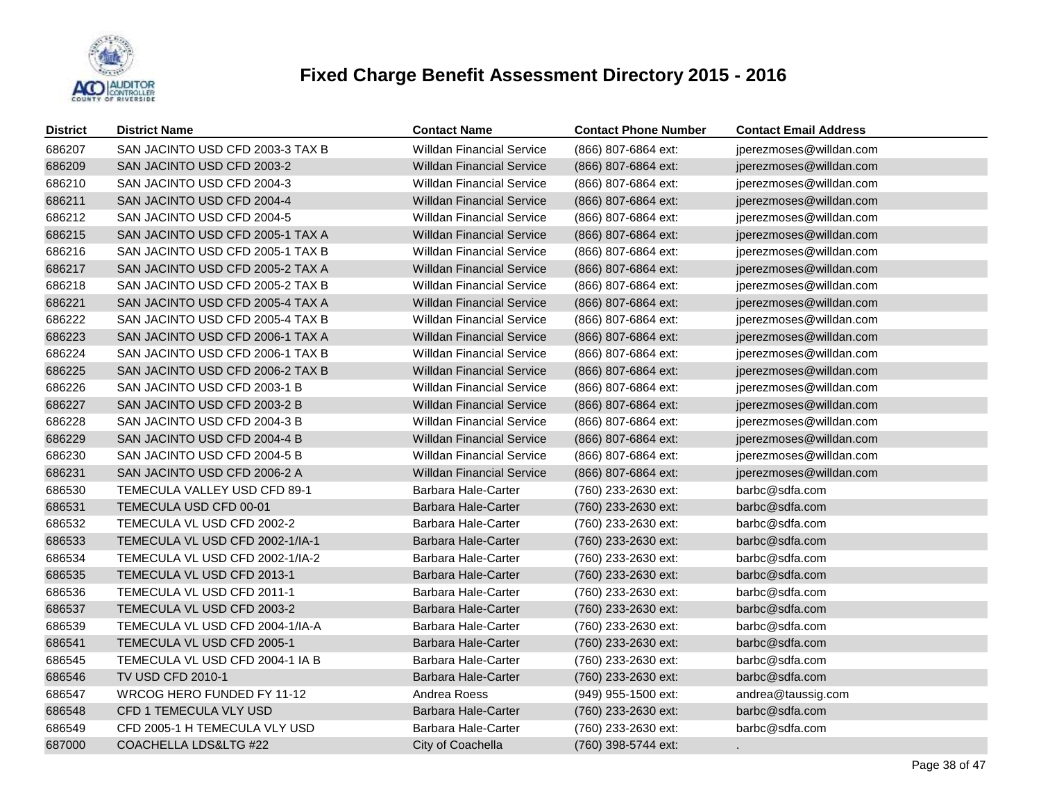

| <b>District</b> | <b>District Name</b>             | <b>Contact Name</b>              | <b>Contact Phone Number</b> | <b>Contact Email Address</b> |
|-----------------|----------------------------------|----------------------------------|-----------------------------|------------------------------|
| 686207          | SAN JACINTO USD CFD 2003-3 TAX B | <b>Willdan Financial Service</b> | (866) 807-6864 ext:         | jperezmoses@willdan.com      |
| 686209          | SAN JACINTO USD CFD 2003-2       | <b>Willdan Financial Service</b> | (866) 807-6864 ext:         | jperezmoses@willdan.com      |
| 686210          | SAN JACINTO USD CFD 2004-3       | <b>Willdan Financial Service</b> | (866) 807-6864 ext:         | jperezmoses@willdan.com      |
| 686211          | SAN JACINTO USD CFD 2004-4       | <b>Willdan Financial Service</b> | (866) 807-6864 ext:         | jperezmoses@willdan.com      |
| 686212          | SAN JACINTO USD CFD 2004-5       | <b>Willdan Financial Service</b> | (866) 807-6864 ext:         | jperezmoses@willdan.com      |
| 686215          | SAN JACINTO USD CFD 2005-1 TAX A | <b>Willdan Financial Service</b> | (866) 807-6864 ext:         | jperezmoses@willdan.com      |
| 686216          | SAN JACINTO USD CFD 2005-1 TAX B | <b>Willdan Financial Service</b> | (866) 807-6864 ext:         | jperezmoses@willdan.com      |
| 686217          | SAN JACINTO USD CFD 2005-2 TAX A | <b>Willdan Financial Service</b> | (866) 807-6864 ext:         | jperezmoses@willdan.com      |
| 686218          | SAN JACINTO USD CFD 2005-2 TAX B | <b>Willdan Financial Service</b> | (866) 807-6864 ext:         | jperezmoses@willdan.com      |
| 686221          | SAN JACINTO USD CFD 2005-4 TAX A | <b>Willdan Financial Service</b> | (866) 807-6864 ext:         | jperezmoses@willdan.com      |
| 686222          | SAN JACINTO USD CFD 2005-4 TAX B | <b>Willdan Financial Service</b> | (866) 807-6864 ext:         | jperezmoses@willdan.com      |
| 686223          | SAN JACINTO USD CFD 2006-1 TAX A | <b>Willdan Financial Service</b> | (866) 807-6864 ext:         | jperezmoses@willdan.com      |
| 686224          | SAN JACINTO USD CFD 2006-1 TAX B | <b>Willdan Financial Service</b> | (866) 807-6864 ext:         | jperezmoses@willdan.com      |
| 686225          | SAN JACINTO USD CFD 2006-2 TAX B | <b>Willdan Financial Service</b> | (866) 807-6864 ext:         | jperezmoses@willdan.com      |
| 686226          | SAN JACINTO USD CFD 2003-1 B     | <b>Willdan Financial Service</b> | (866) 807-6864 ext:         | jperezmoses@willdan.com      |
| 686227          | SAN JACINTO USD CFD 2003-2 B     | <b>Willdan Financial Service</b> | (866) 807-6864 ext:         | jperezmoses@willdan.com      |
| 686228          | SAN JACINTO USD CFD 2004-3 B     | <b>Willdan Financial Service</b> | (866) 807-6864 ext:         | jperezmoses@willdan.com      |
| 686229          | SAN JACINTO USD CFD 2004-4 B     | <b>Willdan Financial Service</b> | (866) 807-6864 ext:         | jperezmoses@willdan.com      |
| 686230          | SAN JACINTO USD CFD 2004-5 B     | <b>Willdan Financial Service</b> | (866) 807-6864 ext:         | jperezmoses@willdan.com      |
| 686231          | SAN JACINTO USD CFD 2006-2 A     | <b>Willdan Financial Service</b> | (866) 807-6864 ext:         | jperezmoses@willdan.com      |
| 686530          | TEMECULA VALLEY USD CFD 89-1     | Barbara Hale-Carter              | (760) 233-2630 ext:         | barbc@sdfa.com               |
| 686531          | TEMECULA USD CFD 00-01           | <b>Barbara Hale-Carter</b>       | (760) 233-2630 ext:         | barbc@sdfa.com               |
| 686532          | TEMECULA VL USD CFD 2002-2       | Barbara Hale-Carter              | (760) 233-2630 ext:         | barbc@sdfa.com               |
| 686533          | TEMECULA VL USD CFD 2002-1/IA-1  | Barbara Hale-Carter              | (760) 233-2630 ext:         | barbc@sdfa.com               |
| 686534          | TEMECULA VL USD CFD 2002-1/IA-2  | Barbara Hale-Carter              | (760) 233-2630 ext:         | barbc@sdfa.com               |
| 686535          | TEMECULA VL USD CFD 2013-1       | <b>Barbara Hale-Carter</b>       | (760) 233-2630 ext:         | barbc@sdfa.com               |
| 686536          | TEMECULA VL USD CFD 2011-1       | Barbara Hale-Carter              | (760) 233-2630 ext:         | barbc@sdfa.com               |
| 686537          | TEMECULA VL USD CFD 2003-2       | Barbara Hale-Carter              | (760) 233-2630 ext:         | barbc@sdfa.com               |
| 686539          | TEMECULA VL USD CFD 2004-1/IA-A  | Barbara Hale-Carter              | (760) 233-2630 ext:         | barbc@sdfa.com               |
| 686541          | TEMECULA VL USD CFD 2005-1       | Barbara Hale-Carter              | (760) 233-2630 ext:         | barbc@sdfa.com               |
| 686545          | TEMECULA VL USD CFD 2004-1 IA B  | Barbara Hale-Carter              | (760) 233-2630 ext:         | barbc@sdfa.com               |
| 686546          | TV USD CFD 2010-1                | Barbara Hale-Carter              | (760) 233-2630 ext:         | barbc@sdfa.com               |
| 686547          | WRCOG HERO FUNDED FY 11-12       | Andrea Roess                     | (949) 955-1500 ext:         | andrea@taussig.com           |
| 686548          | CFD 1 TEMECULA VLY USD           | Barbara Hale-Carter              | (760) 233-2630 ext:         | barbc@sdfa.com               |
| 686549          | CFD 2005-1 H TEMECULA VLY USD    | Barbara Hale-Carter              | (760) 233-2630 ext:         | barbc@sdfa.com               |
| 687000          | COACHELLA LDS&LTG #22            | City of Coachella                | (760) 398-5744 ext:         |                              |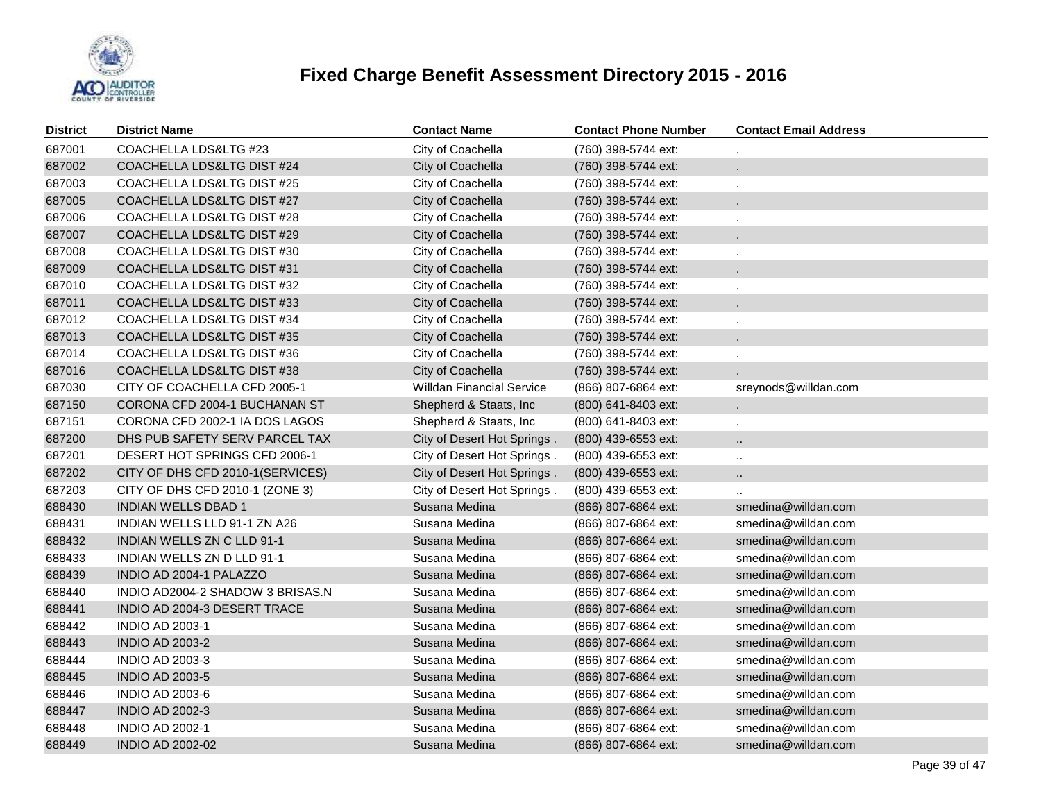

| District | <b>District Name</b>             | <b>Contact Name</b>              | <b>Contact Phone Number</b> | <b>Contact Email Address</b> |
|----------|----------------------------------|----------------------------------|-----------------------------|------------------------------|
| 687001   | COACHELLA LDS&LTG #23            | City of Coachella                | (760) 398-5744 ext:         |                              |
| 687002   | COACHELLA LDS&LTG DIST #24       | City of Coachella                | (760) 398-5744 ext:         |                              |
| 687003   | COACHELLA LDS&LTG DIST #25       | City of Coachella                | (760) 398-5744 ext:         |                              |
| 687005   | COACHELLA LDS&LTG DIST #27       | City of Coachella                | (760) 398-5744 ext:         |                              |
| 687006   | COACHELLA LDS&LTG DIST #28       | City of Coachella                | (760) 398-5744 ext:         |                              |
| 687007   | COACHELLA LDS&LTG DIST #29       | City of Coachella                | (760) 398-5744 ext:         |                              |
| 687008   | COACHELLA LDS&LTG DIST #30       | City of Coachella                | (760) 398-5744 ext:         |                              |
| 687009   | COACHELLA LDS&LTG DIST #31       | City of Coachella                | (760) 398-5744 ext:         |                              |
| 687010   | COACHELLA LDS&LTG DIST #32       | City of Coachella                | (760) 398-5744 ext:         |                              |
| 687011   | COACHELLA LDS&LTG DIST #33       | City of Coachella                | (760) 398-5744 ext:         |                              |
| 687012   | COACHELLA LDS&LTG DIST #34       | City of Coachella                | (760) 398-5744 ext:         |                              |
| 687013   | COACHELLA LDS&LTG DIST #35       | City of Coachella                | (760) 398-5744 ext:         |                              |
| 687014   | COACHELLA LDS&LTG DIST #36       | City of Coachella                | (760) 398-5744 ext:         |                              |
| 687016   | COACHELLA LDS&LTG DIST #38       | City of Coachella                | (760) 398-5744 ext:         |                              |
| 687030   | CITY OF COACHELLA CFD 2005-1     | <b>Willdan Financial Service</b> | (866) 807-6864 ext:         | sreynods@willdan.com         |
| 687150   | CORONA CFD 2004-1 BUCHANAN ST    | Shepherd & Staats, Inc.          | (800) 641-8403 ext:         |                              |
| 687151   | CORONA CFD 2002-1 IA DOS LAGOS   | Shepherd & Staats, Inc           | (800) 641-8403 ext:         |                              |
| 687200   | DHS PUB SAFETY SERV PARCEL TAX   | City of Desert Hot Springs.      | (800) 439-6553 ext:         | н.                           |
| 687201   | DESERT HOT SPRINGS CFD 2006-1    | City of Desert Hot Springs.      | (800) 439-6553 ext:         | $\ddotsc$                    |
| 687202   | CITY OF DHS CFD 2010-1(SERVICES) | City of Desert Hot Springs.      | (800) 439-6553 ext:         | н,                           |
| 687203   | CITY OF DHS CFD 2010-1 (ZONE 3)  | City of Desert Hot Springs.      | (800) 439-6553 ext:         |                              |
| 688430   | <b>INDIAN WELLS DBAD 1</b>       | Susana Medina                    | (866) 807-6864 ext:         | smedina@willdan.com          |
| 688431   | INDIAN WELLS LLD 91-1 ZN A26     | Susana Medina                    | (866) 807-6864 ext:         | smedina@willdan.com          |
| 688432   | INDIAN WELLS ZN C LLD 91-1       | Susana Medina                    | (866) 807-6864 ext:         | smedina@willdan.com          |
| 688433   | INDIAN WELLS ZN D LLD 91-1       | Susana Medina                    | (866) 807-6864 ext:         | smedina@willdan.com          |
| 688439   | INDIO AD 2004-1 PALAZZO          | Susana Medina                    | (866) 807-6864 ext:         | smedina@willdan.com          |
| 688440   | INDIO AD2004-2 SHADOW 3 BRISAS.N | Susana Medina                    | (866) 807-6864 ext:         | smedina@willdan.com          |
| 688441   | INDIO AD 2004-3 DESERT TRACE     | Susana Medina                    | (866) 807-6864 ext:         | smedina@willdan.com          |
| 688442   | <b>INDIO AD 2003-1</b>           | Susana Medina                    | (866) 807-6864 ext:         | smedina@willdan.com          |
| 688443   | <b>INDIO AD 2003-2</b>           | Susana Medina                    | (866) 807-6864 ext:         | smedina@willdan.com          |
| 688444   | <b>INDIO AD 2003-3</b>           | Susana Medina                    | (866) 807-6864 ext:         | smedina@willdan.com          |
| 688445   | <b>INDIO AD 2003-5</b>           | Susana Medina                    | (866) 807-6864 ext:         | smedina@willdan.com          |
| 688446   | <b>INDIO AD 2003-6</b>           | Susana Medina                    | (866) 807-6864 ext:         | smedina@willdan.com          |
| 688447   | <b>INDIO AD 2002-3</b>           | Susana Medina                    | (866) 807-6864 ext:         | smedina@willdan.com          |
| 688448   | <b>INDIO AD 2002-1</b>           | Susana Medina                    | (866) 807-6864 ext:         | smedina@willdan.com          |
| 688449   | <b>INDIO AD 2002-02</b>          | Susana Medina                    | (866) 807-6864 ext:         | smedina@willdan.com          |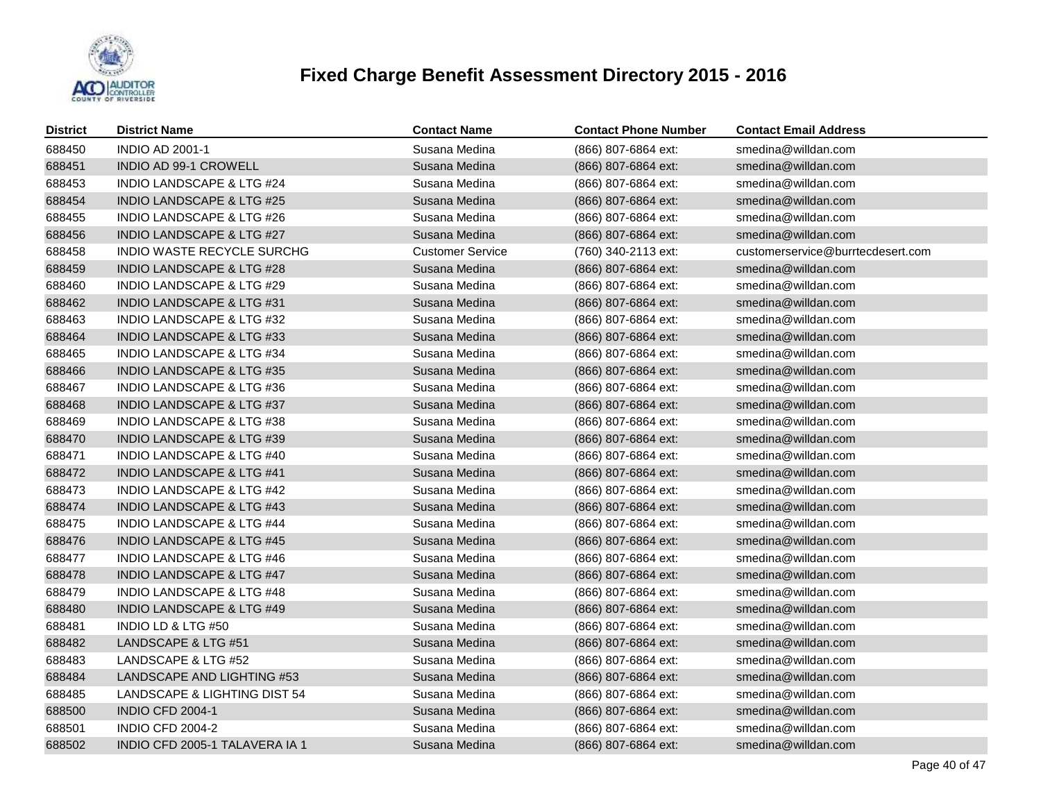

| <b>District</b> | <b>District Name</b>                 | <b>Contact Name</b>     | <b>Contact Phone Number</b> | <b>Contact Email Address</b>      |
|-----------------|--------------------------------------|-------------------------|-----------------------------|-----------------------------------|
| 688450          | <b>INDIO AD 2001-1</b>               | Susana Medina           | (866) 807-6864 ext:         | smedina@willdan.com               |
| 688451          | <b>INDIO AD 99-1 CROWELL</b>         | Susana Medina           | (866) 807-6864 ext:         | smedina@willdan.com               |
| 688453          | INDIO LANDSCAPE & LTG #24            | Susana Medina           | (866) 807-6864 ext:         | smedina@willdan.com               |
| 688454          | <b>INDIO LANDSCAPE &amp; LTG #25</b> | Susana Medina           | (866) 807-6864 ext:         | smedina@willdan.com               |
| 688455          | <b>INDIO LANDSCAPE &amp; LTG #26</b> | Susana Medina           | (866) 807-6864 ext:         | smedina@willdan.com               |
| 688456          | <b>INDIO LANDSCAPE &amp; LTG #27</b> | Susana Medina           | (866) 807-6864 ext:         | smedina@willdan.com               |
| 688458          | <b>INDIO WASTE RECYCLE SURCHG</b>    | <b>Customer Service</b> | (760) 340-2113 ext:         | customerservice@burrtecdesert.com |
| 688459          | <b>INDIO LANDSCAPE &amp; LTG #28</b> | Susana Medina           | (866) 807-6864 ext:         | smedina@willdan.com               |
| 688460          | <b>INDIO LANDSCAPE &amp; LTG #29</b> | Susana Medina           | (866) 807-6864 ext:         | smedina@willdan.com               |
| 688462          | <b>INDIO LANDSCAPE &amp; LTG #31</b> | Susana Medina           | (866) 807-6864 ext:         | smedina@willdan.com               |
| 688463          | <b>INDIO LANDSCAPE &amp; LTG #32</b> | Susana Medina           | (866) 807-6864 ext:         | smedina@willdan.com               |
| 688464          | <b>INDIO LANDSCAPE &amp; LTG #33</b> | Susana Medina           | (866) 807-6864 ext:         | smedina@willdan.com               |
| 688465          | <b>INDIO LANDSCAPE &amp; LTG #34</b> | Susana Medina           | (866) 807-6864 ext:         | smedina@willdan.com               |
| 688466          | <b>INDIO LANDSCAPE &amp; LTG #35</b> | Susana Medina           | (866) 807-6864 ext:         | smedina@willdan.com               |
| 688467          | <b>INDIO LANDSCAPE &amp; LTG #36</b> | Susana Medina           | (866) 807-6864 ext:         | smedina@willdan.com               |
| 688468          | INDIO LANDSCAPE & LTG #37            | Susana Medina           | (866) 807-6864 ext:         | smedina@willdan.com               |
| 688469          | <b>INDIO LANDSCAPE &amp; LTG #38</b> | Susana Medina           | (866) 807-6864 ext:         | smedina@willdan.com               |
| 688470          | <b>INDIO LANDSCAPE &amp; LTG #39</b> | Susana Medina           | (866) 807-6864 ext:         | smedina@willdan.com               |
| 688471          | <b>INDIO LANDSCAPE &amp; LTG #40</b> | Susana Medina           | (866) 807-6864 ext:         | smedina@willdan.com               |
| 688472          | <b>INDIO LANDSCAPE &amp; LTG #41</b> | Susana Medina           | (866) 807-6864 ext:         | smedina@willdan.com               |
| 688473          | <b>INDIO LANDSCAPE &amp; LTG #42</b> | Susana Medina           | (866) 807-6864 ext:         | smedina@willdan.com               |
| 688474          | INDIO LANDSCAPE & LTG #43            | Susana Medina           | (866) 807-6864 ext:         | smedina@willdan.com               |
| 688475          | <b>INDIO LANDSCAPE &amp; LTG #44</b> | Susana Medina           | (866) 807-6864 ext:         | smedina@willdan.com               |
| 688476          | <b>INDIO LANDSCAPE &amp; LTG #45</b> | Susana Medina           | (866) 807-6864 ext:         | smedina@willdan.com               |
| 688477          | <b>INDIO LANDSCAPE &amp; LTG #46</b> | Susana Medina           | (866) 807-6864 ext:         | smedina@willdan.com               |
| 688478          | <b>INDIO LANDSCAPE &amp; LTG #47</b> | Susana Medina           | (866) 807-6864 ext:         | smedina@willdan.com               |
| 688479          | <b>INDIO LANDSCAPE &amp; LTG #48</b> | Susana Medina           | (866) 807-6864 ext:         | smedina@willdan.com               |
| 688480          | <b>INDIO LANDSCAPE &amp; LTG #49</b> | Susana Medina           | (866) 807-6864 ext:         | smedina@willdan.com               |
| 688481          | INDIO LD & LTG #50                   | Susana Medina           | (866) 807-6864 ext:         | smedina@willdan.com               |
| 688482          | LANDSCAPE & LTG #51                  | Susana Medina           | (866) 807-6864 ext:         | smedina@willdan.com               |
| 688483          | LANDSCAPE & LTG #52                  | Susana Medina           | (866) 807-6864 ext:         | smedina@willdan.com               |
| 688484          | LANDSCAPE AND LIGHTING #53           | Susana Medina           | (866) 807-6864 ext:         | smedina@willdan.com               |
| 688485          | LANDSCAPE & LIGHTING DIST 54         | Susana Medina           | (866) 807-6864 ext:         | smedina@willdan.com               |
| 688500          | INDIO CFD 2004-1                     | Susana Medina           | (866) 807-6864 ext:         | smedina@willdan.com               |
| 688501          | <b>INDIO CFD 2004-2</b>              | Susana Medina           | (866) 807-6864 ext:         | smedina@willdan.com               |
| 688502          | INDIO CFD 2005-1 TALAVERA IA 1       | Susana Medina           | (866) 807-6864 ext:         | smedina@willdan.com               |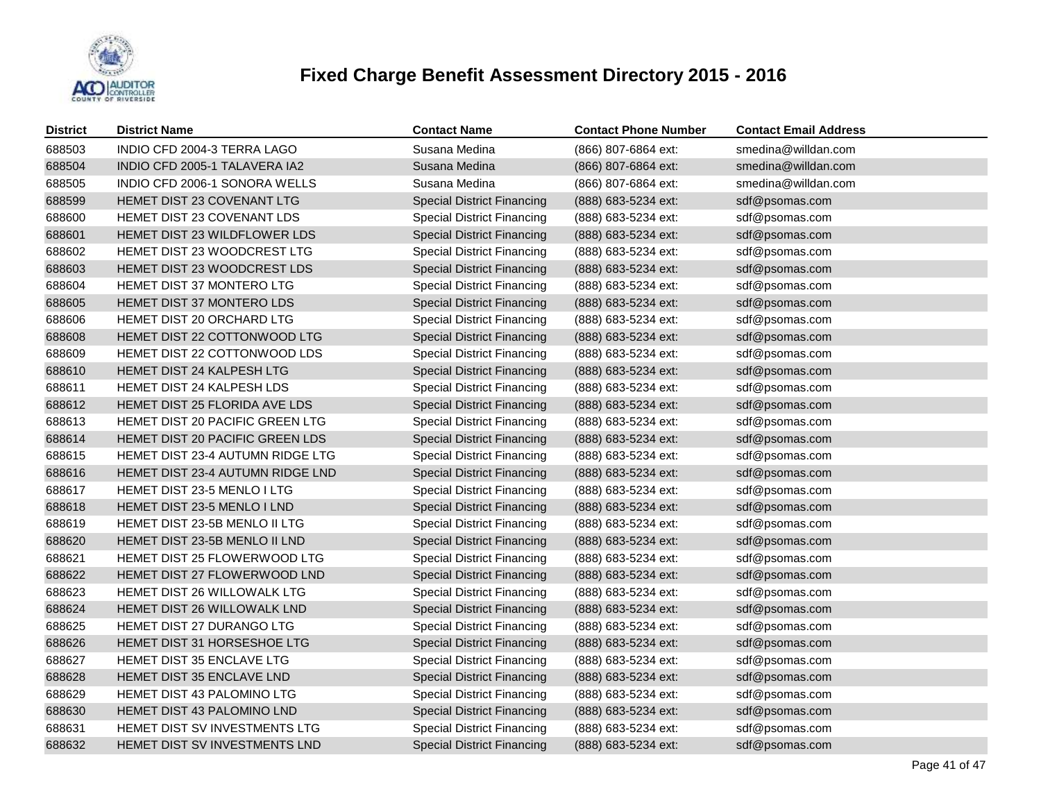

| <b>District</b> | <b>District Name</b>                 | <b>Contact Name</b>               | <b>Contact Phone Number</b> | <b>Contact Email Address</b> |
|-----------------|--------------------------------------|-----------------------------------|-----------------------------|------------------------------|
| 688503          | INDIO CFD 2004-3 TERRA LAGO          | Susana Medina                     | (866) 807-6864 ext:         | smedina@willdan.com          |
| 688504          | INDIO CFD 2005-1 TALAVERA IA2        | Susana Medina                     | (866) 807-6864 ext:         | smedina@willdan.com          |
| 688505          | INDIO CFD 2006-1 SONORA WELLS        | Susana Medina                     | (866) 807-6864 ext:         | smedina@willdan.com          |
| 688599          | HEMET DIST 23 COVENANT LTG           | <b>Special District Financing</b> | (888) 683-5234 ext:         | sdf@psomas.com               |
| 688600          | HEMET DIST 23 COVENANT LDS           | <b>Special District Financing</b> | (888) 683-5234 ext:         | sdf@psomas.com               |
| 688601          | HEMET DIST 23 WILDFLOWER LDS         | <b>Special District Financing</b> | (888) 683-5234 ext:         | sdf@psomas.com               |
| 688602          | HEMET DIST 23 WOODCREST LTG          | <b>Special District Financing</b> | (888) 683-5234 ext:         | sdf@psomas.com               |
| 688603          | HEMET DIST 23 WOODCREST LDS          | <b>Special District Financing</b> | (888) 683-5234 ext:         | sdf@psomas.com               |
| 688604          | HEMET DIST 37 MONTERO LTG            | <b>Special District Financing</b> | (888) 683-5234 ext:         | sdf@psomas.com               |
| 688605          | HEMET DIST 37 MONTERO LDS            | <b>Special District Financing</b> | (888) 683-5234 ext:         | sdf@psomas.com               |
| 688606          | HEMET DIST 20 ORCHARD LTG            | <b>Special District Financing</b> | (888) 683-5234 ext:         | sdf@psomas.com               |
| 688608          | HEMET DIST 22 COTTONWOOD LTG         | <b>Special District Financing</b> | (888) 683-5234 ext:         | sdf@psomas.com               |
| 688609          | HEMET DIST 22 COTTONWOOD LDS         | <b>Special District Financing</b> | (888) 683-5234 ext:         | sdf@psomas.com               |
| 688610          | HEMET DIST 24 KALPESH LTG            | <b>Special District Financing</b> | (888) 683-5234 ext:         | sdf@psomas.com               |
| 688611          | HEMET DIST 24 KALPESH LDS            | <b>Special District Financing</b> | (888) 683-5234 ext:         | sdf@psomas.com               |
| 688612          | HEMET DIST 25 FLORIDA AVE LDS        | <b>Special District Financing</b> | (888) 683-5234 ext:         | sdf@psomas.com               |
| 688613          | HEMET DIST 20 PACIFIC GREEN LTG      | <b>Special District Financing</b> | (888) 683-5234 ext:         | sdf@psomas.com               |
| 688614          | HEMET DIST 20 PACIFIC GREEN LDS      | <b>Special District Financing</b> | (888) 683-5234 ext:         | sdf@psomas.com               |
| 688615          | HEMET DIST 23-4 AUTUMN RIDGE LTG     | <b>Special District Financing</b> | (888) 683-5234 ext:         | sdf@psomas.com               |
| 688616          | HEMET DIST 23-4 AUTUMN RIDGE LND     | <b>Special District Financing</b> | (888) 683-5234 ext:         | sdf@psomas.com               |
| 688617          | HEMET DIST 23-5 MENLO I LTG          | <b>Special District Financing</b> | (888) 683-5234 ext:         | sdf@psomas.com               |
| 688618          | HEMET DIST 23-5 MENLO I LND          | <b>Special District Financing</b> | (888) 683-5234 ext:         | sdf@psomas.com               |
| 688619          | <b>HEMET DIST 23-5B MENLO II LTG</b> | <b>Special District Financing</b> | (888) 683-5234 ext:         | sdf@psomas.com               |
| 688620          | HEMET DIST 23-5B MENLO II LND        | <b>Special District Financing</b> | (888) 683-5234 ext:         | sdf@psomas.com               |
| 688621          | HEMET DIST 25 FLOWERWOOD LTG         | <b>Special District Financing</b> | (888) 683-5234 ext:         | sdf@psomas.com               |
| 688622          | HEMET DIST 27 FLOWERWOOD LND         | <b>Special District Financing</b> | (888) 683-5234 ext:         | sdf@psomas.com               |
| 688623          | HEMET DIST 26 WILLOWALK LTG          | <b>Special District Financing</b> | (888) 683-5234 ext:         | sdf@psomas.com               |
| 688624          | HEMET DIST 26 WILLOWALK LND          | <b>Special District Financing</b> | (888) 683-5234 ext:         | sdf@psomas.com               |
| 688625          | HEMET DIST 27 DURANGO LTG            | <b>Special District Financing</b> | (888) 683-5234 ext:         | sdf@psomas.com               |
| 688626          | HEMET DIST 31 HORSESHOE LTG          | <b>Special District Financing</b> | (888) 683-5234 ext:         | sdf@psomas.com               |
| 688627          | HEMET DIST 35 ENCLAVE LTG            | <b>Special District Financing</b> | (888) 683-5234 ext:         | sdf@psomas.com               |
| 688628          | HEMET DIST 35 ENCLAVE LND            | <b>Special District Financing</b> | (888) 683-5234 ext:         | sdf@psomas.com               |
| 688629          | HEMET DIST 43 PALOMINO LTG           | <b>Special District Financing</b> | (888) 683-5234 ext:         | sdf@psomas.com               |
| 688630          | HEMET DIST 43 PALOMINO LND           | <b>Special District Financing</b> | (888) 683-5234 ext:         | sdf@psomas.com               |
| 688631          | HEMET DIST SV INVESTMENTS LTG        | <b>Special District Financing</b> | (888) 683-5234 ext:         | sdf@psomas.com               |
| 688632          | HEMET DIST SV INVESTMENTS LND        | <b>Special District Financing</b> | (888) 683-5234 ext:         | sdf@psomas.com               |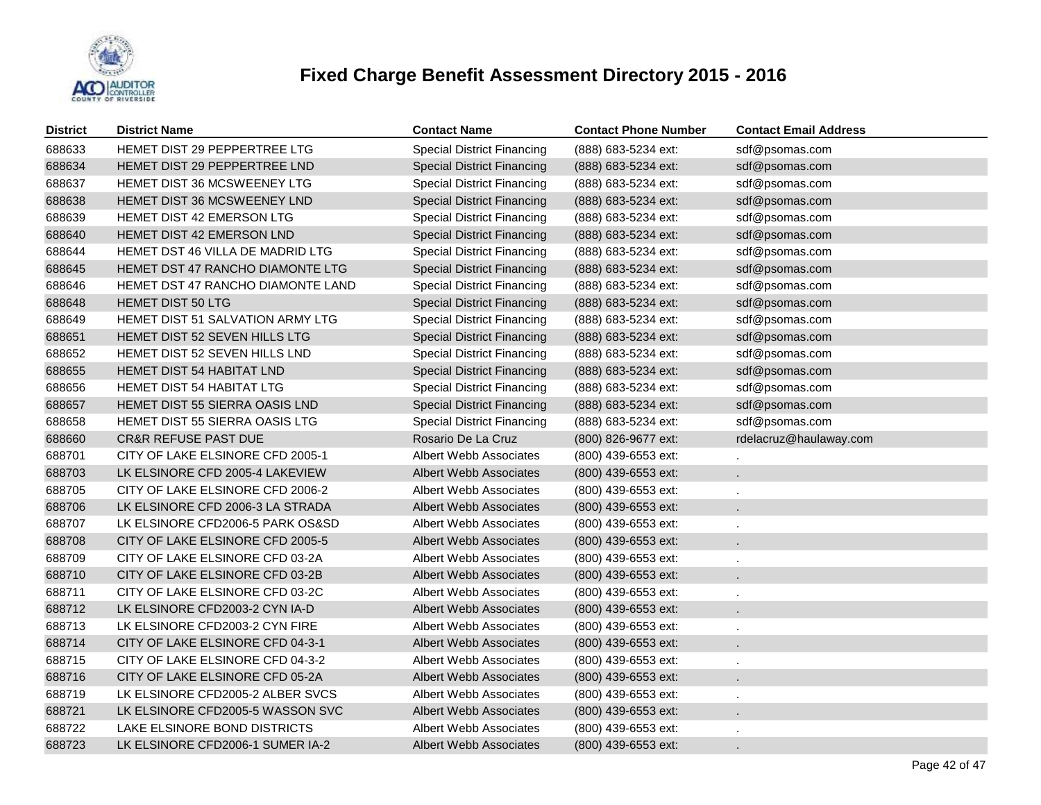

| <b>District</b> | <b>District Name</b>                    | <b>Contact Name</b>               | <b>Contact Phone Number</b> | <b>Contact Email Address</b> |
|-----------------|-----------------------------------------|-----------------------------------|-----------------------------|------------------------------|
| 688633          | HEMET DIST 29 PEPPERTREE LTG            | <b>Special District Financing</b> | (888) 683-5234 ext:         | sdf@psomas.com               |
| 688634          | HEMET DIST 29 PEPPERTREE LND            | <b>Special District Financing</b> | (888) 683-5234 ext:         | sdf@psomas.com               |
| 688637          | <b>HEMET DIST 36 MCSWEENEY LTG</b>      | <b>Special District Financing</b> | (888) 683-5234 ext:         | sdf@psomas.com               |
| 688638          | HEMET DIST 36 MCSWEENEY LND             | <b>Special District Financing</b> | (888) 683-5234 ext:         | sdf@psomas.com               |
| 688639          | HEMET DIST 42 EMERSON LTG               | <b>Special District Financing</b> | (888) 683-5234 ext:         | sdf@psomas.com               |
| 688640          | HEMET DIST 42 EMERSON LND               | <b>Special District Financing</b> | (888) 683-5234 ext:         | sdf@psomas.com               |
| 688644          | HEMET DST 46 VILLA DE MADRID LTG        | <b>Special District Financing</b> | (888) 683-5234 ext:         | sdf@psomas.com               |
| 688645          | HEMET DST 47 RANCHO DIAMONTE LTG        | <b>Special District Financing</b> | (888) 683-5234 ext:         | sdf@psomas.com               |
| 688646          | HEMET DST 47 RANCHO DIAMONTE LAND       | <b>Special District Financing</b> | (888) 683-5234 ext:         | sdf@psomas.com               |
| 688648          | HEMET DIST 50 LTG                       | <b>Special District Financing</b> | (888) 683-5234 ext:         | sdf@psomas.com               |
| 688649          | <b>HEMET DIST 51 SALVATION ARMY LTG</b> | <b>Special District Financing</b> | (888) 683-5234 ext:         | sdf@psomas.com               |
| 688651          | HEMET DIST 52 SEVEN HILLS LTG           | <b>Special District Financing</b> | (888) 683-5234 ext:         | sdf@psomas.com               |
| 688652          | HEMET DIST 52 SEVEN HILLS LND           | <b>Special District Financing</b> | (888) 683-5234 ext:         | sdf@psomas.com               |
| 688655          | <b>HEMET DIST 54 HABITAT LND</b>        | <b>Special District Financing</b> | (888) 683-5234 ext:         | sdf@psomas.com               |
| 688656          | HEMET DIST 54 HABITAT LTG               | <b>Special District Financing</b> | (888) 683-5234 ext:         | sdf@psomas.com               |
| 688657          | HEMET DIST 55 SIERRA OASIS LND          | <b>Special District Financing</b> | (888) 683-5234 ext:         | sdf@psomas.com               |
| 688658          | HEMET DIST 55 SIERRA OASIS LTG          | <b>Special District Financing</b> | (888) 683-5234 ext:         | sdf@psomas.com               |
| 688660          | <b>CR&amp;R REFUSE PAST DUE</b>         | Rosario De La Cruz                | (800) 826-9677 ext:         | rdelacruz@haulaway.com       |
| 688701          | CITY OF LAKE ELSINORE CFD 2005-1        | Albert Webb Associates            | (800) 439-6553 ext:         |                              |
| 688703          | LK ELSINORE CFD 2005-4 LAKEVIEW         | <b>Albert Webb Associates</b>     | (800) 439-6553 ext:         |                              |
| 688705          | CITY OF LAKE ELSINORE CFD 2006-2        | Albert Webb Associates            | (800) 439-6553 ext:         |                              |
| 688706          | LK ELSINORE CFD 2006-3 LA STRADA        | <b>Albert Webb Associates</b>     | (800) 439-6553 ext:         |                              |
| 688707          | LK ELSINORE CFD2006-5 PARK OS&SD        | Albert Webb Associates            | (800) 439-6553 ext:         |                              |
| 688708          | CITY OF LAKE ELSINORE CFD 2005-5        | <b>Albert Webb Associates</b>     | (800) 439-6553 ext:         |                              |
| 688709          | CITY OF LAKE ELSINORE CFD 03-2A         | Albert Webb Associates            | (800) 439-6553 ext:         |                              |
| 688710          | CITY OF LAKE ELSINORE CFD 03-2B         | Albert Webb Associates            | (800) 439-6553 ext:         |                              |
| 688711          | CITY OF LAKE ELSINORE CFD 03-2C         | Albert Webb Associates            | (800) 439-6553 ext:         | $\cdot$                      |
| 688712          | LK ELSINORE CFD2003-2 CYN IA-D          | Albert Webb Associates            | (800) 439-6553 ext:         |                              |
| 688713          | LK ELSINORE CFD2003-2 CYN FIRE          | Albert Webb Associates            | (800) 439-6553 ext:         | $\cdot$                      |
| 688714          | CITY OF LAKE ELSINORE CFD 04-3-1        | <b>Albert Webb Associates</b>     | (800) 439-6553 ext:         |                              |
| 688715          | CITY OF LAKE ELSINORE CFD 04-3-2        | Albert Webb Associates            | (800) 439-6553 ext:         | $\cdot$                      |
| 688716          | CITY OF LAKE ELSINORE CFD 05-2A         | <b>Albert Webb Associates</b>     | (800) 439-6553 ext:         |                              |
| 688719          | LK ELSINORE CFD2005-2 ALBER SVCS        | Albert Webb Associates            | (800) 439-6553 ext:         | $\cdot$                      |
| 688721          | LK ELSINORE CFD2005-5 WASSON SVC        | <b>Albert Webb Associates</b>     | (800) 439-6553 ext:         |                              |
| 688722          | LAKE ELSINORE BOND DISTRICTS            | Albert Webb Associates            | (800) 439-6553 ext:         |                              |
| 688723          | LK ELSINORE CFD2006-1 SUMER IA-2        | <b>Albert Webb Associates</b>     | (800) 439-6553 ext:         |                              |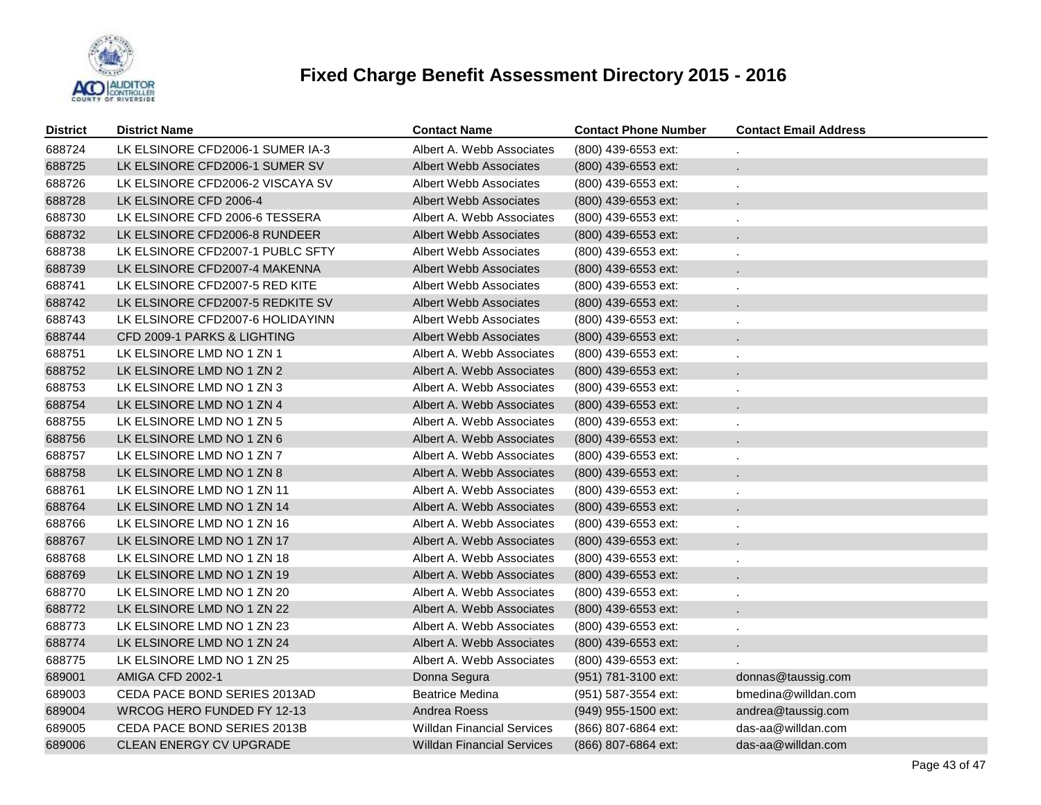

| <b>District</b> | <b>District Name</b>             | <b>Contact Name</b>               | <b>Contact Phone Number</b> | <b>Contact Email Address</b> |
|-----------------|----------------------------------|-----------------------------------|-----------------------------|------------------------------|
| 688724          | LK ELSINORE CFD2006-1 SUMER IA-3 | Albert A. Webb Associates         | (800) 439-6553 ext:         |                              |
| 688725          | LK ELSINORE CFD2006-1 SUMER SV   | Albert Webb Associates            | (800) 439-6553 ext:         | ×.                           |
| 688726          | LK ELSINORE CFD2006-2 VISCAYA SV | Albert Webb Associates            | (800) 439-6553 ext:         |                              |
| 688728          | LK ELSINORE CFD 2006-4           | <b>Albert Webb Associates</b>     | (800) 439-6553 ext:         |                              |
| 688730          | LK ELSINORE CFD 2006-6 TESSERA   | Albert A. Webb Associates         | (800) 439-6553 ext:         |                              |
| 688732          | LK ELSINORE CFD2006-8 RUNDEER    | Albert Webb Associates            | (800) 439-6553 ext:         |                              |
| 688738          | LK ELSINORE CFD2007-1 PUBLC SFTY | Albert Webb Associates            | (800) 439-6553 ext:         |                              |
| 688739          | LK ELSINORE CFD2007-4 MAKENNA    | <b>Albert Webb Associates</b>     | (800) 439-6553 ext:         |                              |
| 688741          | LK ELSINORE CFD2007-5 RED KITE   | Albert Webb Associates            | (800) 439-6553 ext:         |                              |
| 688742          | LK ELSINORE CFD2007-5 REDKITE SV | <b>Albert Webb Associates</b>     | (800) 439-6553 ext:         |                              |
| 688743          | LK ELSINORE CFD2007-6 HOLIDAYINN | Albert Webb Associates            | (800) 439-6553 ext:         |                              |
| 688744          | CFD 2009-1 PARKS & LIGHTING      | Albert Webb Associates            | (800) 439-6553 ext:         |                              |
| 688751          | LK ELSINORE LMD NO 1 ZN 1        | Albert A. Webb Associates         | (800) 439-6553 ext:         |                              |
| 688752          | LK ELSINORE LMD NO 1 ZN 2        | Albert A. Webb Associates         | (800) 439-6553 ext:         |                              |
| 688753          | LK ELSINORE LMD NO 1 ZN 3        | Albert A. Webb Associates         | (800) 439-6553 ext:         |                              |
| 688754          | LK ELSINORE LMD NO 1 ZN 4        | Albert A. Webb Associates         | (800) 439-6553 ext:         |                              |
| 688755          | LK ELSINORE LMD NO 1 ZN 5        | Albert A. Webb Associates         | (800) 439-6553 ext:         |                              |
| 688756          | LK ELSINORE LMD NO 1 ZN 6        | Albert A. Webb Associates         | (800) 439-6553 ext:         |                              |
| 688757          | LK ELSINORE LMD NO 1 ZN 7        | Albert A. Webb Associates         | (800) 439-6553 ext:         |                              |
| 688758          | LK ELSINORE LMD NO 1 ZN 8        | Albert A. Webb Associates         | (800) 439-6553 ext:         |                              |
| 688761          | LK ELSINORE LMD NO 1 ZN 11       | Albert A. Webb Associates         | $(800)$ 439-6553 ext:       |                              |
| 688764          | LK ELSINORE LMD NO 1 ZN 14       | Albert A. Webb Associates         | (800) 439-6553 ext:         |                              |
| 688766          | LK ELSINORE LMD NO 1 ZN 16       | Albert A. Webb Associates         | (800) 439-6553 ext:         |                              |
| 688767          | LK ELSINORE LMD NO 1 ZN 17       | Albert A. Webb Associates         | (800) 439-6553 ext:         |                              |
| 688768          | LK ELSINORE LMD NO 1 ZN 18       | Albert A. Webb Associates         | (800) 439-6553 ext:         |                              |
| 688769          | LK ELSINORE LMD NO 1 ZN 19       | Albert A. Webb Associates         | (800) 439-6553 ext:         |                              |
| 688770          | LK ELSINORE LMD NO 1 ZN 20       | Albert A. Webb Associates         | $(800)$ 439-6553 ext:       |                              |
| 688772          | LK ELSINORE LMD NO 1 ZN 22       | Albert A. Webb Associates         | (800) 439-6553 ext:         |                              |
| 688773          | LK ELSINORE LMD NO 1 ZN 23       | Albert A. Webb Associates         | (800) 439-6553 ext:         |                              |
| 688774          | LK ELSINORE LMD NO 1 ZN 24       | Albert A. Webb Associates         | (800) 439-6553 ext:         |                              |
| 688775          | LK ELSINORE LMD NO 1 ZN 25       | Albert A. Webb Associates         | $(800)$ 439-6553 ext:       |                              |
| 689001          | AMIGA CFD 2002-1                 | Donna Segura                      | (951) 781-3100 ext:         | donnas@taussig.com           |
| 689003          | CEDA PACE BOND SERIES 2013AD     | <b>Beatrice Medina</b>            | (951) 587-3554 ext:         | bmedina@willdan.com          |
| 689004          | WRCOG HERO FUNDED FY 12-13       | Andrea Roess                      | (949) 955-1500 ext:         | andrea@taussig.com           |
| 689005          | CEDA PACE BOND SERIES 2013B      | <b>Willdan Financial Services</b> | (866) 807-6864 ext:         | das-aa@willdan.com           |
| 689006          | CLEAN ENERGY CV UPGRADE          | Willdan Financial Services        | (866) 807-6864 ext:         | das-aa@willdan.com           |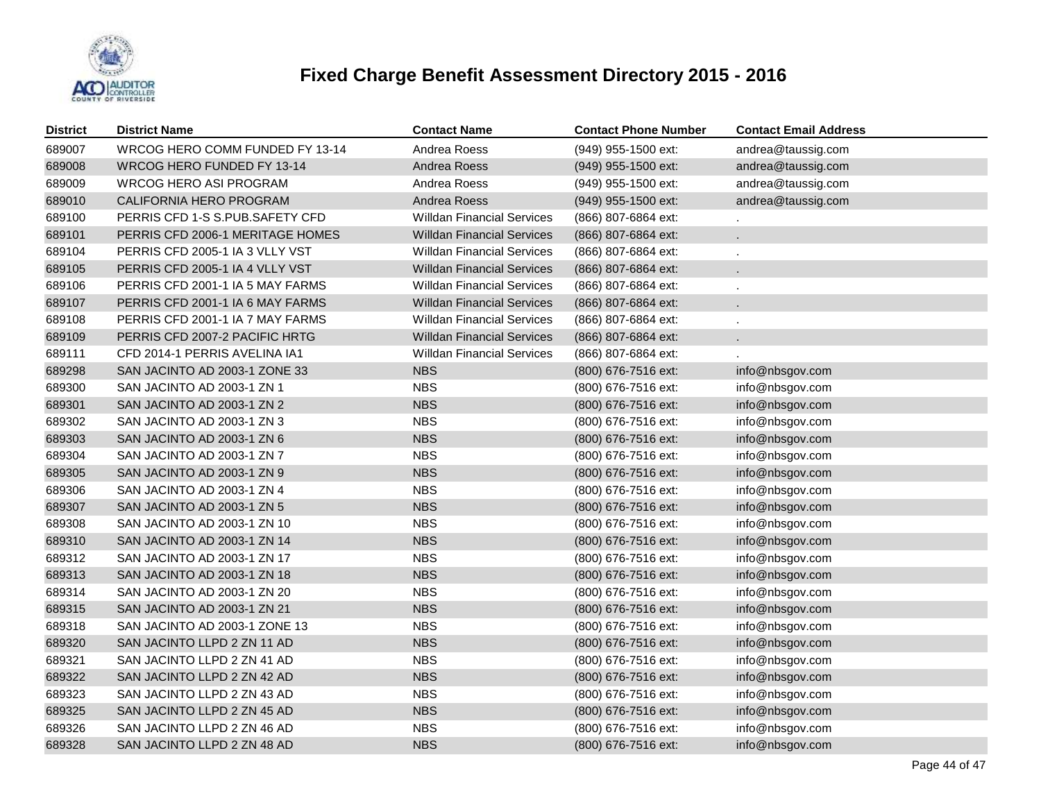

| <b>District</b> | <b>District Name</b>             | <b>Contact Name</b>               | <b>Contact Phone Number</b> | <b>Contact Email Address</b> |
|-----------------|----------------------------------|-----------------------------------|-----------------------------|------------------------------|
| 689007          | WRCOG HERO COMM FUNDED FY 13-14  | Andrea Roess                      | (949) 955-1500 ext:         | andrea@taussig.com           |
| 689008          | WRCOG HERO FUNDED FY 13-14       | Andrea Roess                      | (949) 955-1500 ext:         | andrea@taussig.com           |
| 689009          | <b>WRCOG HERO ASI PROGRAM</b>    | Andrea Roess                      | (949) 955-1500 ext:         | andrea@taussig.com           |
| 689010          | CALIFORNIA HERO PROGRAM          | Andrea Roess                      | (949) 955-1500 ext:         | andrea@taussig.com           |
| 689100          | PERRIS CFD 1-S S.PUB.SAFETY CFD  | <b>Willdan Financial Services</b> | (866) 807-6864 ext:         |                              |
| 689101          | PERRIS CFD 2006-1 MERITAGE HOMES | <b>Willdan Financial Services</b> | (866) 807-6864 ext:         | $\mathbf{r}$                 |
| 689104          | PERRIS CFD 2005-1 IA 3 VLLY VST  | <b>Willdan Financial Services</b> | (866) 807-6864 ext:         |                              |
| 689105          | PERRIS CFD 2005-1 IA 4 VLLY VST  | <b>Willdan Financial Services</b> | (866) 807-6864 ext:         | $\blacksquare$               |
| 689106          | PERRIS CFD 2001-1 IA 5 MAY FARMS | <b>Willdan Financial Services</b> | (866) 807-6864 ext:         |                              |
| 689107          | PERRIS CFD 2001-1 IA 6 MAY FARMS | <b>Willdan Financial Services</b> | (866) 807-6864 ext:         | $\mathbf{r}$                 |
| 689108          | PERRIS CFD 2001-1 IA 7 MAY FARMS | <b>Willdan Financial Services</b> | (866) 807-6864 ext:         |                              |
| 689109          | PERRIS CFD 2007-2 PACIFIC HRTG   | <b>Willdan Financial Services</b> | (866) 807-6864 ext:         | $\mathbf{r}$                 |
| 689111          | CFD 2014-1 PERRIS AVELINA IA1    | <b>Willdan Financial Services</b> | (866) 807-6864 ext:         |                              |
| 689298          | SAN JACINTO AD 2003-1 ZONE 33    | <b>NBS</b>                        | (800) 676-7516 ext:         | info@nbsgov.com              |
| 689300          | SAN JACINTO AD 2003-1 ZN 1       | <b>NBS</b>                        | (800) 676-7516 ext:         | info@nbsgov.com              |
| 689301          | SAN JACINTO AD 2003-1 ZN 2       | <b>NBS</b>                        | (800) 676-7516 ext:         | info@nbsgov.com              |
| 689302          | SAN JACINTO AD 2003-1 ZN 3       | <b>NBS</b>                        | (800) 676-7516 ext:         | info@nbsgov.com              |
| 689303          | SAN JACINTO AD 2003-1 ZN 6       | <b>NBS</b>                        | (800) 676-7516 ext:         | info@nbsgov.com              |
| 689304          | SAN JACINTO AD 2003-1 ZN 7       | <b>NBS</b>                        | (800) 676-7516 ext:         | info@nbsgov.com              |
| 689305          | SAN JACINTO AD 2003-1 ZN 9       | <b>NBS</b>                        | (800) 676-7516 ext:         | info@nbsgov.com              |
| 689306          | SAN JACINTO AD 2003-1 ZN 4       | <b>NBS</b>                        | (800) 676-7516 ext:         | info@nbsgov.com              |
| 689307          | SAN JACINTO AD 2003-1 ZN 5       | <b>NBS</b>                        | (800) 676-7516 ext:         | info@nbsgov.com              |
| 689308          | SAN JACINTO AD 2003-1 ZN 10      | <b>NBS</b>                        | (800) 676-7516 ext:         | info@nbsgov.com              |
| 689310          | SAN JACINTO AD 2003-1 ZN 14      | <b>NBS</b>                        | (800) 676-7516 ext:         | info@nbsgov.com              |
| 689312          | SAN JACINTO AD 2003-1 ZN 17      | <b>NBS</b>                        | (800) 676-7516 ext:         | info@nbsgov.com              |
| 689313          | SAN JACINTO AD 2003-1 ZN 18      | <b>NBS</b>                        | (800) 676-7516 ext:         | info@nbsgov.com              |
| 689314          | SAN JACINTO AD 2003-1 ZN 20      | <b>NBS</b>                        | (800) 676-7516 ext:         | info@nbsgov.com              |
| 689315          | SAN JACINTO AD 2003-1 ZN 21      | <b>NBS</b>                        | (800) 676-7516 ext:         | info@nbsgov.com              |
| 689318          | SAN JACINTO AD 2003-1 ZONE 13    | <b>NBS</b>                        | (800) 676-7516 ext:         | info@nbsgov.com              |
| 689320          | SAN JACINTO LLPD 2 ZN 11 AD      | <b>NBS</b>                        | (800) 676-7516 ext:         | info@nbsgov.com              |
| 689321          | SAN JACINTO LLPD 2 ZN 41 AD      | <b>NBS</b>                        | (800) 676-7516 ext:         | info@nbsgov.com              |
| 689322          | SAN JACINTO LLPD 2 ZN 42 AD      | <b>NBS</b>                        | (800) 676-7516 ext:         | info@nbsgov.com              |
| 689323          | SAN JACINTO LLPD 2 ZN 43 AD      | <b>NBS</b>                        | (800) 676-7516 ext:         | info@nbsgov.com              |
| 689325          | SAN JACINTO LLPD 2 ZN 45 AD      | <b>NBS</b>                        | (800) 676-7516 ext:         | info@nbsgov.com              |
| 689326          | SAN JACINTO LLPD 2 ZN 46 AD      | <b>NBS</b>                        | (800) 676-7516 ext:         | info@nbsgov.com              |
| 689328          | SAN JACINTO LLPD 2 ZN 48 AD      | <b>NBS</b>                        | (800) 676-7516 ext:         | info@nbsgov.com              |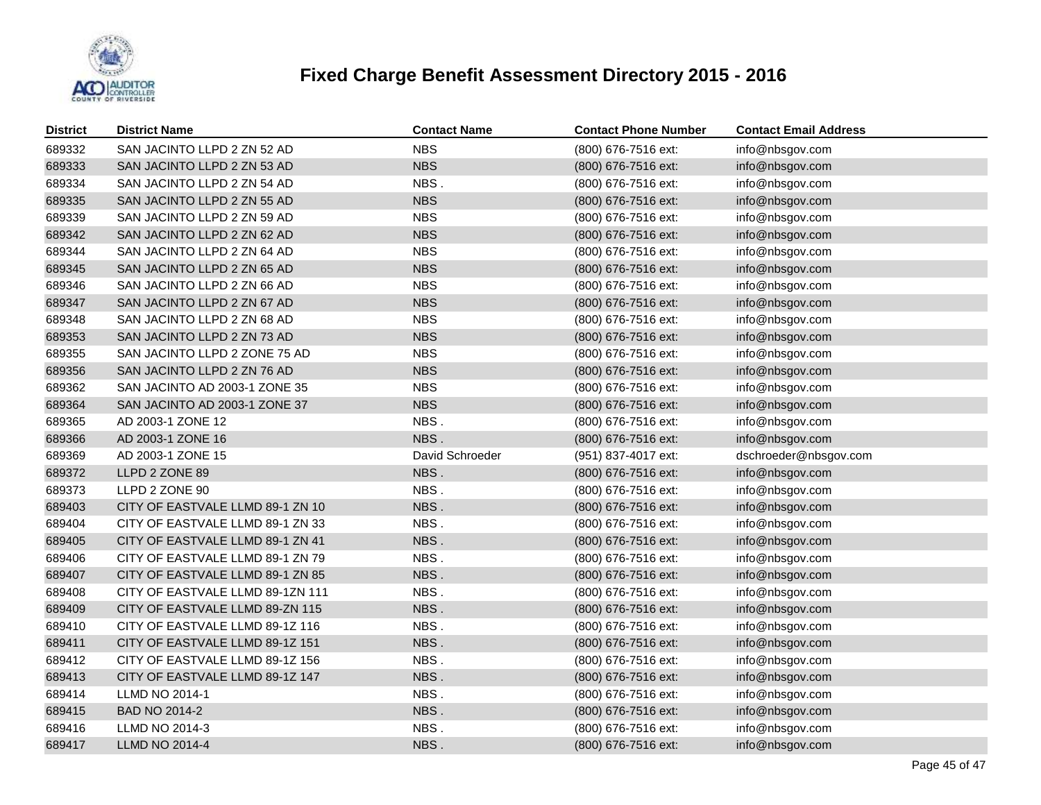

| <b>District</b> | <b>District Name</b>             | <b>Contact Name</b> | <b>Contact Phone Number</b> | <b>Contact Email Address</b> |
|-----------------|----------------------------------|---------------------|-----------------------------|------------------------------|
| 689332          | SAN JACINTO LLPD 2 ZN 52 AD      | <b>NBS</b>          | (800) 676-7516 ext:         | info@nbsgov.com              |
| 689333          | SAN JACINTO LLPD 2 ZN 53 AD      | <b>NBS</b>          | (800) 676-7516 ext:         | info@nbsgov.com              |
| 689334          | SAN JACINTO LLPD 2 ZN 54 AD      | NBS.                | (800) 676-7516 ext:         | info@nbsgov.com              |
| 689335          | SAN JACINTO LLPD 2 ZN 55 AD      | <b>NBS</b>          | (800) 676-7516 ext:         | info@nbsgov.com              |
| 689339          | SAN JACINTO LLPD 2 ZN 59 AD      | <b>NBS</b>          | (800) 676-7516 ext:         | info@nbsgov.com              |
| 689342          | SAN JACINTO LLPD 2 ZN 62 AD      | <b>NBS</b>          | (800) 676-7516 ext:         | info@nbsgov.com              |
| 689344          | SAN JACINTO LLPD 2 ZN 64 AD      | <b>NBS</b>          | (800) 676-7516 ext:         | info@nbsgov.com              |
| 689345          | SAN JACINTO LLPD 2 ZN 65 AD      | <b>NBS</b>          | (800) 676-7516 ext:         | info@nbsgov.com              |
| 689346          | SAN JACINTO LLPD 2 ZN 66 AD      | <b>NBS</b>          | (800) 676-7516 ext:         | info@nbsgov.com              |
| 689347          | SAN JACINTO LLPD 2 ZN 67 AD      | <b>NBS</b>          | (800) 676-7516 ext:         | info@nbsgov.com              |
| 689348          | SAN JACINTO LLPD 2 ZN 68 AD      | <b>NBS</b>          | (800) 676-7516 ext:         | info@nbsgov.com              |
| 689353          | SAN JACINTO LLPD 2 ZN 73 AD      | <b>NBS</b>          | (800) 676-7516 ext:         | info@nbsgov.com              |
| 689355          | SAN JACINTO LLPD 2 ZONE 75 AD    | <b>NBS</b>          | (800) 676-7516 ext:         | info@nbsgov.com              |
| 689356          | SAN JACINTO LLPD 2 ZN 76 AD      | <b>NBS</b>          | (800) 676-7516 ext:         | info@nbsgov.com              |
| 689362          | SAN JACINTO AD 2003-1 ZONE 35    | <b>NBS</b>          | (800) 676-7516 ext:         | info@nbsgov.com              |
| 689364          | SAN JACINTO AD 2003-1 ZONE 37    | <b>NBS</b>          | (800) 676-7516 ext:         | info@nbsgov.com              |
| 689365          | AD 2003-1 ZONE 12                | NBS.                | (800) 676-7516 ext:         | info@nbsgov.com              |
| 689366          | AD 2003-1 ZONE 16                | NBS.                | (800) 676-7516 ext:         | info@nbsgov.com              |
| 689369          | AD 2003-1 ZONE 15                | David Schroeder     | (951) 837-4017 ext:         | dschroeder@nbsgov.com        |
| 689372          | LLPD 2 ZONE 89                   | NBS.                | (800) 676-7516 ext:         | info@nbsgov.com              |
| 689373          | LLPD 2 ZONE 90                   | NBS.                | (800) 676-7516 ext:         | info@nbsgov.com              |
| 689403          | CITY OF EASTVALE LLMD 89-1 ZN 10 | NBS.                | (800) 676-7516 ext:         | info@nbsgov.com              |
| 689404          | CITY OF EASTVALE LLMD 89-1 ZN 33 | NBS.                | (800) 676-7516 ext:         | info@nbsgov.com              |
| 689405          | CITY OF EASTVALE LLMD 89-1 ZN 41 | NBS.                | (800) 676-7516 ext:         | info@nbsgov.com              |
| 689406          | CITY OF EASTVALE LLMD 89-1 ZN 79 | NBS.                | (800) 676-7516 ext:         | info@nbsgov.com              |
| 689407          | CITY OF EASTVALE LLMD 89-1 ZN 85 | NBS.                | (800) 676-7516 ext:         | info@nbsgov.com              |
| 689408          | CITY OF EASTVALE LLMD 89-1ZN 111 | NBS.                | (800) 676-7516 ext:         | info@nbsgov.com              |
| 689409          | CITY OF EASTVALE LLMD 89-ZN 115  | NBS.                | (800) 676-7516 ext:         | info@nbsgov.com              |
| 689410          | CITY OF EASTVALE LLMD 89-1Z 116  | NBS.                | (800) 676-7516 ext:         | info@nbsgov.com              |
| 689411          | CITY OF EASTVALE LLMD 89-1Z 151  | NBS.                | (800) 676-7516 ext:         | info@nbsgov.com              |
| 689412          | CITY OF EASTVALE LLMD 89-1Z 156  | NBS.                | (800) 676-7516 ext:         | info@nbsgov.com              |
| 689413          | CITY OF EASTVALE LLMD 89-1Z 147  | NBS.                | (800) 676-7516 ext:         | info@nbsgov.com              |
| 689414          | <b>LLMD NO 2014-1</b>            | NBS.                | (800) 676-7516 ext:         | info@nbsgov.com              |
| 689415          | BAD NO 2014-2                    | NBS.                | (800) 676-7516 ext:         | info@nbsgov.com              |
| 689416          | LLMD NO 2014-3                   | NBS.                | (800) 676-7516 ext:         | info@nbsgov.com              |
| 689417          | <b>LLMD NO 2014-4</b>            | NBS.                | (800) 676-7516 ext:         | info@nbsgov.com              |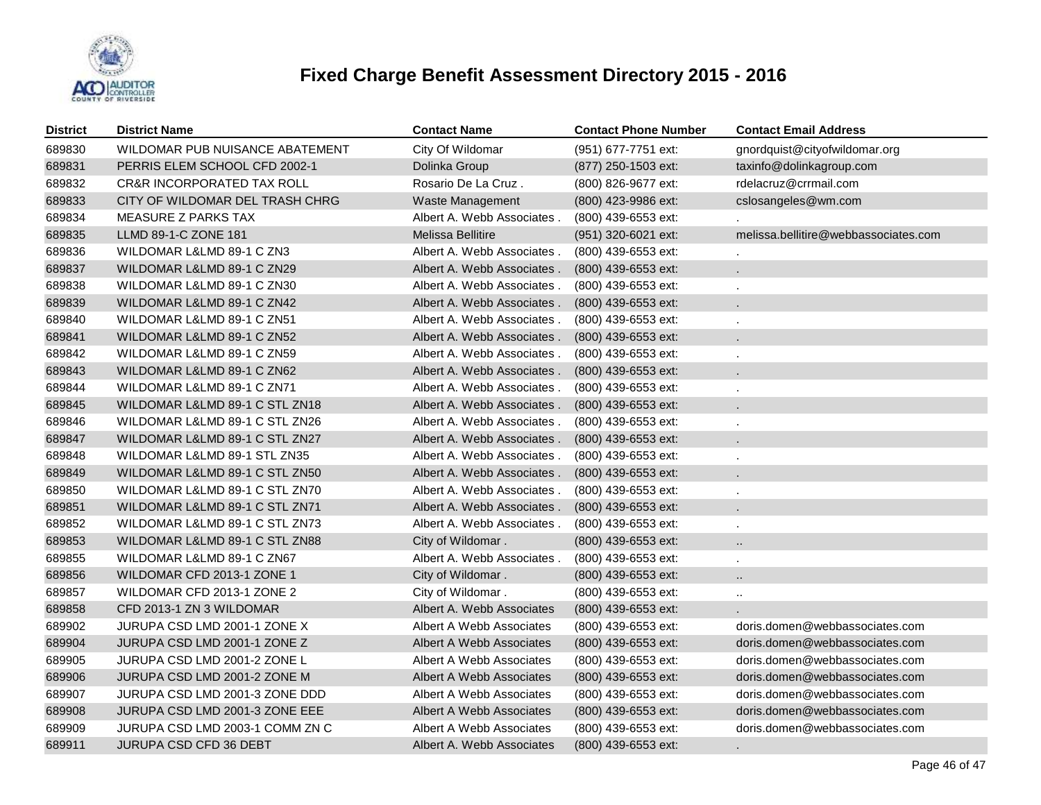

| <b>District</b> | <b>District Name</b>                  | Contact Name               | <b>Contact Phone Number</b> | <b>Contact Email Address</b>         |
|-----------------|---------------------------------------|----------------------------|-----------------------------|--------------------------------------|
| 689830          | WILDOMAR PUB NUISANCE ABATEMENT       | City Of Wildomar           | (951) 677-7751 ext:         | gnordquist@cityofwildomar.org        |
| 689831          | PERRIS ELEM SCHOOL CFD 2002-1         | Dolinka Group              | (877) 250-1503 ext:         | taxinfo@dolinkagroup.com             |
| 689832          | <b>CR&amp;R INCORPORATED TAX ROLL</b> | Rosario De La Cruz.        | (800) 826-9677 ext:         | rdelacruz@crrmail.com                |
| 689833          | CITY OF WILDOMAR DEL TRASH CHRG       | Waste Management           | (800) 423-9986 ext:         | cslosangeles@wm.com                  |
| 689834          | <b>MEASURE Z PARKS TAX</b>            | Albert A. Webb Associates. | (800) 439-6553 ext:         |                                      |
| 689835          | LLMD 89-1-C ZONE 181                  | <b>Melissa Bellitire</b>   | (951) 320-6021 ext:         | melissa.bellitire@webbassociates.com |
| 689836          | WILDOMAR L&LMD 89-1 C ZN3             | Albert A. Webb Associates. | (800) 439-6553 ext:         |                                      |
| 689837          | WILDOMAR L&LMD 89-1 C ZN29            | Albert A. Webb Associates. | $(800)$ 439-6553 ext:       | ۰                                    |
| 689838          | WILDOMAR L&LMD 89-1 C ZN30            | Albert A. Webb Associates. | (800) 439-6553 ext:         | ä,                                   |
| 689839          | WILDOMAR L&LMD 89-1 C ZN42            | Albert A. Webb Associates. | (800) 439-6553 ext:         |                                      |
| 689840          | WILDOMAR L&LMD 89-1 C ZN51            | Albert A. Webb Associates. | (800) 439-6553 ext:         |                                      |
| 689841          | WILDOMAR L&LMD 89-1 C ZN52            | Albert A. Webb Associates. | $(800)$ 439-6553 ext:       |                                      |
| 689842          | WILDOMAR L&LMD 89-1 C ZN59            | Albert A. Webb Associates. | (800) 439-6553 ext:         |                                      |
| 689843          | WILDOMAR L&LMD 89-1 C ZN62            | Albert A. Webb Associates. | (800) 439-6553 ext:         |                                      |
| 689844          | WILDOMAR L&LMD 89-1 C ZN71            | Albert A. Webb Associates. | (800) 439-6553 ext:         |                                      |
| 689845          | WILDOMAR L&LMD 89-1 C STL ZN18        | Albert A. Webb Associates. | (800) 439-6553 ext:         |                                      |
| 689846          | WILDOMAR L&LMD 89-1 C STL ZN26        | Albert A. Webb Associates. | (800) 439-6553 ext:         |                                      |
| 689847          | WILDOMAR L&LMD 89-1 C STL ZN27        | Albert A. Webb Associates. | (800) 439-6553 ext:         |                                      |
| 689848          | WILDOMAR L&LMD 89-1 STL ZN35          | Albert A. Webb Associates. | $(800)$ 439-6553 ext:       |                                      |
| 689849          | WILDOMAR L&LMD 89-1 C STL ZN50        | Albert A. Webb Associates. | (800) 439-6553 ext:         |                                      |
| 689850          | WILDOMAR L&LMD 89-1 C STL ZN70        | Albert A. Webb Associates. | $(800)$ 439-6553 ext:       | $\blacksquare$                       |
| 689851          | WILDOMAR L&LMD 89-1 C STL ZN71        | Albert A. Webb Associates. | (800) 439-6553 ext:         |                                      |
| 689852          | WILDOMAR L&LMD 89-1 C STL ZN73        | Albert A. Webb Associates. | (800) 439-6553 ext:         | ٠                                    |
| 689853          | WILDOMAR L&LMD 89-1 C STL ZN88        | City of Wildomar.          | (800) 439-6553 ext:         |                                      |
| 689855          | WILDOMAR L&LMD 89-1 C ZN67            | Albert A. Webb Associates. | (800) 439-6553 ext:         |                                      |
| 689856          | WILDOMAR CFD 2013-1 ZONE 1            | City of Wildomar.          | (800) 439-6553 ext:         | $\ddot{\phantom{a}}$                 |
| 689857          | WILDOMAR CFD 2013-1 ZONE 2            | City of Wildomar.          | (800) 439-6553 ext:         | $\ldots$                             |
| 689858          | CFD 2013-1 ZN 3 WILDOMAR              | Albert A. Webb Associates  | (800) 439-6553 ext:         |                                      |
| 689902          | JURUPA CSD LMD 2001-1 ZONE X          | Albert A Webb Associates   | (800) 439-6553 ext:         | doris.domen@webbassociates.com       |
| 689904          | JURUPA CSD LMD 2001-1 ZONE Z          | Albert A Webb Associates   | (800) 439-6553 ext:         | doris.domen@webbassociates.com       |
| 689905          | JURUPA CSD LMD 2001-2 ZONE L          | Albert A Webb Associates   | (800) 439-6553 ext:         | doris.domen@webbassociates.com       |
| 689906          | JURUPA CSD LMD 2001-2 ZONE M          | Albert A Webb Associates   | (800) 439-6553 ext:         | doris.domen@webbassociates.com       |
| 689907          | JURUPA CSD LMD 2001-3 ZONE DDD        | Albert A Webb Associates   | (800) 439-6553 ext:         | doris.domen@webbassociates.com       |
| 689908          | JURUPA CSD LMD 2001-3 ZONE EEE        | Albert A Webb Associates   | (800) 439-6553 ext:         | doris.domen@webbassociates.com       |
| 689909          | JURUPA CSD LMD 2003-1 COMM ZN C       | Albert A Webb Associates   | (800) 439-6553 ext:         | doris.domen@webbassociates.com       |
| 689911          | JURUPA CSD CFD 36 DEBT                | Albert A. Webb Associates  | (800) 439-6553 ext:         |                                      |